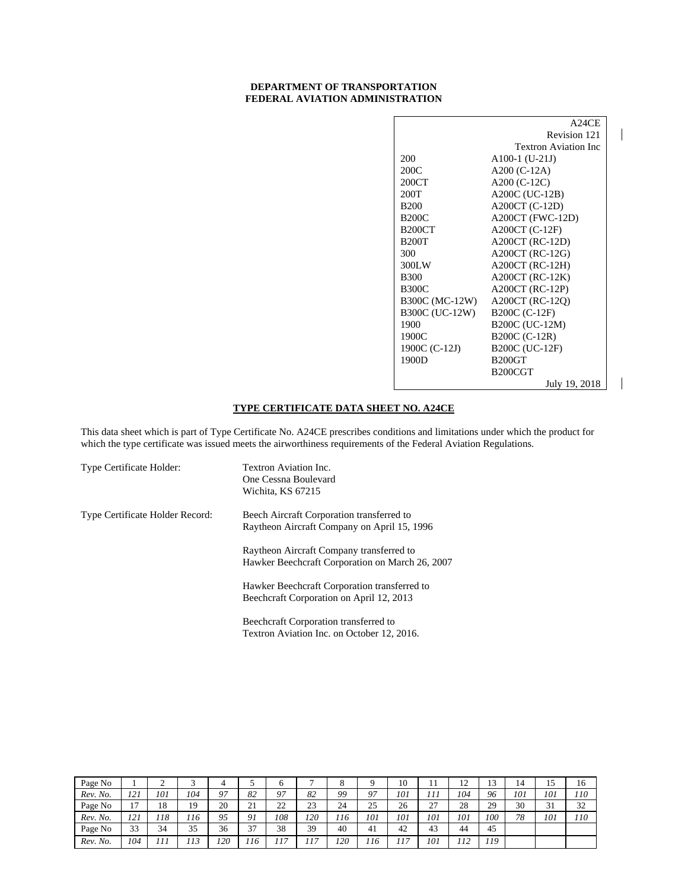#### **DEPARTMENT OF TRANSPORTATION FEDERAL AVIATION ADMINISTRATION**

|                | A24CE                       |
|----------------|-----------------------------|
|                | Revision 121                |
|                | <b>Textron Aviation Inc</b> |
| 200            | $A100-1$ (U-21J)            |
| 200C           | A200 $(C-12A)$              |
| 200CT          | A200 (C-12C)                |
| 200T           | A200C (UC-12B)              |
| <b>B200</b>    | A200CT (C-12D)              |
| <b>B200C</b>   | A200CT (FWC-12D)            |
| <b>B200CT</b>  | $A200CT$ (C-12F)            |
| <b>B200T</b>   | $A200CT$ (RC-12D)           |
| 300            | $A200CT$ (RC-12G)           |
| 300LW          | $A200CT$ (RC-12H)           |
| <b>B300</b>    | $A200CT$ (RC-12K)           |
| <b>B300C</b>   | $A200CT$ (RC-12P)           |
| B300C (MC-12W) | A200CT (RC-12O)             |
| B300C (UC-12W) | B200C (C-12F)               |
| 1900           | B200C (UC-12M)              |
| 1900C          | B200C (C-12R)               |
| 1900C (C-12J)  | B200C (UC-12F)              |
| 1900D          | <b>B200GT</b>               |
|                | B <sub>200</sub> CGT        |
|                | July 19, 2018               |

 $\overline{\phantom{a}}$ 

# **TYPE CERTIFICATE DATA SHEET NO. A24CE**

This data sheet which is part of Type Certificate No. A24CE prescribes conditions and limitations under which the product for which the type certificate was issued meets the airworthiness requirements of the Federal Aviation Regulations.

| Type Certificate Holder:        | Textron Aviation Inc.<br>One Cessna Boulevard<br>Wichita, KS 67215                          |
|---------------------------------|---------------------------------------------------------------------------------------------|
| Type Certificate Holder Record: | Beech Aircraft Corporation transferred to<br>Raytheon Aircraft Company on April 15, 1996    |
|                                 | Raytheon Aircraft Company transferred to<br>Hawker Beechcraft Corporation on March 26, 2007 |
|                                 | Hawker Beechcraft Corporation transferred to<br>Beechcraft Corporation on April 12, 2013    |
|                                 | Beechcraft Corporation transferred to                                                       |

| Page No  |                | ∼   |     | 4   |                |         |     | O   |          | 10  | $\pm$                       | ∸         | 1 <sub>2</sub><br>IJ | 14  | . J | 16  |
|----------|----------------|-----|-----|-----|----------------|---------|-----|-----|----------|-----|-----------------------------|-----------|----------------------|-----|-----|-----|
| Rev. No. | 121            | 101 | 104 | 97  | 82             | 97      | 82  | 99  | 97       | 101 | 111                         | 104       | 96                   | 101 | 101 | 110 |
| Page No  | 1 <sub>7</sub> | 18  | 19  | 20  | 21<br>$\sim$ 1 | າາ<br>∸ | 23  | 24  | 25<br>رے | 26  | $\mathcal{L}$<br>$\angle$ l | 28        | 29                   | 30  | 31  | 32  |
| Rev. No. | 121<br>1 4 1   | 118 | 116 | 95  | 91             | 108     | 120 | 116 | 101      | 101 | 101                         | 101       | 100                  | 78  | 101 | 110 |
| Page No  | 33             | 34  | 35  | 36  | 37             | 38      | 39  | 40  | 41       | 42  | 43                          | 44        | 45                   |     |     |     |
| Rev. No. | 104            | 111 | 113 | 120 | 116            | 17      | 117 | 120 | 116      | 17  | 101                         | 12<br>114 | 119                  |     |     |     |

Textron Aviation Inc. on October 12, 2016.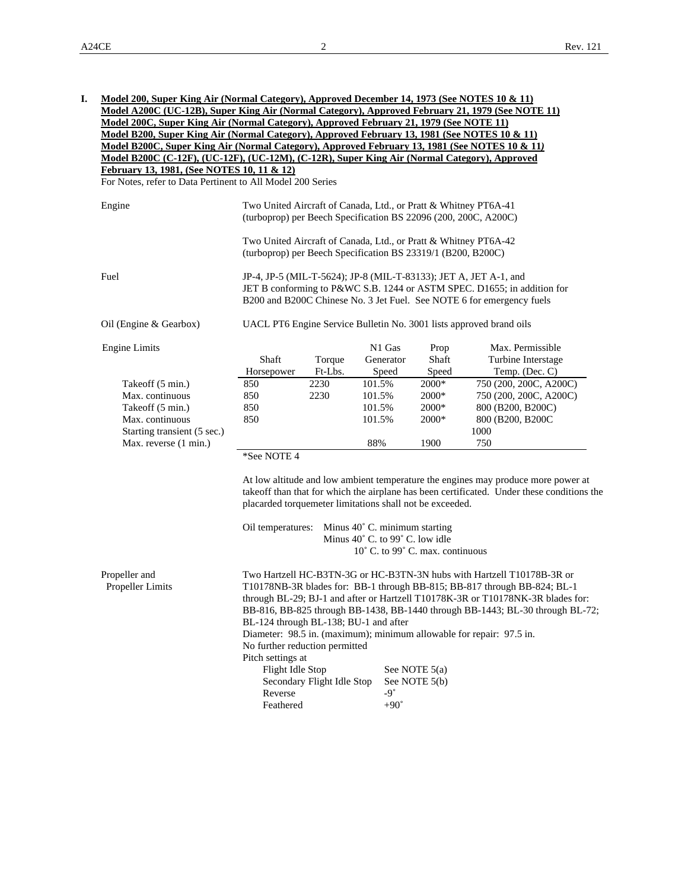| Model B200, Super King Air (Normal Category), Approved February 13, 1981 (See NOTES 10 & 11)<br>Model B200C, Super King Air (Normal Category), Approved February 13, 1981 (See NOTES 10 & 11)<br>Model B200C (C-12F), (UC-12F), (UC-12M), (C-12R), Super King Air (Normal Category), Approved<br>February 13, 1981, (See NOTES 10, 11 & 12)<br>For Notes, refer to Data Pertinent to All Model 200 Series<br>Two United Aircraft of Canada, Ltd., or Pratt & Whitney PT6A-41<br>Engine<br>(turboprop) per Beech Specification BS 22096 (200, 200C, A200C)<br>Two United Aircraft of Canada, Ltd., or Pratt & Whitney PT6A-42<br>(turboprop) per Beech Specification BS 23319/1 (B200, B200C)<br>Fuel<br>JP-4, JP-5 (MIL-T-5624); JP-8 (MIL-T-83133); JET A, JET A-1, and<br>B200 and B200C Chinese No. 3 Jet Fuel. See NOTE 6 for emergency fuels<br>UACL PT6 Engine Service Bulletin No. 3001 lists approved brand oils<br>Oil (Engine & Gearbox)<br>N1 Gas<br>Max. Permissible<br><b>Engine Limits</b><br>Prop<br>Shaft<br>Generator<br>Shaft<br>Turbine Interstage<br>Torque<br>Horsepower<br>Ft-Lbs.<br>Speed<br>Temp. (Dec. C)<br>Speed<br>2230<br>101.5%<br>750 (200, 200C, A200C)<br>2000*<br>Takeoff (5 min.)<br>850<br>Max. continuous<br>850<br>2230<br>101.5%<br>2000*<br>750 (200, 200C, A200C)<br>Takeoff (5 min.)<br>850<br>101.5%<br>2000*<br>800 (B200, B200C)<br>Max. continuous<br>850<br>101.5%<br>2000*<br>800 (B200, B200C)<br>Starting transient (5 sec.)<br>1000<br>88%<br>1900<br>750<br>Max. reverse (1 min.)<br>*See NOTE 4<br>At low altitude and low ambient temperature the engines may produce more power at<br>takeoff than that for which the airplane has been certificated. Under these conditions the<br>placarded torquemeter limitations shall not be exceeded.<br>Minus 40° C. minimum starting<br>Oil temperatures:<br>Minus 40° C. to 99° C. low idle<br>10° C. to 99° C. max. continuous<br>Propeller and<br>Two Hartzell HC-B3TN-3G or HC-B3TN-3N hubs with Hartzell T10178B-3R or<br>Propeller Limits<br>T10178NB-3R blades for: BB-1 through BB-815; BB-817 through BB-824; BL-1<br>through BL-29; BJ-1 and after or Hartzell T10178K-3R or T10178NK-3R blades for:<br>BB-816, BB-825 through BB-1438, BB-1440 through BB-1443; BL-30 through BL-72;<br>BL-124 through BL-138; BU-1 and after<br>Diameter: 98.5 in. (maximum); minimum allowable for repair: 97.5 in.<br>No further reduction permitted<br>Pitch settings at<br>Flight Idle Stop<br>See NOTE $5(a)$<br>Secondary Flight Idle Stop<br>See NOTE 5(b)<br>$-9^\circ$<br>Reverse | <u>Model 200, Super King Air (Normal Category), Approved December 14, 1973 (See NOTES 10 &amp; 11)</u><br>Model A200C (UC-12B), Super King Air (Normal Category), Approved February 21, 1979 (See NOTE 11)<br>Model 200C, Super King Air (Normal Category), Approved February 21, 1979 (See NOTE 11) |                                                                         |  |             |  |  |  |  |  |  |
|-----------------------------------------------------------------------------------------------------------------------------------------------------------------------------------------------------------------------------------------------------------------------------------------------------------------------------------------------------------------------------------------------------------------------------------------------------------------------------------------------------------------------------------------------------------------------------------------------------------------------------------------------------------------------------------------------------------------------------------------------------------------------------------------------------------------------------------------------------------------------------------------------------------------------------------------------------------------------------------------------------------------------------------------------------------------------------------------------------------------------------------------------------------------------------------------------------------------------------------------------------------------------------------------------------------------------------------------------------------------------------------------------------------------------------------------------------------------------------------------------------------------------------------------------------------------------------------------------------------------------------------------------------------------------------------------------------------------------------------------------------------------------------------------------------------------------------------------------------------------------------------------------------------------------------------------------------------------------------------------------------------------------------------------------------------------------------------------------------------------------------------------------------------------------------------------------------------------------------------------------------------------------------------------------------------------------------------------------------------------------------------------------------------------------------------------------------------------------------------------------------------------------------------------------------------------------------------------|------------------------------------------------------------------------------------------------------------------------------------------------------------------------------------------------------------------------------------------------------------------------------------------------------|-------------------------------------------------------------------------|--|-------------|--|--|--|--|--|--|
|                                                                                                                                                                                                                                                                                                                                                                                                                                                                                                                                                                                                                                                                                                                                                                                                                                                                                                                                                                                                                                                                                                                                                                                                                                                                                                                                                                                                                                                                                                                                                                                                                                                                                                                                                                                                                                                                                                                                                                                                                                                                                                                                                                                                                                                                                                                                                                                                                                                                                                                                                                                         |                                                                                                                                                                                                                                                                                                      |                                                                         |  |             |  |  |  |  |  |  |
|                                                                                                                                                                                                                                                                                                                                                                                                                                                                                                                                                                                                                                                                                                                                                                                                                                                                                                                                                                                                                                                                                                                                                                                                                                                                                                                                                                                                                                                                                                                                                                                                                                                                                                                                                                                                                                                                                                                                                                                                                                                                                                                                                                                                                                                                                                                                                                                                                                                                                                                                                                                         |                                                                                                                                                                                                                                                                                                      |                                                                         |  |             |  |  |  |  |  |  |
|                                                                                                                                                                                                                                                                                                                                                                                                                                                                                                                                                                                                                                                                                                                                                                                                                                                                                                                                                                                                                                                                                                                                                                                                                                                                                                                                                                                                                                                                                                                                                                                                                                                                                                                                                                                                                                                                                                                                                                                                                                                                                                                                                                                                                                                                                                                                                                                                                                                                                                                                                                                         |                                                                                                                                                                                                                                                                                                      |                                                                         |  |             |  |  |  |  |  |  |
|                                                                                                                                                                                                                                                                                                                                                                                                                                                                                                                                                                                                                                                                                                                                                                                                                                                                                                                                                                                                                                                                                                                                                                                                                                                                                                                                                                                                                                                                                                                                                                                                                                                                                                                                                                                                                                                                                                                                                                                                                                                                                                                                                                                                                                                                                                                                                                                                                                                                                                                                                                                         |                                                                                                                                                                                                                                                                                                      |                                                                         |  |             |  |  |  |  |  |  |
|                                                                                                                                                                                                                                                                                                                                                                                                                                                                                                                                                                                                                                                                                                                                                                                                                                                                                                                                                                                                                                                                                                                                                                                                                                                                                                                                                                                                                                                                                                                                                                                                                                                                                                                                                                                                                                                                                                                                                                                                                                                                                                                                                                                                                                                                                                                                                                                                                                                                                                                                                                                         |                                                                                                                                                                                                                                                                                                      |                                                                         |  |             |  |  |  |  |  |  |
|                                                                                                                                                                                                                                                                                                                                                                                                                                                                                                                                                                                                                                                                                                                                                                                                                                                                                                                                                                                                                                                                                                                                                                                                                                                                                                                                                                                                                                                                                                                                                                                                                                                                                                                                                                                                                                                                                                                                                                                                                                                                                                                                                                                                                                                                                                                                                                                                                                                                                                                                                                                         |                                                                                                                                                                                                                                                                                                      |                                                                         |  |             |  |  |  |  |  |  |
|                                                                                                                                                                                                                                                                                                                                                                                                                                                                                                                                                                                                                                                                                                                                                                                                                                                                                                                                                                                                                                                                                                                                                                                                                                                                                                                                                                                                                                                                                                                                                                                                                                                                                                                                                                                                                                                                                                                                                                                                                                                                                                                                                                                                                                                                                                                                                                                                                                                                                                                                                                                         |                                                                                                                                                                                                                                                                                                      | JET B conforming to P&WC S.B. 1244 or ASTM SPEC. D1655; in addition for |  |             |  |  |  |  |  |  |
|                                                                                                                                                                                                                                                                                                                                                                                                                                                                                                                                                                                                                                                                                                                                                                                                                                                                                                                                                                                                                                                                                                                                                                                                                                                                                                                                                                                                                                                                                                                                                                                                                                                                                                                                                                                                                                                                                                                                                                                                                                                                                                                                                                                                                                                                                                                                                                                                                                                                                                                                                                                         |                                                                                                                                                                                                                                                                                                      |                                                                         |  |             |  |  |  |  |  |  |
|                                                                                                                                                                                                                                                                                                                                                                                                                                                                                                                                                                                                                                                                                                                                                                                                                                                                                                                                                                                                                                                                                                                                                                                                                                                                                                                                                                                                                                                                                                                                                                                                                                                                                                                                                                                                                                                                                                                                                                                                                                                                                                                                                                                                                                                                                                                                                                                                                                                                                                                                                                                         |                                                                                                                                                                                                                                                                                                      |                                                                         |  |             |  |  |  |  |  |  |
|                                                                                                                                                                                                                                                                                                                                                                                                                                                                                                                                                                                                                                                                                                                                                                                                                                                                                                                                                                                                                                                                                                                                                                                                                                                                                                                                                                                                                                                                                                                                                                                                                                                                                                                                                                                                                                                                                                                                                                                                                                                                                                                                                                                                                                                                                                                                                                                                                                                                                                                                                                                         |                                                                                                                                                                                                                                                                                                      |                                                                         |  |             |  |  |  |  |  |  |
|                                                                                                                                                                                                                                                                                                                                                                                                                                                                                                                                                                                                                                                                                                                                                                                                                                                                                                                                                                                                                                                                                                                                                                                                                                                                                                                                                                                                                                                                                                                                                                                                                                                                                                                                                                                                                                                                                                                                                                                                                                                                                                                                                                                                                                                                                                                                                                                                                                                                                                                                                                                         |                                                                                                                                                                                                                                                                                                      |                                                                         |  |             |  |  |  |  |  |  |
|                                                                                                                                                                                                                                                                                                                                                                                                                                                                                                                                                                                                                                                                                                                                                                                                                                                                                                                                                                                                                                                                                                                                                                                                                                                                                                                                                                                                                                                                                                                                                                                                                                                                                                                                                                                                                                                                                                                                                                                                                                                                                                                                                                                                                                                                                                                                                                                                                                                                                                                                                                                         |                                                                                                                                                                                                                                                                                                      |                                                                         |  |             |  |  |  |  |  |  |
|                                                                                                                                                                                                                                                                                                                                                                                                                                                                                                                                                                                                                                                                                                                                                                                                                                                                                                                                                                                                                                                                                                                                                                                                                                                                                                                                                                                                                                                                                                                                                                                                                                                                                                                                                                                                                                                                                                                                                                                                                                                                                                                                                                                                                                                                                                                                                                                                                                                                                                                                                                                         |                                                                                                                                                                                                                                                                                                      |                                                                         |  |             |  |  |  |  |  |  |
|                                                                                                                                                                                                                                                                                                                                                                                                                                                                                                                                                                                                                                                                                                                                                                                                                                                                                                                                                                                                                                                                                                                                                                                                                                                                                                                                                                                                                                                                                                                                                                                                                                                                                                                                                                                                                                                                                                                                                                                                                                                                                                                                                                                                                                                                                                                                                                                                                                                                                                                                                                                         |                                                                                                                                                                                                                                                                                                      |                                                                         |  |             |  |  |  |  |  |  |
|                                                                                                                                                                                                                                                                                                                                                                                                                                                                                                                                                                                                                                                                                                                                                                                                                                                                                                                                                                                                                                                                                                                                                                                                                                                                                                                                                                                                                                                                                                                                                                                                                                                                                                                                                                                                                                                                                                                                                                                                                                                                                                                                                                                                                                                                                                                                                                                                                                                                                                                                                                                         |                                                                                                                                                                                                                                                                                                      |                                                                         |  |             |  |  |  |  |  |  |
|                                                                                                                                                                                                                                                                                                                                                                                                                                                                                                                                                                                                                                                                                                                                                                                                                                                                                                                                                                                                                                                                                                                                                                                                                                                                                                                                                                                                                                                                                                                                                                                                                                                                                                                                                                                                                                                                                                                                                                                                                                                                                                                                                                                                                                                                                                                                                                                                                                                                                                                                                                                         |                                                                                                                                                                                                                                                                                                      |                                                                         |  |             |  |  |  |  |  |  |
|                                                                                                                                                                                                                                                                                                                                                                                                                                                                                                                                                                                                                                                                                                                                                                                                                                                                                                                                                                                                                                                                                                                                                                                                                                                                                                                                                                                                                                                                                                                                                                                                                                                                                                                                                                                                                                                                                                                                                                                                                                                                                                                                                                                                                                                                                                                                                                                                                                                                                                                                                                                         |                                                                                                                                                                                                                                                                                                      |                                                                         |  |             |  |  |  |  |  |  |
|                                                                                                                                                                                                                                                                                                                                                                                                                                                                                                                                                                                                                                                                                                                                                                                                                                                                                                                                                                                                                                                                                                                                                                                                                                                                                                                                                                                                                                                                                                                                                                                                                                                                                                                                                                                                                                                                                                                                                                                                                                                                                                                                                                                                                                                                                                                                                                                                                                                                                                                                                                                         |                                                                                                                                                                                                                                                                                                      |                                                                         |  |             |  |  |  |  |  |  |
|                                                                                                                                                                                                                                                                                                                                                                                                                                                                                                                                                                                                                                                                                                                                                                                                                                                                                                                                                                                                                                                                                                                                                                                                                                                                                                                                                                                                                                                                                                                                                                                                                                                                                                                                                                                                                                                                                                                                                                                                                                                                                                                                                                                                                                                                                                                                                                                                                                                                                                                                                                                         |                                                                                                                                                                                                                                                                                                      |                                                                         |  |             |  |  |  |  |  |  |
|                                                                                                                                                                                                                                                                                                                                                                                                                                                                                                                                                                                                                                                                                                                                                                                                                                                                                                                                                                                                                                                                                                                                                                                                                                                                                                                                                                                                                                                                                                                                                                                                                                                                                                                                                                                                                                                                                                                                                                                                                                                                                                                                                                                                                                                                                                                                                                                                                                                                                                                                                                                         |                                                                                                                                                                                                                                                                                                      |                                                                         |  |             |  |  |  |  |  |  |
|                                                                                                                                                                                                                                                                                                                                                                                                                                                                                                                                                                                                                                                                                                                                                                                                                                                                                                                                                                                                                                                                                                                                                                                                                                                                                                                                                                                                                                                                                                                                                                                                                                                                                                                                                                                                                                                                                                                                                                                                                                                                                                                                                                                                                                                                                                                                                                                                                                                                                                                                                                                         |                                                                                                                                                                                                                                                                                                      |                                                                         |  |             |  |  |  |  |  |  |
|                                                                                                                                                                                                                                                                                                                                                                                                                                                                                                                                                                                                                                                                                                                                                                                                                                                                                                                                                                                                                                                                                                                                                                                                                                                                                                                                                                                                                                                                                                                                                                                                                                                                                                                                                                                                                                                                                                                                                                                                                                                                                                                                                                                                                                                                                                                                                                                                                                                                                                                                                                                         |                                                                                                                                                                                                                                                                                                      |                                                                         |  |             |  |  |  |  |  |  |
|                                                                                                                                                                                                                                                                                                                                                                                                                                                                                                                                                                                                                                                                                                                                                                                                                                                                                                                                                                                                                                                                                                                                                                                                                                                                                                                                                                                                                                                                                                                                                                                                                                                                                                                                                                                                                                                                                                                                                                                                                                                                                                                                                                                                                                                                                                                                                                                                                                                                                                                                                                                         |                                                                                                                                                                                                                                                                                                      |                                                                         |  |             |  |  |  |  |  |  |
|                                                                                                                                                                                                                                                                                                                                                                                                                                                                                                                                                                                                                                                                                                                                                                                                                                                                                                                                                                                                                                                                                                                                                                                                                                                                                                                                                                                                                                                                                                                                                                                                                                                                                                                                                                                                                                                                                                                                                                                                                                                                                                                                                                                                                                                                                                                                                                                                                                                                                                                                                                                         |                                                                                                                                                                                                                                                                                                      |                                                                         |  |             |  |  |  |  |  |  |
|                                                                                                                                                                                                                                                                                                                                                                                                                                                                                                                                                                                                                                                                                                                                                                                                                                                                                                                                                                                                                                                                                                                                                                                                                                                                                                                                                                                                                                                                                                                                                                                                                                                                                                                                                                                                                                                                                                                                                                                                                                                                                                                                                                                                                                                                                                                                                                                                                                                                                                                                                                                         |                                                                                                                                                                                                                                                                                                      |                                                                         |  |             |  |  |  |  |  |  |
|                                                                                                                                                                                                                                                                                                                                                                                                                                                                                                                                                                                                                                                                                                                                                                                                                                                                                                                                                                                                                                                                                                                                                                                                                                                                                                                                                                                                                                                                                                                                                                                                                                                                                                                                                                                                                                                                                                                                                                                                                                                                                                                                                                                                                                                                                                                                                                                                                                                                                                                                                                                         |                                                                                                                                                                                                                                                                                                      |                                                                         |  |             |  |  |  |  |  |  |
|                                                                                                                                                                                                                                                                                                                                                                                                                                                                                                                                                                                                                                                                                                                                                                                                                                                                                                                                                                                                                                                                                                                                                                                                                                                                                                                                                                                                                                                                                                                                                                                                                                                                                                                                                                                                                                                                                                                                                                                                                                                                                                                                                                                                                                                                                                                                                                                                                                                                                                                                                                                         |                                                                                                                                                                                                                                                                                                      | Feathered                                                               |  | $+90^\circ$ |  |  |  |  |  |  |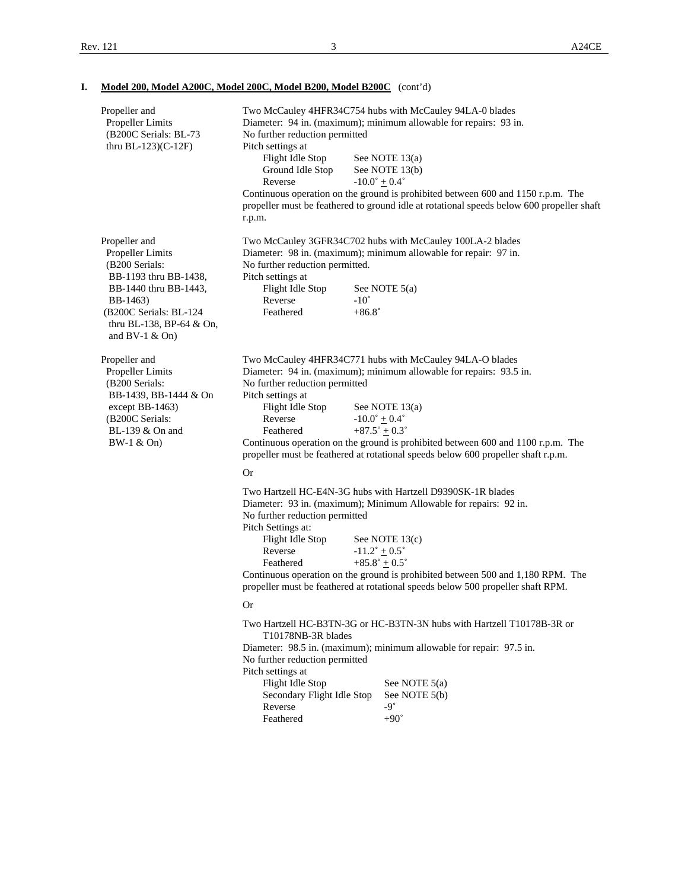| Propeller and<br>Propeller Limits<br>(B200C Serials: BL-73<br>thru $BL-123$ )(C-12F)                                                                                                        | Two McCauley 4HFR34C754 hubs with McCauley 94LA-0 blades<br>Diameter: 94 in. (maximum); minimum allowable for repairs: 93 in.<br>No further reduction permitted<br>Pitch settings at<br>Flight Idle Stop<br>See NOTE 13(a)<br>Ground Idle Stop<br>See NOTE 13(b)<br>Reverse<br>$-10.0^{\circ}$ + 0.4°<br>Continuous operation on the ground is prohibited between 600 and 1150 r.p.m. The<br>propeller must be feathered to ground idle at rotational speeds below 600 propeller shaft<br>r.p.m.    |                                                                                                                                                                                                                                                                                                                                                                                                |  |  |  |  |  |
|---------------------------------------------------------------------------------------------------------------------------------------------------------------------------------------------|-----------------------------------------------------------------------------------------------------------------------------------------------------------------------------------------------------------------------------------------------------------------------------------------------------------------------------------------------------------------------------------------------------------------------------------------------------------------------------------------------------|------------------------------------------------------------------------------------------------------------------------------------------------------------------------------------------------------------------------------------------------------------------------------------------------------------------------------------------------------------------------------------------------|--|--|--|--|--|
| Propeller and<br>Propeller Limits<br>(B200 Serials:<br>BB-1193 thru BB-1438,<br>BB-1440 thru BB-1443,<br>BB-1463)<br>(B200C Serials: BL-124<br>thru BL-138, BP-64 & On,<br>and $BV-1 & On)$ | No further reduction permitted.<br>Pitch settings at<br>Flight Idle Stop<br>Reverse<br>$-10^{\circ}$<br>Feathered                                                                                                                                                                                                                                                                                                                                                                                   | Two McCauley 3GFR34C702 hubs with McCauley 100LA-2 blades<br>Diameter: 98 in. (maximum); minimum allowable for repair: 97 in.<br>See NOTE $5(a)$<br>$+86.8^{\circ}$                                                                                                                                                                                                                            |  |  |  |  |  |
| Propeller and<br>Propeller Limits<br>(B200 Serials:<br>BB-1439, BB-1444 & On<br>except BB-1463)<br>(B200C Serials:<br>BL-139 & On and<br>$BW-1 & On)$                                       | Two McCauley 4HFR34C771 hubs with McCauley 94LA-O blades<br>Diameter: 94 in. (maximum); minimum allowable for repairs: 93.5 in.<br>No further reduction permitted<br>Pitch settings at<br>Flight Idle Stop<br>See NOTE $13(a)$<br>$-10.0^{\circ} + 0.4^{\circ}$<br>Reverse<br>$+87.5^{\circ} \pm 0.3^{\circ}$<br>Feathered<br>Continuous operation on the ground is prohibited between 600 and 1100 r.p.m. The<br>propeller must be feathered at rotational speeds below 600 propeller shaft r.p.m. |                                                                                                                                                                                                                                                                                                                                                                                                |  |  |  |  |  |
|                                                                                                                                                                                             | <b>Or</b><br>No further reduction permitted<br>Pitch Settings at:<br>Flight Idle Stop<br>Reverse<br>Feathered<br><b>Or</b>                                                                                                                                                                                                                                                                                                                                                                          | Two Hartzell HC-E4N-3G hubs with Hartzell D9390SK-1R blades<br>Diameter: 93 in. (maximum); Minimum Allowable for repairs: 92 in.<br>See NOTE 13(c)<br>$-11.2^{\circ} \pm 0.5^{\circ}$<br>$+85.8^{\circ} \pm 0.5^{\circ}$<br>Continuous operation on the ground is prohibited between 500 and 1,180 RPM. The<br>propeller must be feathered at rotational speeds below 500 propeller shaft RPM. |  |  |  |  |  |
|                                                                                                                                                                                             | T10178NB-3R blades<br>No further reduction permitted<br>Pitch settings at<br>Flight Idle Stop<br>Secondary Flight Idle Stop<br>Reverse<br>Feathered                                                                                                                                                                                                                                                                                                                                                 | Two Hartzell HC-B3TN-3G or HC-B3TN-3N hubs with Hartzell T10178B-3R or<br>Diameter: 98.5 in. (maximum); minimum allowable for repair: 97.5 in.<br>See NOTE $5(a)$<br>See NOTE 5(b)<br>$-9^\circ$<br>$+90^\circ$                                                                                                                                                                                |  |  |  |  |  |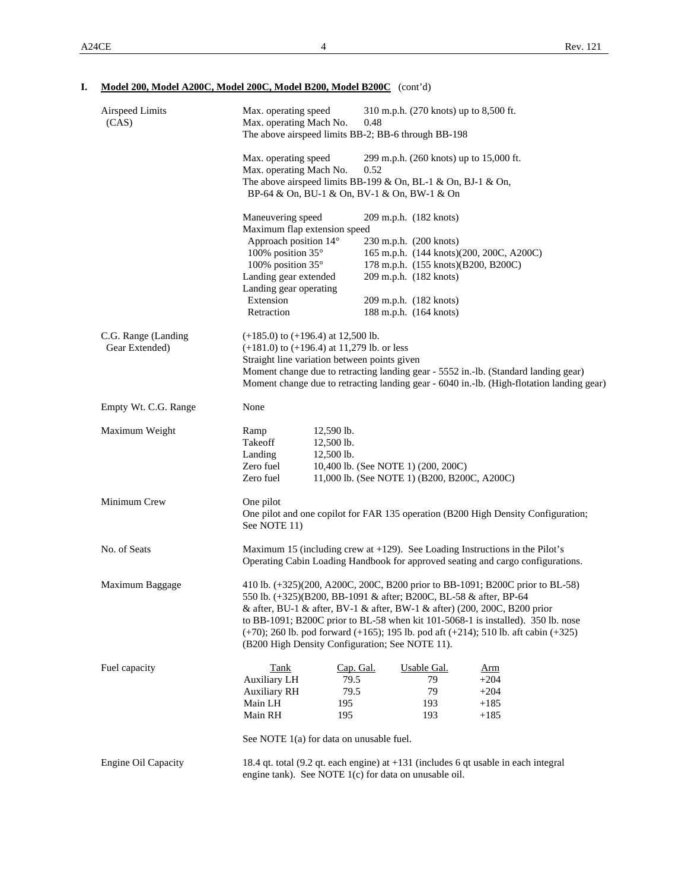| Model 200, Model A200C, Model 200C, Model B200, Model B200C (cont'd) |
|----------------------------------------------------------------------|
|----------------------------------------------------------------------|

| Airspeed Limits<br>(CAS)              | Max. operating speed<br>310 m.p.h. (270 knots) up to 8,500 ft.<br>Max. operating Mach No.<br>0.48<br>The above airspeed limits BB-2; BB-6 through BB-198                                                                                                                                                                                                                                                                                                                 |  |  |  |  |  |  |  |
|---------------------------------------|--------------------------------------------------------------------------------------------------------------------------------------------------------------------------------------------------------------------------------------------------------------------------------------------------------------------------------------------------------------------------------------------------------------------------------------------------------------------------|--|--|--|--|--|--|--|
|                                       | Max. operating speed<br>299 m.p.h. (260 knots) up to 15,000 ft.<br>Max. operating Mach No.<br>0.52<br>The above airspeed limits BB-199 & On, BL-1 & On, BJ-1 & On,<br>BP-64 & On, BU-1 & On, BV-1 & On, BW-1 & On                                                                                                                                                                                                                                                        |  |  |  |  |  |  |  |
|                                       | Maneuvering speed<br>209 m.p.h. (182 knots)<br>Maximum flap extension speed<br>Approach position 14°<br>230 m.p.h. (200 knots)<br>165 m.p.h. (144 knots)(200, 200C, A200C)<br>100% position 35°<br>100% position 35°<br>178 m.p.h. (155 knots)(B200, B200C)<br>Landing gear extended<br>209 m.p.h. (182 knots)<br>Landing gear operating<br>Extension<br>209 m.p.h. (182 knots)<br>Retraction<br>188 m.p.h. (164 knots)                                                  |  |  |  |  |  |  |  |
| C.G. Range (Landing<br>Gear Extended) | $(+185.0)$ to $(+196.4)$ at 12,500 lb.<br>$(+181.0)$ to $(+196.4)$ at 11,279 lb. or less<br>Straight line variation between points given<br>Moment change due to retracting landing gear - 5552 in.-lb. (Standard landing gear)<br>Moment change due to retracting landing gear - 6040 in.-lb. (High-flotation landing gear)                                                                                                                                             |  |  |  |  |  |  |  |
| Empty Wt. C.G. Range                  | None                                                                                                                                                                                                                                                                                                                                                                                                                                                                     |  |  |  |  |  |  |  |
| Maximum Weight                        | $12,590$ lb.<br>Ramp<br>Takeoff<br>12,500 lb.<br>Landing<br>12,500 lb.<br>Zero fuel<br>10,400 lb. (See NOTE 1) (200, 200C)<br>Zero fuel<br>11,000 lb. (See NOTE 1) (B200, B200C, A200C)                                                                                                                                                                                                                                                                                  |  |  |  |  |  |  |  |
| Minimum Crew                          | One pilot<br>One pilot and one copilot for FAR 135 operation (B200 High Density Configuration;<br>See NOTE 11)                                                                                                                                                                                                                                                                                                                                                           |  |  |  |  |  |  |  |
| No. of Seats                          | Maximum 15 (including crew at $+129$ ). See Loading Instructions in the Pilot's<br>Operating Cabin Loading Handbook for approved seating and cargo configurations.                                                                                                                                                                                                                                                                                                       |  |  |  |  |  |  |  |
| Maximum Baggage                       | 410 lb. (+325)(200, A200C, 200C, B200 prior to BB-1091; B200C prior to BL-58)<br>550 lb. (+325)(B200, BB-1091 & after; B200C, BL-58 & after, BP-64<br>& after, BU-1 & after, BV-1 & after, BW-1 & after) (200, 200C, B200 prior<br>to BB-1091; B200C prior to BL-58 when kit 101-5068-1 is installed). 350 lb. nose<br>$(+70)$ ; 260 lb. pod forward $(+165)$ ; 195 lb. pod aft $(+214)$ ; 510 lb. aft cabin $(+325)$<br>(B200 High Density Configuration; See NOTE 11). |  |  |  |  |  |  |  |
| Fuel capacity                         | Cap. Gal.<br><b>Tank</b><br>Usable Gal.<br><u>Arm</u><br>Auxiliary LH<br>79.5<br>$+204$<br>79<br>79.5<br>79<br>$+204$<br><b>Auxiliary RH</b><br>Main LH<br>195<br>193<br>$+185$<br>Main RH<br>195<br>193<br>$+185$<br>See NOTE 1(a) for data on unusable fuel.                                                                                                                                                                                                           |  |  |  |  |  |  |  |
| <b>Engine Oil Capacity</b>            | 18.4 qt. total (9.2 qt. each engine) at +131 (includes 6 qt usable in each integral<br>engine tank). See NOTE 1(c) for data on unusable oil.                                                                                                                                                                                                                                                                                                                             |  |  |  |  |  |  |  |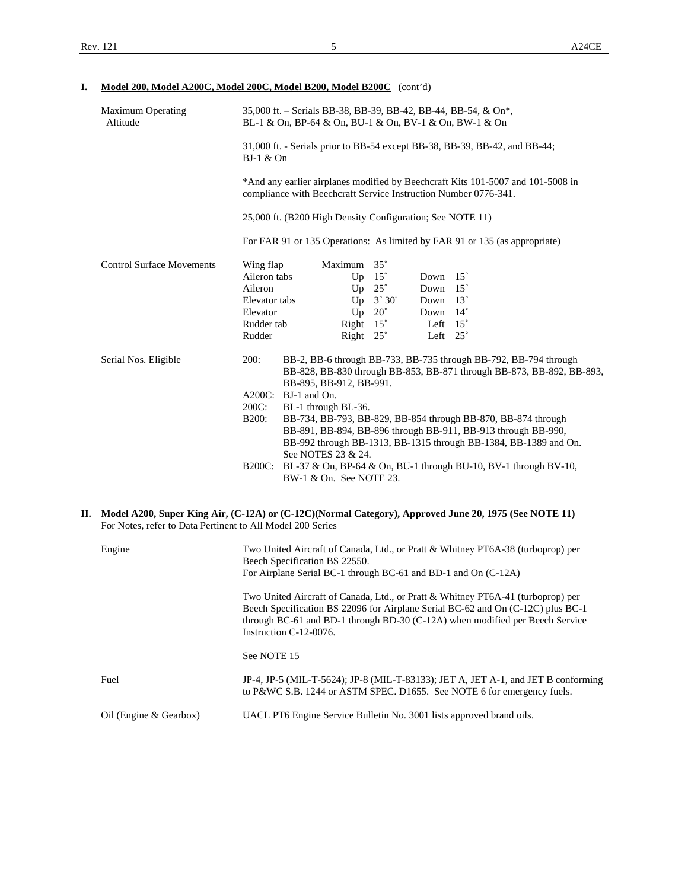# **I. Model 200, Model A200C, Model 200C, Model B200, Model B200C** (cont'd)

| <b>Maximum Operating</b><br>Altitude | 35,000 ft. – Serials BB-38, BB-39, BB-42, BB-44, BB-54, & On*,<br>BL-1 & On, BP-64 & On, BU-1 & On, BV-1 & On, BW-1 & On                           |                                                                                                                                                                                                                          |                  |                 |  |                                                                        |  |  |  |
|--------------------------------------|----------------------------------------------------------------------------------------------------------------------------------------------------|--------------------------------------------------------------------------------------------------------------------------------------------------------------------------------------------------------------------------|------------------|-----------------|--|------------------------------------------------------------------------|--|--|--|
|                                      | 31,000 ft. - Serials prior to BB-54 except BB-38, BB-39, BB-42, and BB-44;<br>$BJ-1$ & On                                                          |                                                                                                                                                                                                                          |                  |                 |  |                                                                        |  |  |  |
|                                      | *And any earlier airplanes modified by Beechcraft Kits 101-5007 and 101-5008 in<br>compliance with Beechcraft Service Instruction Number 0776-341. |                                                                                                                                                                                                                          |                  |                 |  |                                                                        |  |  |  |
|                                      | 25,000 ft. (B200 High Density Configuration; See NOTE 11)                                                                                          |                                                                                                                                                                                                                          |                  |                 |  |                                                                        |  |  |  |
|                                      | For FAR 91 or 135 Operations: As limited by FAR 91 or 135 (as appropriate)                                                                         |                                                                                                                                                                                                                          |                  |                 |  |                                                                        |  |  |  |
| <b>Control Surface Movements</b>     | Wing flap                                                                                                                                          | Maximum 35°                                                                                                                                                                                                              |                  |                 |  |                                                                        |  |  |  |
|                                      | Aileron tabs                                                                                                                                       |                                                                                                                                                                                                                          | Up $15^\circ$    | Down $15^\circ$ |  |                                                                        |  |  |  |
|                                      | Aileron                                                                                                                                            | Up                                                                                                                                                                                                                       | $25^{\circ}$     | Down $15^\circ$ |  |                                                                        |  |  |  |
|                                      | Elevator tabs                                                                                                                                      |                                                                                                                                                                                                                          | Up $3^\circ 30'$ | Down $13^\circ$ |  |                                                                        |  |  |  |
|                                      | Elevator                                                                                                                                           | Up                                                                                                                                                                                                                       | $20^{\circ}$     | Down $14^\circ$ |  |                                                                        |  |  |  |
|                                      | Rudder tab                                                                                                                                         | Right $15^\circ$                                                                                                                                                                                                         |                  | Left $15^\circ$ |  |                                                                        |  |  |  |
|                                      | Rudder                                                                                                                                             | Right $25^\circ$                                                                                                                                                                                                         |                  | Left $25^\circ$ |  |                                                                        |  |  |  |
| Serial Nos. Eligible                 | <b>200:</b>                                                                                                                                        | BB-2, BB-6 through BB-733, BB-735 through BB-792, BB-794 through<br>BB-828, BB-830 through BB-853, BB-871 through BB-873, BB-892, BB-893,<br>BB-895, BB-912, BB-991.                                                     |                  |                 |  |                                                                        |  |  |  |
|                                      | A200C: BJ-1 and On.                                                                                                                                |                                                                                                                                                                                                                          |                  |                 |  |                                                                        |  |  |  |
|                                      | 200C:                                                                                                                                              | BL-1 through BL-36.                                                                                                                                                                                                      |                  |                 |  |                                                                        |  |  |  |
|                                      | <b>B200:</b>                                                                                                                                       | BB-734, BB-793, BB-829, BB-854 through BB-870, BB-874 through<br>BB-891, BB-894, BB-896 through BB-911, BB-913 through BB-990,<br>BB-992 through BB-1313, BB-1315 through BB-1384, BB-1389 and On.<br>See NOTES 23 & 24. |                  |                 |  |                                                                        |  |  |  |
|                                      |                                                                                                                                                    | BW-1 & On. See NOTE 23.                                                                                                                                                                                                  |                  |                 |  | B200C: BL-37 & On, BP-64 & On, BU-1 through BU-10, BV-1 through BV-10, |  |  |  |

#### **II. Model A200, Super King Air, (C-12A) or (C-12C)(Normal Category), Approved June 20, 1975 (See NOTE 11)** For Notes, refer to Data Pertinent to All Model 200 Series

| Engine                 | Two United Aircraft of Canada, Ltd., or Pratt & Whitney PT6A-38 (turboprop) per<br>Beech Specification BS 22550.                                                                                                                                                               |  |  |  |  |  |  |
|------------------------|--------------------------------------------------------------------------------------------------------------------------------------------------------------------------------------------------------------------------------------------------------------------------------|--|--|--|--|--|--|
|                        | For Airplane Serial BC-1 through BC-61 and BD-1 and On (C-12A)                                                                                                                                                                                                                 |  |  |  |  |  |  |
|                        | Two United Aircraft of Canada, Ltd., or Pratt & Whitney PT6A-41 (turboprop) per<br>Beech Specification BS 22096 for Airplane Serial BC-62 and On (C-12C) plus BC-1<br>through BC-61 and BD-1 through BD-30 $(C-12A)$ when modified per Beech Service<br>Instruction C-12-0076. |  |  |  |  |  |  |
|                        | See NOTE 15                                                                                                                                                                                                                                                                    |  |  |  |  |  |  |
| Fuel                   | JP-4, JP-5 (MIL-T-5624); JP-8 (MIL-T-83133); JET A, JET A-1, and JET B conforming<br>to P&WC S.B. 1244 or ASTM SPEC. D1655. See NOTE 6 for emergency fuels.                                                                                                                    |  |  |  |  |  |  |
| Oil (Engine & Gearbox) | UACL PT6 Engine Service Bulletin No. 3001 lists approved brand oils.                                                                                                                                                                                                           |  |  |  |  |  |  |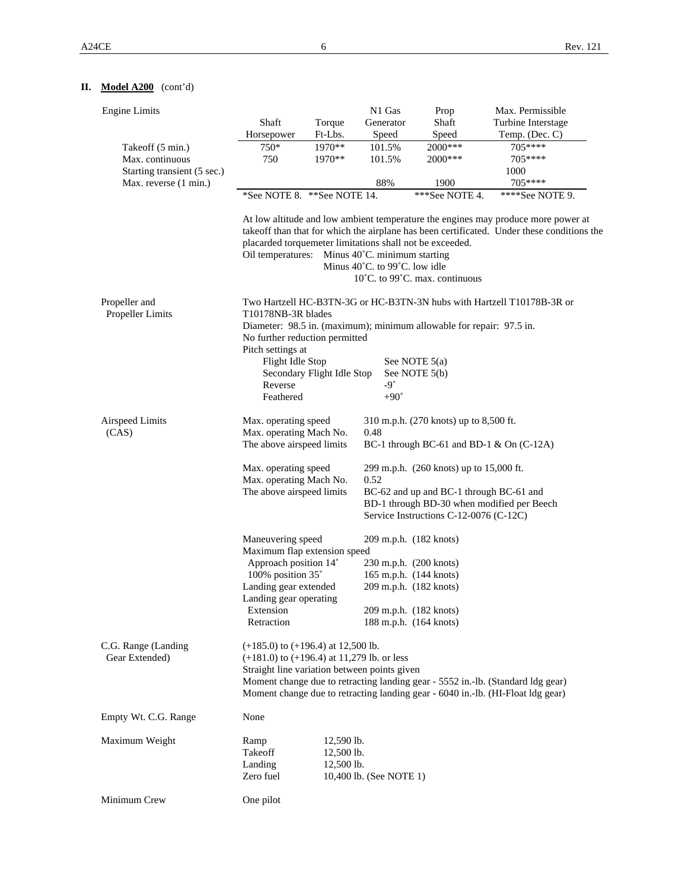# **II. Model A200** (cont'd)

| <b>Engine Limits</b>                  |                                                                                                                                                                                                                                                                                                                                                                                                            |                                                                                                                                                                    | N1 Gas                                                                                                                          | Prop                                    | Max. Permissible                                                       |  |  |  |  |
|---------------------------------------|------------------------------------------------------------------------------------------------------------------------------------------------------------------------------------------------------------------------------------------------------------------------------------------------------------------------------------------------------------------------------------------------------------|--------------------------------------------------------------------------------------------------------------------------------------------------------------------|---------------------------------------------------------------------------------------------------------------------------------|-----------------------------------------|------------------------------------------------------------------------|--|--|--|--|
|                                       | Shaft                                                                                                                                                                                                                                                                                                                                                                                                      | Torque                                                                                                                                                             | Generator                                                                                                                       | Shaft                                   | Turbine Interstage                                                     |  |  |  |  |
|                                       | Horsepower                                                                                                                                                                                                                                                                                                                                                                                                 | Ft-Lbs.                                                                                                                                                            | Speed                                                                                                                           | Speed                                   | Temp. (Dec. C)                                                         |  |  |  |  |
| Takeoff (5 min.)                      | 750*                                                                                                                                                                                                                                                                                                                                                                                                       | 1970**                                                                                                                                                             | 101.5%                                                                                                                          | 2000***                                 | $705***$                                                               |  |  |  |  |
| Max. continuous                       | 750                                                                                                                                                                                                                                                                                                                                                                                                        | 1970**                                                                                                                                                             | 101.5%                                                                                                                          | 2000***                                 | 705****                                                                |  |  |  |  |
| Starting transient (5 sec.)           |                                                                                                                                                                                                                                                                                                                                                                                                            |                                                                                                                                                                    | 88%                                                                                                                             | 1900                                    | 1000<br>705****                                                        |  |  |  |  |
| Max. reverse (1 min.)                 |                                                                                                                                                                                                                                                                                                                                                                                                            |                                                                                                                                                                    |                                                                                                                                 |                                         |                                                                        |  |  |  |  |
|                                       | *See NOTE 8. **See NOTE 14.                                                                                                                                                                                                                                                                                                                                                                                |                                                                                                                                                                    |                                                                                                                                 | ***See NOTE 4.                          | ****See NOTE 9.                                                        |  |  |  |  |
|                                       | At low altitude and low ambient temperature the engines may produce more power at<br>takeoff than that for which the airplane has been certificated. Under these conditions the<br>placarded torquemeter limitations shall not be exceeded.<br>Oil temperatures: Minus 40°C. minimum starting<br>Minus $40^{\circ}$ C. to 99 $^{\circ}$ C. low idle<br>$10^{\circ}$ C. to 99 $^{\circ}$ C. max. continuous |                                                                                                                                                                    |                                                                                                                                 |                                         |                                                                        |  |  |  |  |
| Propeller and<br>Propeller Limits     | T10178NB-3R blades                                                                                                                                                                                                                                                                                                                                                                                         |                                                                                                                                                                    |                                                                                                                                 |                                         | Two Hartzell HC-B3TN-3G or HC-B3TN-3N hubs with Hartzell T10178B-3R or |  |  |  |  |
|                                       | Diameter: 98.5 in. (maximum); minimum allowable for repair: 97.5 in.<br>No further reduction permitted                                                                                                                                                                                                                                                                                                     |                                                                                                                                                                    |                                                                                                                                 |                                         |                                                                        |  |  |  |  |
|                                       | Pitch settings at<br>Flight Idle Stop                                                                                                                                                                                                                                                                                                                                                                      |                                                                                                                                                                    |                                                                                                                                 |                                         |                                                                        |  |  |  |  |
|                                       |                                                                                                                                                                                                                                                                                                                                                                                                            | Secondary Flight Idle Stop                                                                                                                                         | See NOTE $5(a)$<br>See NOTE 5(b)                                                                                                |                                         |                                                                        |  |  |  |  |
|                                       | Reverse                                                                                                                                                                                                                                                                                                                                                                                                    |                                                                                                                                                                    | $-9^\circ$                                                                                                                      |                                         |                                                                        |  |  |  |  |
|                                       | Feathered                                                                                                                                                                                                                                                                                                                                                                                                  |                                                                                                                                                                    | $+90^\circ$                                                                                                                     |                                         |                                                                        |  |  |  |  |
| Airspeed Limits                       | Max. operating speed                                                                                                                                                                                                                                                                                                                                                                                       |                                                                                                                                                                    | 0.48                                                                                                                            | 310 m.p.h. (270 knots) up to 8,500 ft.  |                                                                        |  |  |  |  |
| (CAS)                                 | Max. operating Mach No.<br>The above airspeed limits                                                                                                                                                                                                                                                                                                                                                       |                                                                                                                                                                    | BC-1 through BC-61 and BD-1 $\&$ On (C-12A)                                                                                     |                                         |                                                                        |  |  |  |  |
|                                       | Max. operating speed<br>Max. operating Mach No.                                                                                                                                                                                                                                                                                                                                                            |                                                                                                                                                                    | 0.52                                                                                                                            | 299 m.p.h. (260 knots) up to 15,000 ft. |                                                                        |  |  |  |  |
|                                       | The above airspeed limits                                                                                                                                                                                                                                                                                                                                                                                  |                                                                                                                                                                    | BC-62 and up and BC-1 through BC-61 and<br>BD-1 through BD-30 when modified per Beech<br>Service Instructions C-12-0076 (C-12C) |                                         |                                                                        |  |  |  |  |
|                                       | Maneuvering speed<br>Maximum flap extension speed                                                                                                                                                                                                                                                                                                                                                          |                                                                                                                                                                    | 209 m.p.h. (182 knots)                                                                                                          |                                         |                                                                        |  |  |  |  |
|                                       | Approach position 14°                                                                                                                                                                                                                                                                                                                                                                                      |                                                                                                                                                                    |                                                                                                                                 | 230 m.p.h. (200 knots)                  |                                                                        |  |  |  |  |
|                                       | 100% position 35°                                                                                                                                                                                                                                                                                                                                                                                          |                                                                                                                                                                    | 165 m.p.h. (144 knots)                                                                                                          |                                         |                                                                        |  |  |  |  |
|                                       | Landing gear extended<br>Landing gear operating                                                                                                                                                                                                                                                                                                                                                            |                                                                                                                                                                    | 209 m.p.h. (182 knots)                                                                                                          |                                         |                                                                        |  |  |  |  |
|                                       | Extension<br>Retraction                                                                                                                                                                                                                                                                                                                                                                                    |                                                                                                                                                                    | 209 m.p.h. (182 knots)<br>188 m.p.h. (164 knots)                                                                                |                                         |                                                                        |  |  |  |  |
| C.G. Range (Landing<br>Gear Extended) | $(+185.0)$ to $(+196.4)$ at 12,500 lb.<br>$(+181.0)$ to $(+196.4)$ at 11,279 lb. or less<br>Straight line variation between points given                                                                                                                                                                                                                                                                   | Moment change due to retracting landing gear - 5552 in.-lb. (Standard ldg gear)<br>Moment change due to retracting landing gear - 6040 in.-lb. (HI-Float ldg gear) |                                                                                                                                 |                                         |                                                                        |  |  |  |  |
| Empty Wt. C.G. Range                  | None                                                                                                                                                                                                                                                                                                                                                                                                       |                                                                                                                                                                    |                                                                                                                                 |                                         |                                                                        |  |  |  |  |
| Maximum Weight                        | Ramp                                                                                                                                                                                                                                                                                                                                                                                                       | 12,590 lb.                                                                                                                                                         |                                                                                                                                 |                                         |                                                                        |  |  |  |  |
|                                       | Takeoff                                                                                                                                                                                                                                                                                                                                                                                                    | 12,500 lb.                                                                                                                                                         |                                                                                                                                 |                                         |                                                                        |  |  |  |  |
|                                       | Landing                                                                                                                                                                                                                                                                                                                                                                                                    | 12,500 lb.                                                                                                                                                         |                                                                                                                                 |                                         |                                                                        |  |  |  |  |
|                                       | Zero fuel                                                                                                                                                                                                                                                                                                                                                                                                  |                                                                                                                                                                    | 10,400 lb. (See NOTE 1)                                                                                                         |                                         |                                                                        |  |  |  |  |
| Minimum Crew                          | One pilot                                                                                                                                                                                                                                                                                                                                                                                                  |                                                                                                                                                                    |                                                                                                                                 |                                         |                                                                        |  |  |  |  |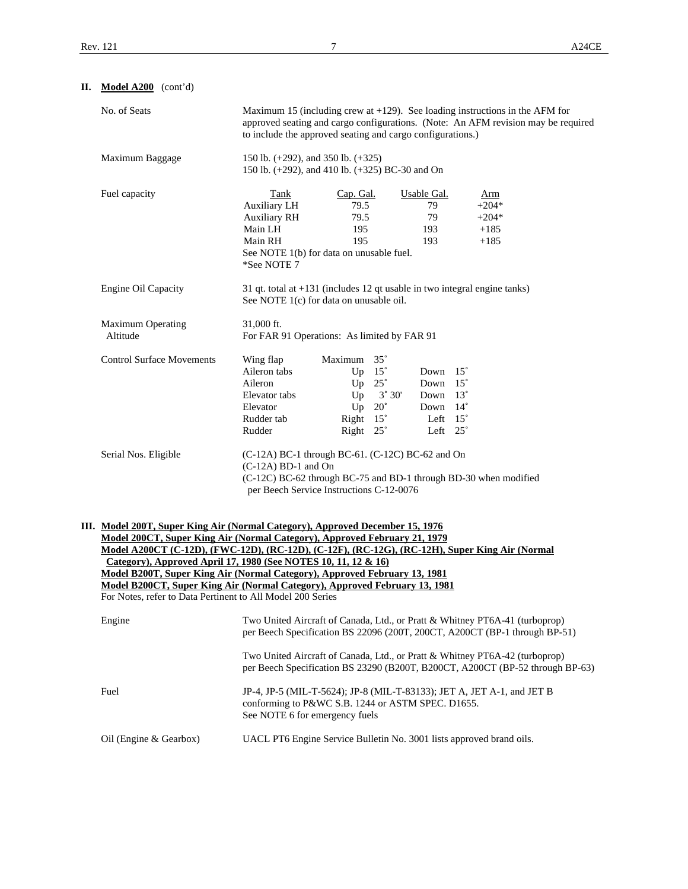| П. | Model A200 (cont'd)                                                                                                                                                                                                                                                                                                                                                                                                                                                                                                                                     |                                                                                                                                                                                                                                    |                                              |                                                                         |                                                                                                         |  |                                                                                                                                                              |  |  |
|----|---------------------------------------------------------------------------------------------------------------------------------------------------------------------------------------------------------------------------------------------------------------------------------------------------------------------------------------------------------------------------------------------------------------------------------------------------------------------------------------------------------------------------------------------------------|------------------------------------------------------------------------------------------------------------------------------------------------------------------------------------------------------------------------------------|----------------------------------------------|-------------------------------------------------------------------------|---------------------------------------------------------------------------------------------------------|--|--------------------------------------------------------------------------------------------------------------------------------------------------------------|--|--|
|    | No. of Seats                                                                                                                                                                                                                                                                                                                                                                                                                                                                                                                                            | Maximum 15 (including crew at $+129$ ). See loading instructions in the AFM for<br>approved seating and cargo configurations. (Note: An AFM revision may be required<br>to include the approved seating and cargo configurations.) |                                              |                                                                         |                                                                                                         |  |                                                                                                                                                              |  |  |
|    | Maximum Baggage                                                                                                                                                                                                                                                                                                                                                                                                                                                                                                                                         | 150 lb. (+292), and 350 lb. (+325)<br>150 lb. (+292), and 410 lb. (+325) BC-30 and On                                                                                                                                              |                                              |                                                                         |                                                                                                         |  |                                                                                                                                                              |  |  |
|    | Fuel capacity                                                                                                                                                                                                                                                                                                                                                                                                                                                                                                                                           | Tank<br>Auxiliary LH<br><b>Auxiliary RH</b><br>Main LH<br>Main RH<br>See NOTE 1(b) for data on unusable fuel.<br>*See NOTE 7                                                                                                       | Cap. Gal.<br>79.5<br>79.5<br>195<br>195      |                                                                         | Usable Gal.<br>79<br>79<br>193<br>193                                                                   |  | <u>Arm</u><br>$+204*$<br>$+204*$<br>$+185$<br>$+185$                                                                                                         |  |  |
|    | Engine Oil Capacity                                                                                                                                                                                                                                                                                                                                                                                                                                                                                                                                     | 31 qt. total at $+131$ (includes 12 qt usable in two integral engine tanks)<br>See NOTE 1(c) for data on unusable oil.                                                                                                             |                                              |                                                                         |                                                                                                         |  |                                                                                                                                                              |  |  |
|    | <b>Maximum Operating</b><br>Altitude                                                                                                                                                                                                                                                                                                                                                                                                                                                                                                                    | 31,000 ft.<br>For FAR 91 Operations: As limited by FAR 91                                                                                                                                                                          |                                              |                                                                         |                                                                                                         |  |                                                                                                                                                              |  |  |
|    | <b>Control Surface Movements</b>                                                                                                                                                                                                                                                                                                                                                                                                                                                                                                                        | Wing flap<br>Aileron tabs<br>Aileron<br>Elevator tabs<br>Elevator<br>Rudder tab<br>Rudder                                                                                                                                          | Maximum 35°<br>Right 15°<br>Right $25^\circ$ | Up $15^\circ$<br>Up $25^\circ$<br>$Up \ 3^{\circ} 30'$<br>Up $20^\circ$ | Down 15°<br>Down $15^\circ$<br>Down $13^\circ$<br>Down $14^\circ$<br>Left $15^\circ$<br>Left $25^\circ$ |  |                                                                                                                                                              |  |  |
|    | Serial Nos. Eligible                                                                                                                                                                                                                                                                                                                                                                                                                                                                                                                                    | (C-12A) BC-1 through BC-61. (C-12C) BC-62 and On<br>$(C-12A)$ BD-1 and On<br>(C-12C) BC-62 through BC-75 and BD-1 through BD-30 when modified<br>per Beech Service Instructions C-12-0076                                          |                                              |                                                                         |                                                                                                         |  |                                                                                                                                                              |  |  |
|    | III. Model 200T, Super King Air (Normal Category), Approved December 15, 1976<br>Model 200CT, Super King Air (Normal Category), Approved February 21, 1979<br>Model A200CT (C-12D), (FWC-12D), (RC-12D), (C-12F), (RC-12G), (RC-12H), Super King Air (Normal<br>Category), Approved April 17, 1980 (See NOTES 10, 11, 12 & 16)<br>Model B200T, Super King Air (Normal Category), Approved February 13, 1981<br>Model B200CT, Super King Air (Normal Category), Approved February 13, 1981<br>For Notes, refer to Data Pertinent to All Model 200 Series |                                                                                                                                                                                                                                    |                                              |                                                                         |                                                                                                         |  |                                                                                                                                                              |  |  |
|    | Engine                                                                                                                                                                                                                                                                                                                                                                                                                                                                                                                                                  |                                                                                                                                                                                                                                    |                                              |                                                                         |                                                                                                         |  | Two United Aircraft of Canada, Ltd., or Pratt & Whitney PT6A-41 (turboprop)<br>per Beech Specification BS 22096 (200T, 200CT, A200CT (BP-1 through BP-51)    |  |  |
|    |                                                                                                                                                                                                                                                                                                                                                                                                                                                                                                                                                         |                                                                                                                                                                                                                                    |                                              |                                                                         |                                                                                                         |  | Two United Aircraft of Canada, Ltd., or Pratt & Whitney PT6A-42 (turboprop)<br>per Beech Specification BS 23290 (B200T, B200CT, A200CT (BP-52 through BP-63) |  |  |
|    | Fuel                                                                                                                                                                                                                                                                                                                                                                                                                                                                                                                                                    | conforming to P&WC S.B. 1244 or ASTM SPEC. D1655.<br>See NOTE 6 for emergency fuels                                                                                                                                                |                                              |                                                                         |                                                                                                         |  | JP-4, JP-5 (MIL-T-5624); JP-8 (MIL-T-83133); JET A, JET A-1, and JET B                                                                                       |  |  |
|    | Oil (Engine & Gearbox)                                                                                                                                                                                                                                                                                                                                                                                                                                                                                                                                  | UACL PT6 Engine Service Bulletin No. 3001 lists approved brand oils.                                                                                                                                                               |                                              |                                                                         |                                                                                                         |  |                                                                                                                                                              |  |  |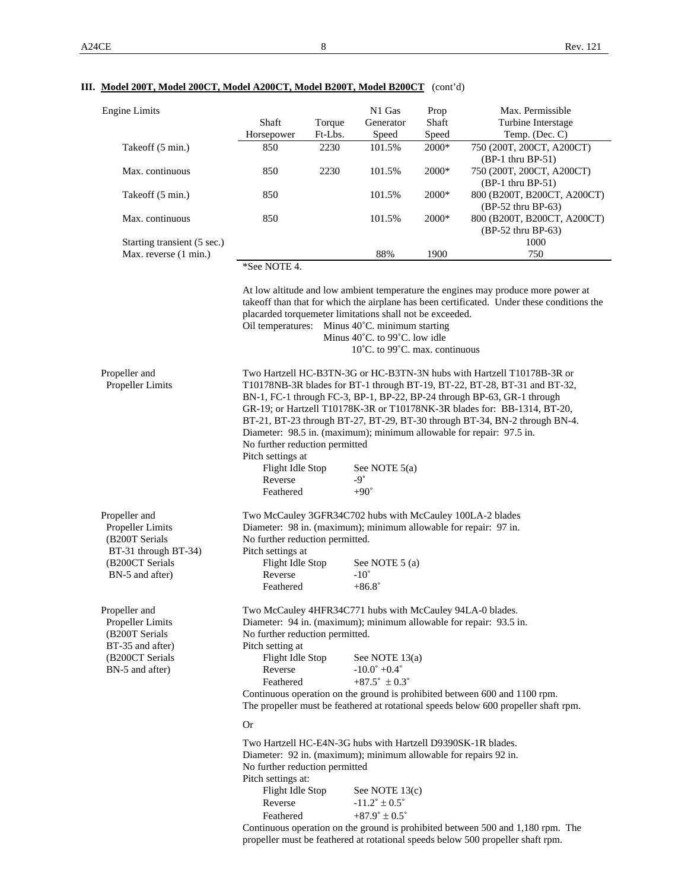# **III. Model 200T, Model 200CT, Model A200CT, Model B200T, Model B200CT** (cont'd)

| Engine Limits               |              |         | N1 Gas    | Prop    | Max. Permissible            |
|-----------------------------|--------------|---------|-----------|---------|-----------------------------|
|                             | Shaft        | Torque  | Generator | Shaft   | Turbine Interstage          |
|                             | Horsepower   | Ft-Lbs. | Speed     | Speed   | Temp. $(Dec. C)$            |
| Takeoff (5 min.)            | 850          | 2230    | 101.5%    | $2000*$ | 750 (200T, 200CT, A200CT)   |
|                             |              |         |           |         | $(BP-1)$ thru BP-51)        |
| Max. continuous             | 850          | 2230    | 101.5%    | $2000*$ | 750 (200T, 200CT, A200CT)   |
|                             |              |         |           |         | $(BP-1)$ thru BP-51)        |
| Takeoff (5 min.)            | 850          |         | 101.5%    | $2000*$ | 800 (B200T, B200CT, A200CT) |
|                             |              |         |           |         | $(BP-52$ thru BP-63)        |
| Max. continuous             | 850          |         | 101.5%    | $2000*$ | 800 (B200T, B200CT, A200CT) |
|                             |              |         |           |         | (BP-52 thru BP-63)          |
| Starting transient (5 sec.) |              |         |           |         | 1000                        |
| Max. reverse (1 min.)       |              |         | 88%       | 1900    | 750                         |
|                             | *See NOTE 4. |         |           |         |                             |
|                             |              |         |           |         |                             |

| Max. reverse (1 min.)                                                                                             |                                                                                                                                                                                                                                                                                                                                                                                                                                                                                                                                                                     | 88%                                                                                  | 1900                           | 750                                                                                                                                                                             |
|-------------------------------------------------------------------------------------------------------------------|---------------------------------------------------------------------------------------------------------------------------------------------------------------------------------------------------------------------------------------------------------------------------------------------------------------------------------------------------------------------------------------------------------------------------------------------------------------------------------------------------------------------------------------------------------------------|--------------------------------------------------------------------------------------|--------------------------------|---------------------------------------------------------------------------------------------------------------------------------------------------------------------------------|
|                                                                                                                   | *See NOTE 4.                                                                                                                                                                                                                                                                                                                                                                                                                                                                                                                                                        |                                                                                      |                                |                                                                                                                                                                                 |
|                                                                                                                   | placarded torquemeter limitations shall not be exceeded.<br>Oil temperatures: Minus 40°C. minimum starting                                                                                                                                                                                                                                                                                                                                                                                                                                                          | Minus 40°C. to 99°C. low idle                                                        | 10°C. to 99°C. max. continuous | At low altitude and low ambient temperature the engines may produce more power at<br>takeoff than that for which the airplane has been certificated. Under these conditions the |
| Propeller and<br>Propeller Limits                                                                                 | Two Hartzell HC-B3TN-3G or HC-B3TN-3N hubs with Hartzell T10178B-3R or<br>T10178NB-3R blades for BT-1 through BT-19, BT-22, BT-28, BT-31 and BT-32,<br>BN-1, FC-1 through FC-3, BP-1, BP-22, BP-24 through BP-63, GR-1 through<br>GR-19; or Hartzell T10178K-3R or T10178NK-3R blades for: BB-1314, BT-20,<br>BT-21, BT-23 through BT-27, BT-29, BT-30 through BT-34, BN-2 through BN-4.<br>Diameter: 98.5 in. (maximum); minimum allowable for repair: 97.5 in.<br>No further reduction permitted<br>Pitch settings at<br>Flight Idle Stop<br>Reverse<br>Feathered | See NOTE $5(a)$<br>$-9^{\circ}$<br>$+90^\circ$                                       |                                |                                                                                                                                                                                 |
| Propeller and<br>Propeller Limits<br>(B200T Serials<br>BT-31 through BT-34)<br>(B200CT Serials<br>BN-5 and after) | Two McCauley 3GFR34C702 hubs with McCauley 100LA-2 blades<br>Diameter: 98 in. (maximum); minimum allowable for repair: 97 in.<br>No further reduction permitted.<br>Pitch settings at<br>Flight Idle Stop<br>Reverse<br>Feathered                                                                                                                                                                                                                                                                                                                                   | See NOTE 5 (a)<br>$-10^{\circ}$<br>$+86.8^\circ$                                     |                                |                                                                                                                                                                                 |
| Propeller and<br>Propeller Limits<br>(B200T Serials<br>BT-35 and after)<br>(B200CT Serials<br>BN-5 and after)     | Two McCauley 4HFR34C771 hubs with McCauley 94LA-0 blades.<br>Diameter: 94 in. (maximum); minimum allowable for repair: 93.5 in.<br>No further reduction permitted.<br>Pitch setting at<br>Flight Idle Stop<br>Reverse<br>Feathered<br>Continuous operation on the ground is prohibited between 600 and 1100 rpm.                                                                                                                                                                                                                                                    | See NOTE 13(a)<br>$-10.0^{\circ}$ +0.4°<br>$+87.5^{\circ} \pm 0.3^{\circ}$           |                                | The propeller must be feathered at rotational speeds below 600 propeller shaft rpm.                                                                                             |
|                                                                                                                   | <b>Or</b>                                                                                                                                                                                                                                                                                                                                                                                                                                                                                                                                                           |                                                                                      |                                |                                                                                                                                                                                 |
|                                                                                                                   | Two Hartzell HC-E4N-3G hubs with Hartzell D9390SK-1R blades.<br>Diameter: 92 in. (maximum); minimum allowable for repairs 92 in.<br>No further reduction permitted<br>Pitch settings at:<br>Flight Idle Stop<br>Reverse<br>Feathered<br>propeller must be feathered at rotational speeds below 500 propeller shaft rpm.                                                                                                                                                                                                                                             | See NOTE 13(c)<br>$-11.2^{\circ} \pm 0.5^{\circ}$<br>$+87.9^{\circ} \pm 0.5^{\circ}$ |                                | Continuous operation on the ground is prohibited between 500 and 1,180 rpm. The                                                                                                 |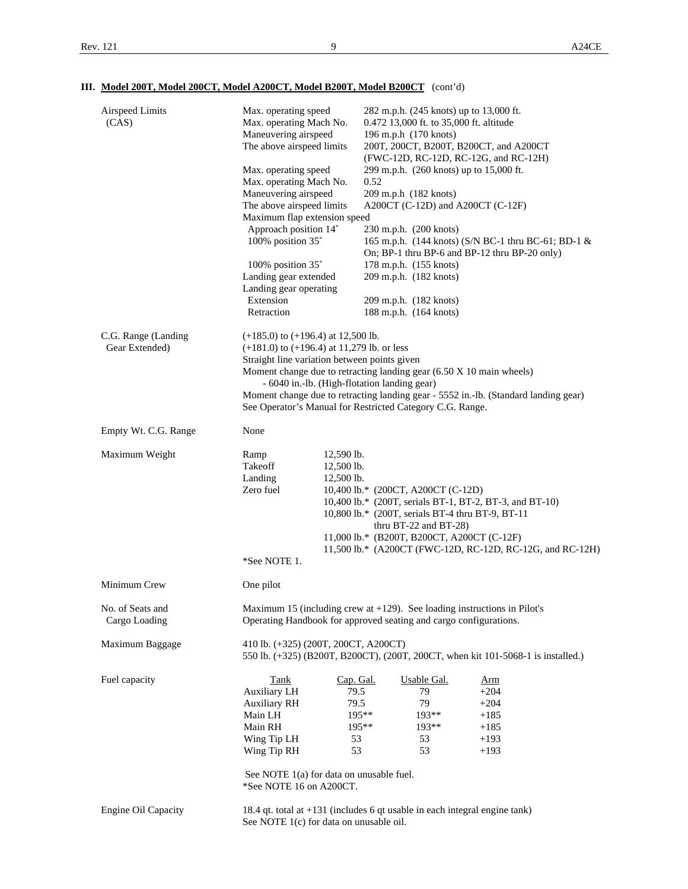# **III. Model 200T, Model 200CT, Model A200CT, Model B200T, Model B200CT** (cont'd)

|                                       | Maneuvering airspeed<br>The above airspeed limits                                        | 196 m.p.h (170 knots)<br>200T, 200CT, B200T, B200CT, and A200CT<br>(FWC-12D, RC-12D, RC-12G, and RC-12H) | 0.472 13,000 ft. to 35,000 ft. altitude                                                              |
|---------------------------------------|------------------------------------------------------------------------------------------|----------------------------------------------------------------------------------------------------------|------------------------------------------------------------------------------------------------------|
|                                       | Max. operating speed<br>Max. operating Mach No.                                          | 299 m.p.h. (260 knots) up to 15,000 ft.<br>0.52                                                          |                                                                                                      |
|                                       | Maneuvering airspeed                                                                     | 209 m.p.h (182 knots)                                                                                    |                                                                                                      |
|                                       | The above airspeed limits                                                                | A200CT (C-12D) and A200CT (C-12F)                                                                        |                                                                                                      |
|                                       | Maximum flap extension speed                                                             |                                                                                                          |                                                                                                      |
|                                       | Approach position 14°<br>100% position 35°                                               | 230 m.p.h. (200 knots)                                                                                   | 165 m.p.h. (144 knots) (S/N BC-1 thru BC-61; BD-1 &<br>On; BP-1 thru BP-6 and BP-12 thru BP-20 only) |
|                                       | 100% position 35°                                                                        | 178 m.p.h. (155 knots)                                                                                   |                                                                                                      |
|                                       | Landing gear extended                                                                    | 209 m.p.h. (182 knots)                                                                                   |                                                                                                      |
|                                       | Landing gear operating                                                                   |                                                                                                          |                                                                                                      |
|                                       | Extension                                                                                | 209 m.p.h. (182 knots)                                                                                   |                                                                                                      |
|                                       | Retraction                                                                               | 188 m.p.h. (164 knots)                                                                                   |                                                                                                      |
| C.G. Range (Landing<br>Gear Extended) | $(+185.0)$ to $(+196.4)$ at 12,500 lb.<br>$(+181.0)$ to $(+196.4)$ at 11,279 lb. or less |                                                                                                          |                                                                                                      |
|                                       | Straight line variation between points given                                             |                                                                                                          |                                                                                                      |
|                                       | - 6040 in.-lb. (High-flotation landing gear)                                             | Moment change due to retracting landing gear (6.50 X 10 main wheels)                                     |                                                                                                      |
|                                       |                                                                                          | See Operator's Manual for Restricted Category C.G. Range.                                                | Moment change due to retracting landing gear - 5552 in.-lb. (Standard landing gear)                  |
| Empty Wt. C.G. Range                  | None                                                                                     |                                                                                                          |                                                                                                      |
| Maximum Weight                        | $12,590$ lb.<br>Ramp                                                                     |                                                                                                          |                                                                                                      |
|                                       | Takeoff<br>12,500 lb.                                                                    |                                                                                                          |                                                                                                      |
|                                       | 12,500 lb.<br>Landing<br>Zero fuel                                                       | 10,400 lb.* (200CT, A200CT (C-12D)                                                                       |                                                                                                      |
|                                       |                                                                                          | 10,400 lb.* (200T, serials BT-1, BT-2, BT-3, and BT-10)                                                  |                                                                                                      |
|                                       |                                                                                          | 10,800 lb.* (200T, serials BT-4 thru BT-9, BT-11                                                         |                                                                                                      |
|                                       |                                                                                          | thru BT-22 and BT-28)                                                                                    |                                                                                                      |
|                                       |                                                                                          | 11,000 lb.* (B200T, B200CT, A200CT (C-12F)                                                               |                                                                                                      |
|                                       | *See NOTE 1.                                                                             |                                                                                                          | 11,500 lb.* (A200CT (FWC-12D, RC-12D, RC-12G, and RC-12H)                                            |
|                                       |                                                                                          |                                                                                                          |                                                                                                      |
| Minimum Crew                          | One pilot                                                                                |                                                                                                          |                                                                                                      |
| No. of Seats and                      |                                                                                          | Maximum 15 (including crew at $+129$ ). See loading instructions in Pilot's                              |                                                                                                      |
| Cargo Loading                         |                                                                                          | Operating Handbook for approved seating and cargo configurations.                                        |                                                                                                      |
|                                       |                                                                                          |                                                                                                          |                                                                                                      |
| Maximum Baggage                       | 410 lb. (+325) (200T, 200CT, A200CT)                                                     |                                                                                                          | 550 lb. (+325) (B200T, B200CT), (200T, 200CT, when kit 101-5068-1 is installed.)                     |
| Fuel capacity                         | Tank                                                                                     | Cap. Gal.<br>Usable Gal.                                                                                 | <u>Arm</u>                                                                                           |
|                                       | <b>Auxiliary LH</b>                                                                      | 79.5<br>79                                                                                               | $+204$                                                                                               |
|                                       | <b>Auxiliary RH</b>                                                                      | 79.5<br>79                                                                                               | $+204$                                                                                               |
|                                       | Main LH                                                                                  | 195**<br>193**                                                                                           | $+185$                                                                                               |
|                                       | Main RH                                                                                  | 195**<br>$193**$                                                                                         | $+185$                                                                                               |
|                                       | Wing Tip LH<br>Wing Tip RH                                                               | 53<br>53<br>53<br>53                                                                                     | $+193$<br>$+193$                                                                                     |
|                                       |                                                                                          |                                                                                                          |                                                                                                      |
|                                       | See NOTE 1(a) for data on unusable fuel.                                                 |                                                                                                          |                                                                                                      |
|                                       | *See NOTE 16 on A200CT.                                                                  |                                                                                                          |                                                                                                      |
|                                       |                                                                                          |                                                                                                          |                                                                                                      |
| <b>Engine Oil Capacity</b>            | See NOTE 1(c) for data on unusable oil.                                                  | 18.4 qt. total at $+131$ (includes 6 qt usable in each integral engine tank)                             |                                                                                                      |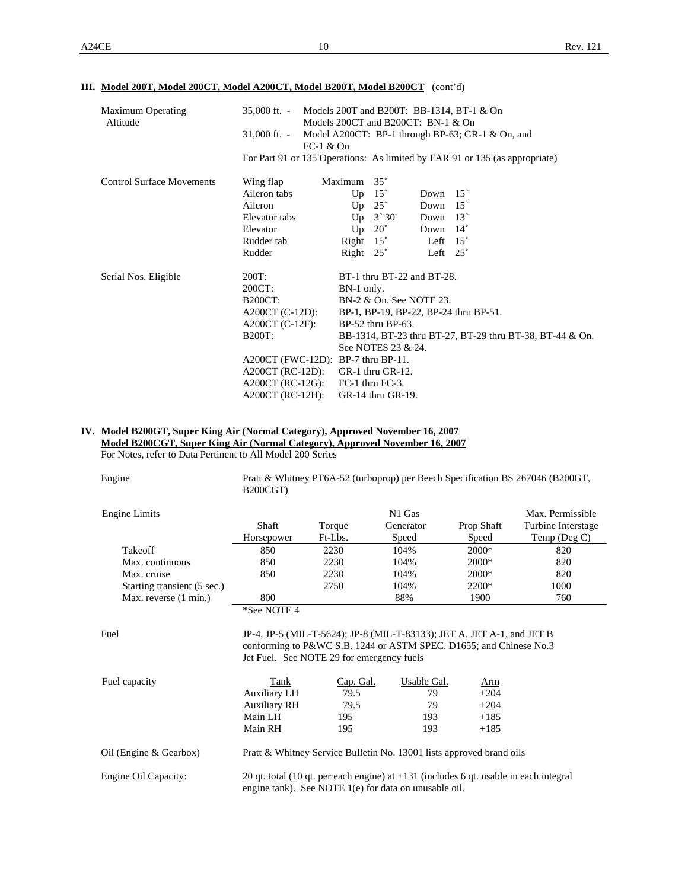#### **III. Model 200T, Model 200CT, Model A200CT, Model B200T, Model B200CT** (cont'd)

| <b>Maximum Operating</b><br>Altitude | Models 200T and B200T: BB-1314, BT-1 $&$ On<br>$35,000$ ft. -<br>Models 200CT and B200CT: BN-1 & On |                                                                             |  |  |  |  |
|--------------------------------------|-----------------------------------------------------------------------------------------------------|-----------------------------------------------------------------------------|--|--|--|--|
|                                      | $31,000$ ft. $-$<br>$FC-1 & On$                                                                     | Model A200CT: BP-1 through BP-63; GR-1 $\&$ On, and                         |  |  |  |  |
|                                      |                                                                                                     | For Part 91 or 135 Operations: As limited by FAR 91 or 135 (as appropriate) |  |  |  |  |
| <b>Control Surface Movements</b>     | Wing flap                                                                                           | $35^\circ$<br>Maximum                                                       |  |  |  |  |
|                                      | Aileron tabs                                                                                        | $15^\circ$<br>$15^\circ$<br>Up<br>Down                                      |  |  |  |  |
|                                      | Aileron                                                                                             | $25^{\circ}$<br>Up<br>$15^\circ$<br>Down                                    |  |  |  |  |
|                                      | Elevator tabs                                                                                       | $3^\circ 30'$<br>$13^\circ$<br>Up<br>Down                                   |  |  |  |  |
|                                      | Elevator                                                                                            | $20^{\circ}$<br>$14^{\circ}$<br>Up<br>Down                                  |  |  |  |  |
|                                      | Rudder tab                                                                                          | $15^{\circ}$<br>Right<br>$15^\circ$<br>Left                                 |  |  |  |  |
|                                      | Rudder                                                                                              | Right $25^\circ$<br>Left $25^\circ$                                         |  |  |  |  |
| Serial Nos. Eligible                 | 200T:                                                                                               | BT-1 thru BT-22 and BT-28.                                                  |  |  |  |  |
|                                      | 200CT:                                                                                              | BN-1 only.                                                                  |  |  |  |  |
|                                      | <b>B200CT:</b>                                                                                      | BN-2 & On. See NOTE 23.                                                     |  |  |  |  |
|                                      | $A200CT (C-12D)$ :                                                                                  | BP-1, BP-19, BP-22, BP-24 thru BP-51.                                       |  |  |  |  |
|                                      | $A200CT$ (C-12F):                                                                                   | BP-52 thru BP-63.                                                           |  |  |  |  |
|                                      | <b>B200T:</b>                                                                                       | BB-1314, BT-23 thru BT-27, BT-29 thru BT-38, BT-44 & On.                    |  |  |  |  |
|                                      |                                                                                                     | See NOTES 23 & 24.                                                          |  |  |  |  |
|                                      | $A200CT$ (FWC-12D): BP-7 thru BP-11.                                                                |                                                                             |  |  |  |  |
|                                      | $A200CT$ (RC-12D): GR-1 thru GR-12.                                                                 |                                                                             |  |  |  |  |
|                                      | $A200CT$ (RC-12G): FC-1 thru FC-3.                                                                  |                                                                             |  |  |  |  |
|                                      | $A200CT$ (RC-12H):                                                                                  | GR-14 thru GR-19.                                                           |  |  |  |  |

#### **IV. Model B200GT, Super King Air (Normal Category), Approved November 16, 2007**

 **Model B200CGT, Super King Air (Normal Category), Approved November 16, 2007**

For Notes, refer to Data Pertinent to All Model 200 Series

| Engine                      | B <sub>200</sub> CGT) |         |                    |            | Pratt & Whitney PT6A-52 (turboprop) per Beech Specification BS 267046 (B200GT, |
|-----------------------------|-----------------------|---------|--------------------|------------|--------------------------------------------------------------------------------|
| Engine Limits               |                       |         | N <sub>1</sub> Gas |            | Max. Permissible                                                               |
|                             | Shaft                 | Torque  | Generator          | Prop Shaft | Turbine Interstage                                                             |
|                             | Horsepower            | Ft-Lbs. | Speed              | Speed      | Temp (Deg $C$ )                                                                |
| Takeoff                     | 850                   | 2230    | 104%               | $2000*$    | 820                                                                            |
| Max. continuous             | 850                   | 2230    | 104%               | $2000*$    | 820                                                                            |
| Max. cruise                 | 850                   | 2230    | 104%               | $2000*$    | 820                                                                            |
| Starting transient (5 sec.) |                       | 2750    | 104%               | $2200*$    | 1000                                                                           |
| Max. reverse (1 min.)       | 800                   |         | 88%                | 1900       | 760                                                                            |
|                             | *See NOTE 4           |         |                    |            |                                                                                |

#### Fuel JP-4, JP-5 (MIL-T-5624); JP-8 (MIL-T-83133); JET A, JET A-1, and JET B conforming to P&WC S.B. 1244 or ASTM SPEC. D1655; and Chinese No.3 Jet Fuel. See NOTE 29 for emergency fuels

| Fuel capacity          | Tank                                                                 | Cap. Gal. | Usable Gal. | <u>Arm</u>                                                                              |
|------------------------|----------------------------------------------------------------------|-----------|-------------|-----------------------------------------------------------------------------------------|
|                        | <b>Auxiliary LH</b>                                                  | 79.5      | 79          | $+204$                                                                                  |
|                        | <b>Auxiliary RH</b>                                                  | 79.5      | 79          | $+204$                                                                                  |
|                        | Main LH                                                              | 195       | 193         | $+185$                                                                                  |
|                        | Main RH                                                              | 195       | 193         | $+185$                                                                                  |
| Oil (Engine & Gearbox) | Pratt & Whitney Service Bulletin No. 13001 lists approved brand oils |           |             |                                                                                         |
| Engine Oil Capacity:   | engine tank). See NOTE 1(e) for data on unusable oil.                |           |             | 20 qt. total (10 qt. per each engine) at $+131$ (includes 6 qt. usable in each integral |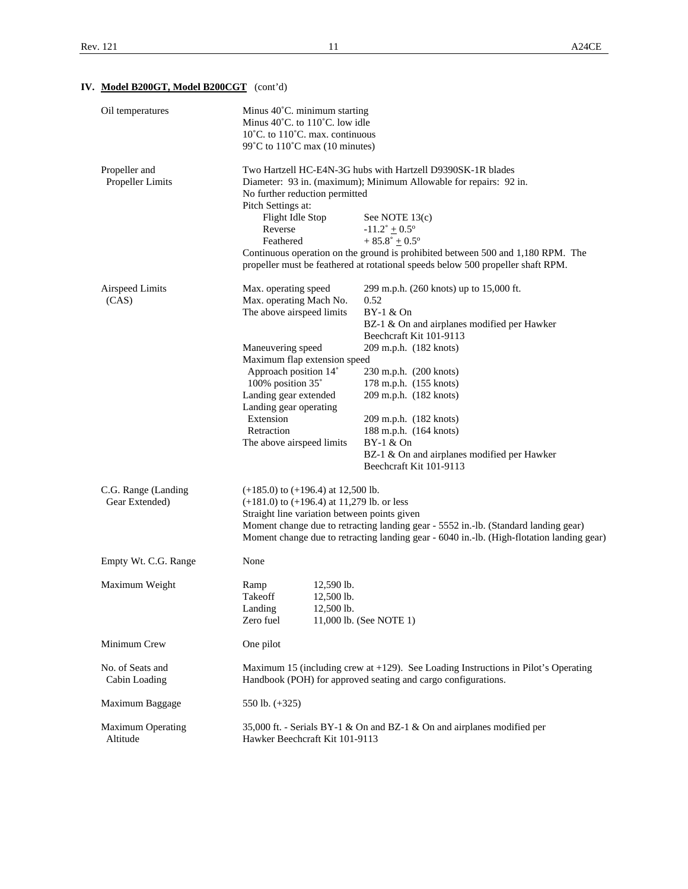# **IV. Model B200GT, Model B200CGT** (cont'd)

| Oil temperatures                      | Minus 40°C. minimum starting<br>Minus $40^{\circ}$ C. to $110^{\circ}$ C. low idle<br>$10^{\circ}$ C. to $110^{\circ}$ C. max. continuous<br>99°C to $110^{\circ}$ C max (10 minutes)                                                                                                      |                                                                                                                                                                                                                                                                                                                                                                                            |  |
|---------------------------------------|--------------------------------------------------------------------------------------------------------------------------------------------------------------------------------------------------------------------------------------------------------------------------------------------|--------------------------------------------------------------------------------------------------------------------------------------------------------------------------------------------------------------------------------------------------------------------------------------------------------------------------------------------------------------------------------------------|--|
| Propeller and<br>Propeller Limits     | No further reduction permitted<br>Pitch Settings at:<br>Flight Idle Stop<br>Reverse<br>Feathered                                                                                                                                                                                           | Two Hartzell HC-E4N-3G hubs with Hartzell D9390SK-1R blades<br>Diameter: 93 in. (maximum); Minimum Allowable for repairs: 92 in.<br>See NOTE 13(c)<br>$-11.2^{\circ} \pm 0.5^{\circ}$<br>$+85.8^{\circ}+0.5^{\circ}$<br>Continuous operation on the ground is prohibited between 500 and 1,180 RPM. The<br>propeller must be feathered at rotational speeds below 500 propeller shaft RPM. |  |
| Airspeed Limits<br>(CAS)              | Max. operating speed<br>Max. operating Mach No.<br>The above airspeed limits<br>Maneuvering speed<br>Maximum flap extension speed<br>Approach position 14°<br>100% position 35°<br>Landing gear extended<br>Landing gear operating<br>Extension<br>Retraction<br>The above airspeed limits | 299 m.p.h. (260 knots) up to 15,000 ft.<br>0.52<br>BY-1 & On<br>BZ-1 & On and airplanes modified per Hawker<br>Beechcraft Kit 101-9113<br>209 m.p.h. (182 knots)<br>230 m.p.h. (200 knots)<br>178 m.p.h. (155 knots)<br>209 m.p.h. (182 knots)<br>209 m.p.h. (182 knots)<br>188 m.p.h. (164 knots)<br>BY-1 & On<br>BZ-1 & On and airplanes modified per Hawker<br>Beechcraft Kit 101-9113  |  |
| C.G. Range (Landing<br>Gear Extended) | $(+185.0)$ to $(+196.4)$ at 12,500 lb.<br>$(+181.0)$ to $(+196.4)$ at 11,279 lb. or less<br>Straight line variation between points given                                                                                                                                                   | Moment change due to retracting landing gear - 5552 in.-lb. (Standard landing gear)<br>Moment change due to retracting landing gear - 6040 in.-lb. (High-flotation landing gear)                                                                                                                                                                                                           |  |
| Empty Wt. C.G. Range                  | None                                                                                                                                                                                                                                                                                       |                                                                                                                                                                                                                                                                                                                                                                                            |  |
| Maximum Weight                        | Ramp<br>12,590 lb.<br>Takeoff<br>12,500 lb.<br>12,500 lb.<br>Landing<br>Zero fuel                                                                                                                                                                                                          | 11,000 lb. (See NOTE 1)                                                                                                                                                                                                                                                                                                                                                                    |  |
| Minimum Crew                          | One pilot                                                                                                                                                                                                                                                                                  |                                                                                                                                                                                                                                                                                                                                                                                            |  |
| No. of Seats and<br>Cabin Loading     |                                                                                                                                                                                                                                                                                            | Maximum 15 (including crew at $+129$ ). See Loading Instructions in Pilot's Operating<br>Handbook (POH) for approved seating and cargo configurations.                                                                                                                                                                                                                                     |  |
| Maximum Baggage                       | 550 lb. $(+325)$                                                                                                                                                                                                                                                                           |                                                                                                                                                                                                                                                                                                                                                                                            |  |
| Maximum Operating<br>Altitude         | Hawker Beechcraft Kit 101-9113                                                                                                                                                                                                                                                             | 35,000 ft. - Serials BY-1 & On and BZ-1 & On and airplanes modified per                                                                                                                                                                                                                                                                                                                    |  |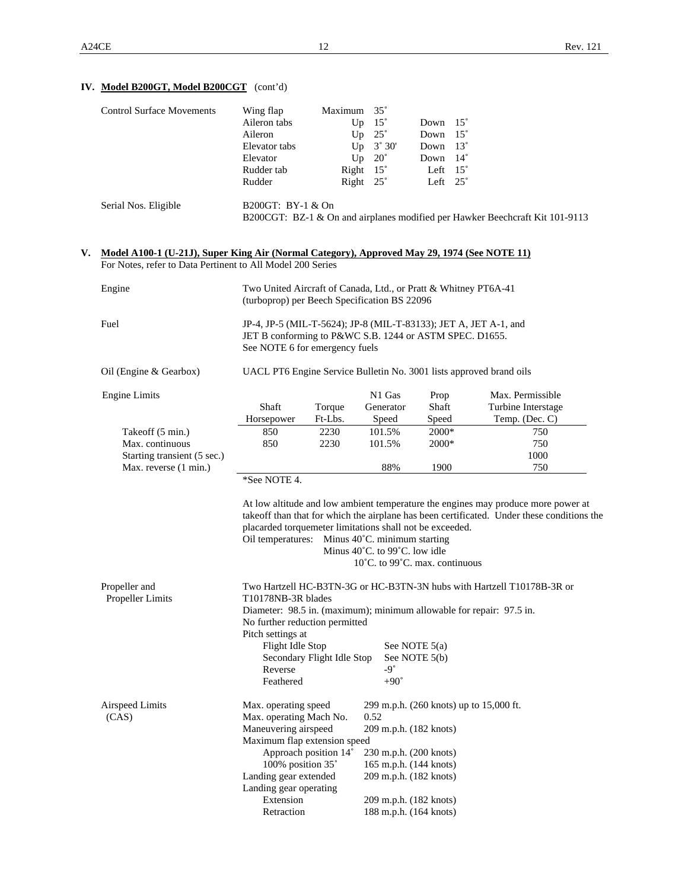# **IV. Model B200GT, Model B200CGT** (cont'd)

| <b>Control Surface Movements</b> | Wing flap         | Maximum          | $35^\circ$                  |                 |                                                                              |
|----------------------------------|-------------------|------------------|-----------------------------|-----------------|------------------------------------------------------------------------------|
|                                  | Aileron tabs      | Up               | $15^{\circ}$                | Down            | $15^\circ$                                                                   |
|                                  | Aileron           | Up               | $25^{\circ}$                | Down            | $15^{\circ}$                                                                 |
|                                  | Elevator tabs     |                  | $Up \quad 3^{\circ} \; 30'$ | Down            | $13^{\circ}$                                                                 |
|                                  | Elevator          | Up               | $20^{\circ}$                | Down            | $14^{\circ}$                                                                 |
|                                  | Rudder tab        | Right $15^\circ$ |                             | Left            | $15^\circ$                                                                   |
|                                  | Rudder            | Right $25^\circ$ |                             | Left $25^\circ$ |                                                                              |
| Serial Nos. Eligible             | B200GT: BY-1 & On |                  |                             |                 | B200CGT: BZ-1 & On and airplanes modified per Hawker Beechcraft Kit 101-9113 |

#### **V. Model A100-1 (U-21J), Super King Air (Normal Category), Approved May 29, 1974 (See NOTE 11)**  For Notes, refer to Data Pertinent to All Model 200 Series

| Engine                                                                                      | Two United Aircraft of Canada, Ltd., or Pratt & Whitney PT6A-41<br>(turboprop) per Beech Specification BS 22096                                                                                                             |                              |                                         |                                                                                   |  |  |  |
|---------------------------------------------------------------------------------------------|-----------------------------------------------------------------------------------------------------------------------------------------------------------------------------------------------------------------------------|------------------------------|-----------------------------------------|-----------------------------------------------------------------------------------|--|--|--|
| Fuel                                                                                        | JP-4, JP-5 (MIL-T-5624); JP-8 (MIL-T-83133); JET A, JET A-1, and<br>JET B conforming to P&WC S.B. 1244 or ASTM SPEC. D1655.<br>See NOTE 6 for emergency fuels                                                               |                              |                                         |                                                                                   |  |  |  |
| Oil (Engine & Gearbox)                                                                      | UACL PT6 Engine Service Bulletin No. 3001 lists approved brand oils                                                                                                                                                         |                              |                                         |                                                                                   |  |  |  |
| <b>Engine Limits</b>                                                                        | Shaft<br>Torque<br>Ft-Lbs.<br>Horsepower                                                                                                                                                                                    | N1 Gas<br>Generator<br>Speed | Prop<br>Shaft<br>Speed                  | Max. Permissible<br>Turbine Interstage<br>Temp. (Dec. C)                          |  |  |  |
| Takeoff (5 min.)<br>Max. continuous<br>Starting transient (5 sec.)<br>Max. reverse (1 min.) | 2230<br>850<br>2230<br>850                                                                                                                                                                                                  | 101.5%<br>101.5%<br>88%      | 2000*<br>2000*<br>1900                  | 750<br>750<br>1000<br>750                                                         |  |  |  |
|                                                                                             | takeoff than that for which the airplane has been certificated. Under these conditions the<br>placarded torquemeter limitations shall not be exceeded.<br>Oil temperatures: Minus 40°C. minimum starting                    |                              |                                         |                                                                                   |  |  |  |
|                                                                                             |                                                                                                                                                                                                                             |                              |                                         | At low altitude and low ambient temperature the engines may produce more power at |  |  |  |
|                                                                                             |                                                                                                                                                                                                                             |                              |                                         |                                                                                   |  |  |  |
|                                                                                             | Minus $40^{\circ}$ C. to 99 $^{\circ}$ C. low idle<br>10°C. to 99°C. max. continuous                                                                                                                                        |                              |                                         |                                                                                   |  |  |  |
|                                                                                             |                                                                                                                                                                                                                             |                              |                                         |                                                                                   |  |  |  |
| Propeller and<br>Propeller Limits                                                           | Two Hartzell HC-B3TN-3G or HC-B3TN-3N hubs with Hartzell T10178B-3R or<br>T10178NB-3R blades<br>Diameter: 98.5 in. (maximum); minimum allowable for repair: 97.5 in.<br>No further reduction permitted<br>Pitch settings at |                              |                                         |                                                                                   |  |  |  |
|                                                                                             | Flight Idle Stop                                                                                                                                                                                                            |                              | See NOTE $5(a)$                         |                                                                                   |  |  |  |
|                                                                                             | Secondary Flight Idle Stop<br>See NOTE 5(b)                                                                                                                                                                                 |                              |                                         |                                                                                   |  |  |  |
|                                                                                             | Reverse                                                                                                                                                                                                                     | $-9^{\circ}$                 |                                         |                                                                                   |  |  |  |
|                                                                                             | Feathered                                                                                                                                                                                                                   | $+90^\circ$                  |                                         |                                                                                   |  |  |  |
| Airspeed Limits<br>(CAS)                                                                    | Max. operating speed<br>Max. operating Mach No.                                                                                                                                                                             | 0.52                         | 299 m.p.h. (260 knots) up to 15,000 ft. |                                                                                   |  |  |  |
|                                                                                             | Maneuvering airspeed                                                                                                                                                                                                        | 209 m.p.h. (182 knots)       |                                         |                                                                                   |  |  |  |
|                                                                                             | Maximum flap extension speed                                                                                                                                                                                                |                              |                                         |                                                                                   |  |  |  |
|                                                                                             | Approach position 14°                                                                                                                                                                                                       | 230 m.p.h. (200 knots)       |                                         |                                                                                   |  |  |  |
|                                                                                             | 100% position 35°                                                                                                                                                                                                           | 165 m.p.h. (144 knots)       |                                         |                                                                                   |  |  |  |
|                                                                                             | Landing gear extended<br>Landing gear operating                                                                                                                                                                             | 209 m.p.h. (182 knots)       |                                         |                                                                                   |  |  |  |
|                                                                                             | Extension                                                                                                                                                                                                                   | 209 m.p.h. (182 knots)       |                                         |                                                                                   |  |  |  |
|                                                                                             | Retraction                                                                                                                                                                                                                  | 188 m.p.h. (164 knots)       |                                         |                                                                                   |  |  |  |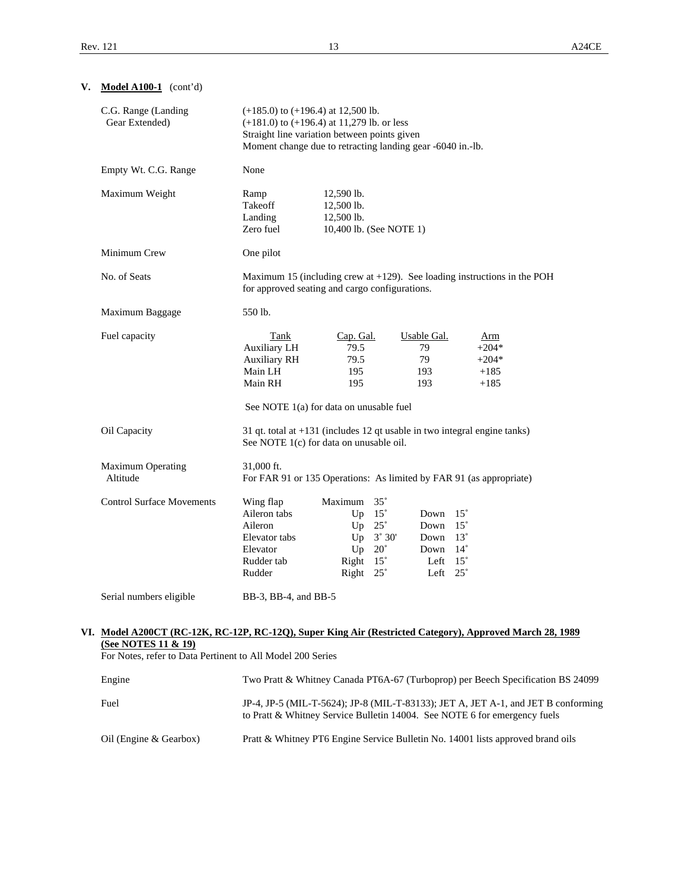| C.G. Range (Landing<br>Gear Extended)                                                                                                                                                                    | $(+185.0)$ to $(+196.4)$ at 12,500 lb.<br>$(+181.0)$ to $(+196.4)$ at 11,279 lb. or less<br>Straight line variation between points given<br>Moment change due to retracting landing gear -6040 in.-lb. |                                                                         |                                                                             |                                                                                                                |                                               |                                                                                   |  |
|----------------------------------------------------------------------------------------------------------------------------------------------------------------------------------------------------------|--------------------------------------------------------------------------------------------------------------------------------------------------------------------------------------------------------|-------------------------------------------------------------------------|-----------------------------------------------------------------------------|----------------------------------------------------------------------------------------------------------------|-----------------------------------------------|-----------------------------------------------------------------------------------|--|
| Empty Wt. C.G. Range                                                                                                                                                                                     | None                                                                                                                                                                                                   |                                                                         |                                                                             |                                                                                                                |                                               |                                                                                   |  |
| Maximum Weight                                                                                                                                                                                           | Ramp<br>Takeoff<br>Landing<br>Zero fuel                                                                                                                                                                | 12,590 lb.<br>12,500 lb.<br>12,500 lb.<br>10,400 lb. (See NOTE 1)       |                                                                             |                                                                                                                |                                               |                                                                                   |  |
| Minimum Crew                                                                                                                                                                                             | One pilot                                                                                                                                                                                              |                                                                         |                                                                             |                                                                                                                |                                               |                                                                                   |  |
| No. of Seats                                                                                                                                                                                             | Maximum 15 (including crew at $+129$ ). See loading instructions in the POH<br>for approved seating and cargo configurations.                                                                          |                                                                         |                                                                             |                                                                                                                |                                               |                                                                                   |  |
| Maximum Baggage                                                                                                                                                                                          | 550 lb.                                                                                                                                                                                                |                                                                         |                                                                             |                                                                                                                |                                               |                                                                                   |  |
| Fuel capacity                                                                                                                                                                                            | Tank<br>Auxiliary LH<br><b>Auxiliary RH</b><br>Main LH<br>Main RH<br>See NOTE 1(a) for data on unusable fuel                                                                                           | Cap. Gal.<br>79.5<br>79.5<br>195<br>195                                 |                                                                             | <b>Usable Gal.</b><br>79<br>79<br>193<br>193                                                                   | Arm<br>$+204*$<br>$+204*$<br>$+185$<br>$+185$ |                                                                                   |  |
| Oil Capacity                                                                                                                                                                                             | 31 qt. total at $+131$ (includes 12 qt usable in two integral engine tanks)<br>See NOTE 1(c) for data on unusable oil.                                                                                 |                                                                         |                                                                             |                                                                                                                |                                               |                                                                                   |  |
| Maximum Operating<br>Altitude                                                                                                                                                                            | 31,000 ft.<br>For FAR 91 or 135 Operations: As limited by FAR 91 (as appropriate)                                                                                                                      |                                                                         |                                                                             |                                                                                                                |                                               |                                                                                   |  |
| <b>Control Surface Movements</b>                                                                                                                                                                         | Wing flap<br>Aileron tabs<br>Aileron<br>Elevator tabs<br>Elevator<br>Rudder tab<br>Rudder                                                                                                              | Maximum<br>Up $15^\circ$<br>Up<br>Up<br>Up<br>Right<br>Right $25^\circ$ | $35^\circ$<br>$25^{\circ}$<br>$3^\circ 30'$<br>$20^{\circ}$<br>$15^{\circ}$ | Down $15^\circ$<br>Down $15^\circ$<br>Down $13^\circ$<br>Down $14^\circ$<br>Left $15^\circ$<br>Left $25^\circ$ |                                               |                                                                                   |  |
| Serial numbers eligible                                                                                                                                                                                  | BB-3, BB-4, and BB-5                                                                                                                                                                                   |                                                                         |                                                                             |                                                                                                                |                                               |                                                                                   |  |
| VI. Model A200CT (RC-12K, RC-12P, RC-12Q), Super King Air (Restricted Category), Approved March 28, 1989<br><b>(See NOTES 11 &amp; 19)</b><br>For Notes, refer to Data Pertinent to All Model 200 Series |                                                                                                                                                                                                        |                                                                         |                                                                             |                                                                                                                |                                               |                                                                                   |  |
| Engine                                                                                                                                                                                                   |                                                                                                                                                                                                        |                                                                         |                                                                             |                                                                                                                |                                               | Two Pratt & Whitney Canada PT6A-67 (Turboprop) per Beech Specification BS 24099   |  |
| Fuel                                                                                                                                                                                                     |                                                                                                                                                                                                        |                                                                         |                                                                             |                                                                                                                |                                               | JP-4, JP-5 (MIL-T-5624); JP-8 (MIL-T-83133); JET A, JET A-1, and JET B conforming |  |

to Pratt & Whitney Service Bulletin 14004. See NOTE 6 for emergency fuels

Oil (Engine & Gearbox) Pratt & Whitney PT6 Engine Service Bulletin No. 14001 lists approved brand oils

#### **V. Model A100-1** (cont'd)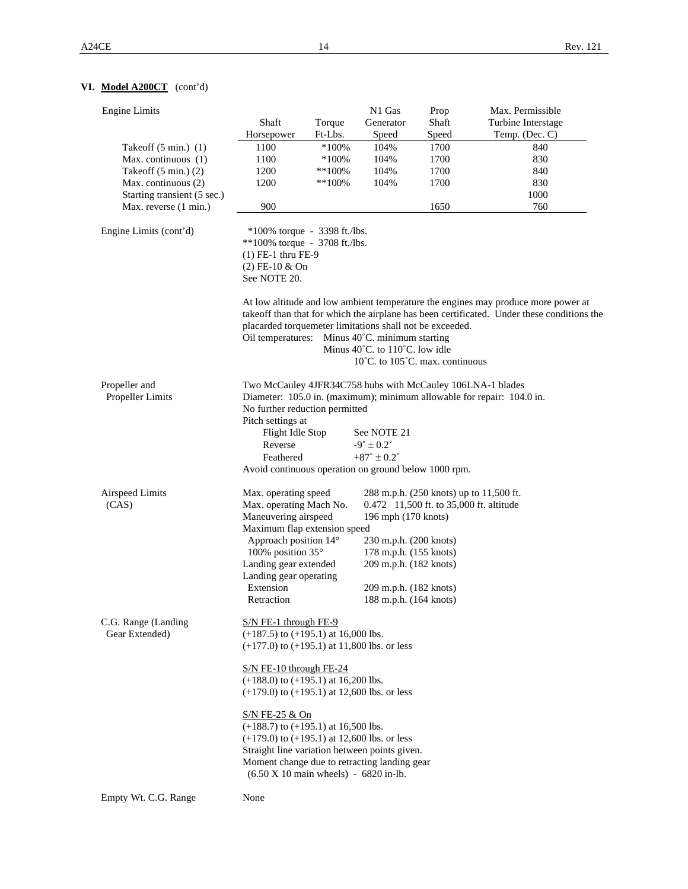# **VI. Model A200CT** (cont'd)

| <b>Engine Limits</b>             |                                                            |           | N1 Gas                                             | Prop                                    | Max. Permissible                                                                                                                                                                |  |  |  |
|----------------------------------|------------------------------------------------------------|-----------|----------------------------------------------------|-----------------------------------------|---------------------------------------------------------------------------------------------------------------------------------------------------------------------------------|--|--|--|
|                                  | Shaft                                                      | Torque    | Generator                                          | Shaft                                   | Turbine Interstage                                                                                                                                                              |  |  |  |
|                                  | Horsepower                                                 | Ft-Lbs.   | Speed                                              | Speed                                   | Temp. (Dec. C)                                                                                                                                                                  |  |  |  |
| Takeoff $(5 \text{ min.})$ $(1)$ | 1100                                                       | $*100%$   | 104%                                               | 1700                                    | 840                                                                                                                                                                             |  |  |  |
| Max. continuous (1)              | 1100                                                       | $*100\%$  | 104%                                               | 1700                                    | 830                                                                                                                                                                             |  |  |  |
| Takeoff $(5 \text{ min.})$ $(2)$ | 1200                                                       | $**100\%$ | 104%                                               | 1700                                    | 840                                                                                                                                                                             |  |  |  |
| Max. continuous (2)              | 1200                                                       | $**100\%$ | 104%                                               | 1700                                    | 830                                                                                                                                                                             |  |  |  |
| Starting transient (5 sec.)      |                                                            |           |                                                    |                                         | 1000                                                                                                                                                                            |  |  |  |
| Max. reverse (1 min.)            | 900                                                        |           |                                                    | 1650                                    | 760                                                                                                                                                                             |  |  |  |
|                                  |                                                            |           |                                                    |                                         |                                                                                                                                                                                 |  |  |  |
| Engine Limits (cont'd)           | $*100\%$ torque - 3398 ft./lbs.                            |           |                                                    |                                         |                                                                                                                                                                                 |  |  |  |
|                                  | **100% torque - 3708 ft./lbs.                              |           |                                                    |                                         |                                                                                                                                                                                 |  |  |  |
|                                  | $(1)$ FE-1 thru FE-9                                       |           |                                                    |                                         |                                                                                                                                                                                 |  |  |  |
|                                  | $(2)$ FE-10 & On                                           |           |                                                    |                                         |                                                                                                                                                                                 |  |  |  |
|                                  | See NOTE 20.                                               |           |                                                    |                                         |                                                                                                                                                                                 |  |  |  |
|                                  |                                                            |           |                                                    |                                         | At low altitude and low ambient temperature the engines may produce more power at<br>takeoff than that for which the airplane has been certificated. Under these conditions the |  |  |  |
|                                  | placarded torquemeter limitations shall not be exceeded.   |           |                                                    |                                         |                                                                                                                                                                                 |  |  |  |
|                                  | Oil temperatures:                                          |           | Minus 40°C. minimum starting                       |                                         |                                                                                                                                                                                 |  |  |  |
|                                  |                                                            |           | Minus $40^{\circ}$ C. to $110^{\circ}$ C. low idle |                                         |                                                                                                                                                                                 |  |  |  |
|                                  |                                                            |           | 10°C. to 105°C. max. continuous                    |                                         |                                                                                                                                                                                 |  |  |  |
| Propeller and                    | Two McCauley 4JFR34C758 hubs with McCauley 106LNA-1 blades |           |                                                    |                                         |                                                                                                                                                                                 |  |  |  |
| Propeller Limits                 |                                                            |           |                                                    |                                         | Diameter: 105.0 in. (maximum); minimum allowable for repair: 104.0 in.                                                                                                          |  |  |  |
|                                  |                                                            |           |                                                    |                                         |                                                                                                                                                                                 |  |  |  |
|                                  | No further reduction permitted<br>Pitch settings at        |           |                                                    |                                         |                                                                                                                                                                                 |  |  |  |
|                                  | Flight Idle Stop<br>See NOTE 21                            |           |                                                    |                                         |                                                                                                                                                                                 |  |  |  |
|                                  | Reverse<br>$-9^{\circ} \pm 0.2^{\circ}$                    |           |                                                    |                                         |                                                                                                                                                                                 |  |  |  |
|                                  |                                                            |           |                                                    |                                         |                                                                                                                                                                                 |  |  |  |
|                                  | Feathered                                                  |           | $+87^{\circ} \pm 0.2^{\circ}$                      |                                         |                                                                                                                                                                                 |  |  |  |
|                                  | Avoid continuous operation on ground below 1000 rpm.       |           |                                                    |                                         |                                                                                                                                                                                 |  |  |  |
| Airspeed Limits                  | Max. operating speed                                       |           |                                                    |                                         | 288 m.p.h. (250 knots) up to 11,500 ft.                                                                                                                                         |  |  |  |
| (CAS)                            | Max. operating Mach No.                                    |           |                                                    | 0.472 11,500 ft. to 35,000 ft. altitude |                                                                                                                                                                                 |  |  |  |
|                                  | Maneuvering airspeed                                       |           | 196 mph (170 knots)                                |                                         |                                                                                                                                                                                 |  |  |  |
|                                  | Maximum flap extension speed                               |           |                                                    |                                         |                                                                                                                                                                                 |  |  |  |
|                                  | Approach position 14°                                      |           | 230 m.p.h. (200 knots)                             |                                         |                                                                                                                                                                                 |  |  |  |
|                                  | 100% position 35°                                          |           | 178 m.p.h. (155 knots)                             |                                         |                                                                                                                                                                                 |  |  |  |
|                                  | Landing gear extended                                      |           | 209 m.p.h. (182 knots)                             |                                         |                                                                                                                                                                                 |  |  |  |
|                                  | Landing gear operating                                     |           |                                                    |                                         |                                                                                                                                                                                 |  |  |  |
|                                  | Extension                                                  |           | 209 m.p.h. (182 knots)                             |                                         |                                                                                                                                                                                 |  |  |  |
|                                  | Retraction                                                 |           |                                                    |                                         |                                                                                                                                                                                 |  |  |  |
|                                  |                                                            |           | 188 m.p.h. (164 knots)                             |                                         |                                                                                                                                                                                 |  |  |  |
| C.G. Range (Landing              | $S/N$ FE-1 through FE-9                                    |           |                                                    |                                         |                                                                                                                                                                                 |  |  |  |
| Gear Extended)                   | $(+187.5)$ to $(+195.1)$ at 16,000 lbs.                    |           |                                                    |                                         |                                                                                                                                                                                 |  |  |  |
|                                  | $(+177.0)$ to $(+195.1)$ at 11,800 lbs. or less            |           |                                                    |                                         |                                                                                                                                                                                 |  |  |  |
|                                  | $S/N$ FE-10 through FE-24                                  |           |                                                    |                                         |                                                                                                                                                                                 |  |  |  |
|                                  | $(+188.0)$ to $(+195.1)$ at 16,200 lbs.                    |           |                                                    |                                         |                                                                                                                                                                                 |  |  |  |
|                                  | $(+179.0)$ to $(+195.1)$ at 12,600 lbs. or less            |           |                                                    |                                         |                                                                                                                                                                                 |  |  |  |
|                                  |                                                            |           |                                                    |                                         |                                                                                                                                                                                 |  |  |  |
|                                  | S/N FE-25 & On                                             |           |                                                    |                                         |                                                                                                                                                                                 |  |  |  |
|                                  | $(+188.7)$ to $(+195.1)$ at 16,500 lbs.                    |           |                                                    |                                         |                                                                                                                                                                                 |  |  |  |
|                                  | $(+179.0)$ to $(+195.1)$ at 12,600 lbs. or less            |           |                                                    |                                         |                                                                                                                                                                                 |  |  |  |
|                                  | Straight line variation between points given.              |           |                                                    |                                         |                                                                                                                                                                                 |  |  |  |
|                                  | Moment change due to retracting landing gear               |           |                                                    |                                         |                                                                                                                                                                                 |  |  |  |
|                                  | $(6.50 X 10 \text{ main wheels}) - 6820 \text{ in-lb.}$    |           |                                                    |                                         |                                                                                                                                                                                 |  |  |  |
|                                  |                                                            |           |                                                    |                                         |                                                                                                                                                                                 |  |  |  |
| Empty Wt. C.G. Range             | None                                                       |           |                                                    |                                         |                                                                                                                                                                                 |  |  |  |
|                                  |                                                            |           |                                                    |                                         |                                                                                                                                                                                 |  |  |  |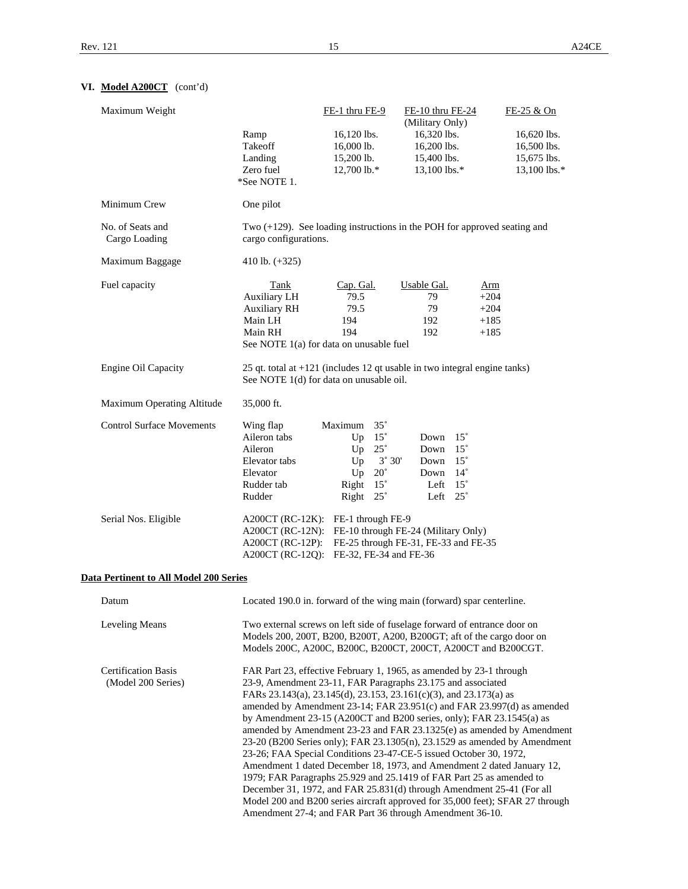# **VI. Model A200CT** (cont'd)

| Maximum Weight                         |                       | FE-1 thru FE-9                          | FE-10 thru FE-24<br>(Military Only)                                         | FE-25 & On                                                                    |
|----------------------------------------|-----------------------|-----------------------------------------|-----------------------------------------------------------------------------|-------------------------------------------------------------------------------|
|                                        | Ramp                  | 16,120 lbs.                             | 16,320 lbs.                                                                 | 16,620 lbs.                                                                   |
|                                        | Takeoff               | 16,000 lb.                              | 16,200 lbs.                                                                 | 16,500 lbs.                                                                   |
|                                        | Landing               | $15,200$ lb.                            | 15,400 lbs.                                                                 | 15,675 lbs.                                                                   |
|                                        | Zero fuel             | 12,700 lb.*                             | 13,100 lbs.*                                                                | 13,100 lbs.*                                                                  |
|                                        | *See NOTE 1.          |                                         |                                                                             |                                                                               |
| Minimum Crew                           | One pilot             |                                         |                                                                             |                                                                               |
| No. of Seats and<br>Cargo Loading      | cargo configurations. |                                         | Two $(+129)$ . See loading instructions in the POH for approved seating and |                                                                               |
| Maximum Baggage                        | 410 lb. $(+325)$      |                                         |                                                                             |                                                                               |
| Fuel capacity                          | <b>Tank</b>           | Cap. Gal.                               | <b>Usable Gal.</b>                                                          | A <sub>rm</sub>                                                               |
|                                        | <b>Auxiliary LH</b>   | 79.5                                    | 79                                                                          | $+204$                                                                        |
|                                        | <b>Auxiliary RH</b>   | 79.5                                    | 79                                                                          | $+204$                                                                        |
|                                        | Main LH               | 194                                     | 192                                                                         | $+185$                                                                        |
|                                        | Main RH               | 194                                     | 192                                                                         | $+185$                                                                        |
|                                        |                       | See NOTE 1(a) for data on unusable fuel |                                                                             |                                                                               |
| Engine Oil Capacity                    |                       | See NOTE 1(d) for data on unusable oil. | 25 qt. total at $+121$ (includes 12 qt usable in two integral engine tanks) |                                                                               |
| Maximum Operating Altitude             | 35,000 ft.            |                                         |                                                                             |                                                                               |
| <b>Control Surface Movements</b>       | Wing flap             | $35^{\circ}$<br>Maximum                 |                                                                             |                                                                               |
|                                        | Aileron tabs          | $15^{\circ}$<br>Up                      | Down $15^\circ$                                                             |                                                                               |
|                                        | Aileron               | $25^{\circ}$<br>Up                      | Down<br>$15^{\circ}$                                                        |                                                                               |
|                                        | Elevator tabs         | Up<br>$3^{\circ} 30'$                   | Down $15^\circ$                                                             |                                                                               |
|                                        | Elevator              | $20^{\circ}$<br>Up                      | Down $14^\circ$                                                             |                                                                               |
|                                        | Rudder tab            | $15^{\circ}$<br>Right                   | Left $15^\circ$                                                             |                                                                               |
|                                        | Rudder                | Right $25^\circ$                        | Left $25^\circ$                                                             |                                                                               |
| Serial Nos. Eligible                   |                       | A200CT (RC-12K): FE-1 through FE-9      |                                                                             |                                                                               |
|                                        |                       |                                         | A200CT (RC-12N): FE-10 through FE-24 (Military Only)                        |                                                                               |
|                                        |                       |                                         | A200CT (RC-12P): FE-25 through FE-31, FE-33 and FE-35                       |                                                                               |
|                                        |                       | A200CT (RC-12Q): FE-32, FE-34 and FE-36 |                                                                             |                                                                               |
| Data Pertinent to All Model 200 Series |                       |                                         |                                                                             |                                                                               |
| Datum                                  |                       |                                         | Located 190.0 in. forward of the wing main (forward) spar centerline.       |                                                                               |
| <b>Leveling Means</b>                  |                       |                                         | Two external screws on left side of fuselage forward of entrance door on    |                                                                               |
|                                        |                       |                                         | Models 200, 200T, B200, B200T, A200, B200GT; aft of the cargo door on       |                                                                               |
|                                        |                       |                                         | Models 200C, A200C, B200C, B200CT, 200CT, A200CT and B200CGT.               |                                                                               |
| <b>Certification Basis</b>             |                       |                                         | FAR Part 23, effective February 1, 1965, as amended by 23-1 through         |                                                                               |
| (Model 200 Series)                     |                       |                                         | 23-9, Amendment 23-11, FAR Paragraphs 23.175 and associated                 |                                                                               |
|                                        |                       |                                         | FARs 23.143(a), 23.145(d), 23.153, 23.161(c)(3), and 23.173(a) as           |                                                                               |
|                                        |                       |                                         |                                                                             | amended by Amendment 23-14; FAR 23.951(c) and FAR 23.997(d) as amended        |
|                                        |                       |                                         | by Amendment $23-15$ (A200CT and B200 series, only); FAR $23.1545$ (a) as   |                                                                               |
|                                        |                       |                                         |                                                                             | amended by Amendment 23-23 and FAR 23.1325(e) as amended by Amendment         |
|                                        |                       |                                         |                                                                             | 23-20 (B200 Series only); FAR 23.1305(n), 23.1529 as amended by Amendment     |
|                                        |                       |                                         | 23-26; FAA Special Conditions 23-47-CE-5 issued October 30, 1972,           |                                                                               |
|                                        |                       |                                         | Amendment 1 dated December 18, 1973, and Amendment 2 dated January 12,      |                                                                               |
|                                        |                       |                                         | 1979; FAR Paragraphs 25.929 and 25.1419 of FAR Part 25 as amended to        |                                                                               |
|                                        |                       |                                         |                                                                             |                                                                               |
|                                        |                       |                                         | December 31, 1972, and FAR 25.831(d) through Amendment 25-41 (For all       | Model 200 and B200 series aircraft approved for 35,000 feet); SFAR 27 through |
|                                        |                       |                                         | Amendment 27-4; and FAR Part 36 through Amendment 36-10.                    |                                                                               |
|                                        |                       |                                         |                                                                             |                                                                               |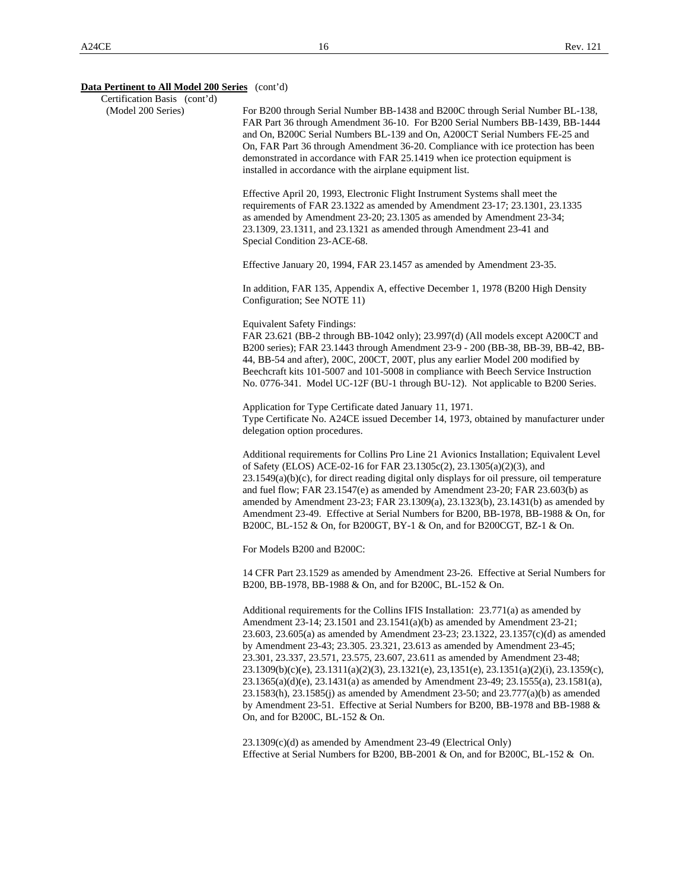| Certification Basis (cont'd) |                                                                                                                                                                                                                                                                                                                                                                                                                                                                                                                                                                                                                                                                                                                                                                                                                        |
|------------------------------|------------------------------------------------------------------------------------------------------------------------------------------------------------------------------------------------------------------------------------------------------------------------------------------------------------------------------------------------------------------------------------------------------------------------------------------------------------------------------------------------------------------------------------------------------------------------------------------------------------------------------------------------------------------------------------------------------------------------------------------------------------------------------------------------------------------------|
| (Model 200 Series)           | For B200 through Serial Number BB-1438 and B200C through Serial Number BL-138,<br>FAR Part 36 through Amendment 36-10. For B200 Serial Numbers BB-1439, BB-1444<br>and On, B200C Serial Numbers BL-139 and On, A200CT Serial Numbers FE-25 and<br>On, FAR Part 36 through Amendment 36-20. Compliance with ice protection has been<br>demonstrated in accordance with FAR 25.1419 when ice protection equipment is<br>installed in accordance with the airplane equipment list.                                                                                                                                                                                                                                                                                                                                        |
|                              | Effective April 20, 1993, Electronic Flight Instrument Systems shall meet the<br>requirements of FAR 23.1322 as amended by Amendment 23-17; 23.1301, 23.1335<br>as amended by Amendment 23-20; 23.1305 as amended by Amendment 23-34;<br>23.1309, 23.1311, and 23.1321 as amended through Amendment 23-41 and<br>Special Condition 23-ACE-68.                                                                                                                                                                                                                                                                                                                                                                                                                                                                          |
|                              | Effective January 20, 1994, FAR 23.1457 as amended by Amendment 23-35.                                                                                                                                                                                                                                                                                                                                                                                                                                                                                                                                                                                                                                                                                                                                                 |
|                              | In addition, FAR 135, Appendix A, effective December 1, 1978 (B200 High Density<br>Configuration; See NOTE 11)                                                                                                                                                                                                                                                                                                                                                                                                                                                                                                                                                                                                                                                                                                         |
|                              | <b>Equivalent Safety Findings:</b><br>FAR 23.621 (BB-2 through BB-1042 only); 23.997(d) (All models except A200CT and<br>B200 series); FAR 23.1443 through Amendment 23-9 - 200 (BB-38, BB-39, BB-42, BB-<br>44, BB-54 and after), 200C, 200CT, 200T, plus any earlier Model 200 modified by<br>Beechcraft kits 101-5007 and 101-5008 in compliance with Beech Service Instruction<br>No. 0776-341. Model UC-12F (BU-1 through BU-12). Not applicable to B200 Series.                                                                                                                                                                                                                                                                                                                                                  |
|                              | Application for Type Certificate dated January 11, 1971.<br>Type Certificate No. A24CE issued December 14, 1973, obtained by manufacturer under<br>delegation option procedures.                                                                                                                                                                                                                                                                                                                                                                                                                                                                                                                                                                                                                                       |
|                              | Additional requirements for Collins Pro Line 21 Avionics Installation; Equivalent Level<br>of Safety (ELOS) ACE-02-16 for FAR 23.1305c(2), 23.1305(a)(2)(3), and<br>$23.1549(a)(b)(c)$ , for direct reading digital only displays for oil pressure, oil temperature<br>and fuel flow; FAR 23.1547(e) as amended by Amendment 23-20; FAR 23.603(b) as<br>amended by Amendment 23-23; FAR 23.1309(a), 23.1323(b), 23.1431(b) as amended by<br>Amendment 23-49. Effective at Serial Numbers for B200, BB-1978, BB-1988 & On, for<br>B200C, BL-152 & On, for B200GT, BY-1 & On, and for B200CGT, BZ-1 & On.                                                                                                                                                                                                                |
|                              | For Models B200 and B200C:                                                                                                                                                                                                                                                                                                                                                                                                                                                                                                                                                                                                                                                                                                                                                                                             |
|                              | 14 CFR Part 23.1529 as amended by Amendment 23-26. Effective at Serial Numbers for<br>B200, BB-1978, BB-1988 & On, and for B200C, BL-152 & On.                                                                                                                                                                                                                                                                                                                                                                                                                                                                                                                                                                                                                                                                         |
|                              | Additional requirements for the Collins IFIS Installation: 23.771(a) as amended by<br>Amendment 23-14; 23.1501 and 23.1541(a)(b) as amended by Amendment 23-21;<br>23.603, 23.605(a) as amended by Amendment 23-23; 23.1322, 23.1357(c)(d) as amended<br>by Amendment 23-43; 23.305. 23.321, 23.613 as amended by Amendment 23-45;<br>23.301, 23.337, 23.571, 23.575, 23.607, 23.611 as amended by Amendment 23-48;<br>$23.1309(b)(c)(e), 23.1311(a)(2)(3), 23.1321(e), 23.1351(e), 23.1351(a)(2)(i), 23.1359(c),$<br>23.1365(a)(d)(e), 23.1431(a) as amended by Amendment 23-49; 23.1555(a), 23.1581(a),<br>23.1583(h), 23.1585(j) as amended by Amendment 23-50; and 23.777(a)(b) as amended<br>by Amendment 23-51. Effective at Serial Numbers for B200, BB-1978 and BB-1988 &<br>On, and for B200C, BL-152 $&$ On. |
|                              | $23.1309(c)(d)$ as amended by Amendment 23-49 (Electrical Only)<br>Effective at Serial Numbers for B200, BB-2001 & On, and for B200C, BL-152 & On.                                                                                                                                                                                                                                                                                                                                                                                                                                                                                                                                                                                                                                                                     |
|                              |                                                                                                                                                                                                                                                                                                                                                                                                                                                                                                                                                                                                                                                                                                                                                                                                                        |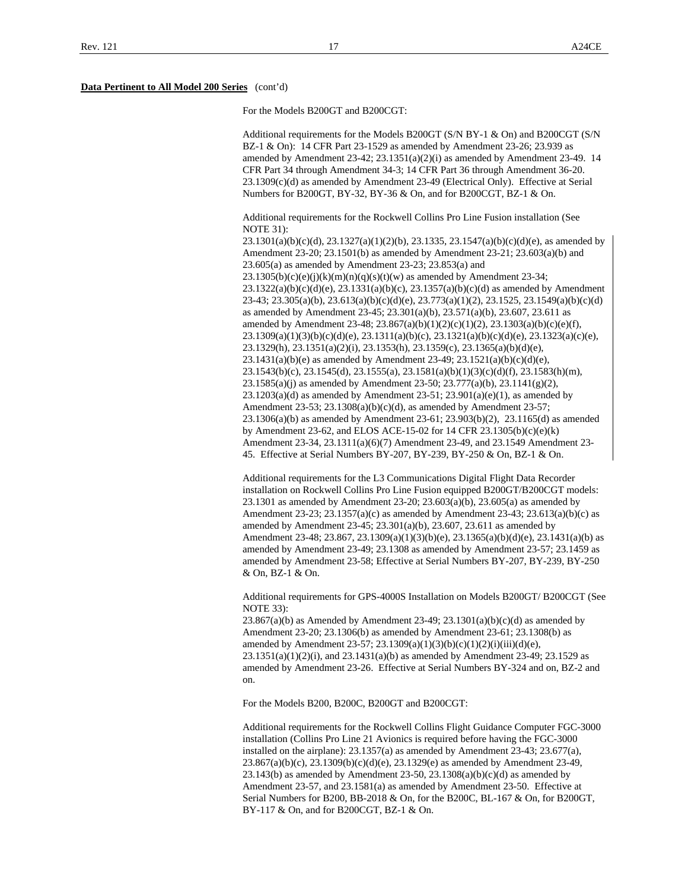For the Models B200GT and B200CGT:

Additional requirements for the Models B200GT (S/N BY-1 & On) and B200CGT (S/N BZ-1 & On): 14 CFR Part 23-1529 as amended by Amendment 23-26; 23.939 as amended by Amendment 23-42; 23.1351(a)(2)(i) as amended by Amendment 23-49. 14 CFR Part 34 through Amendment 34-3; 14 CFR Part 36 through Amendment 36-20. 23.1309(c)(d) as amended by Amendment 23-49 (Electrical Only). Effective at Serial Numbers for B200GT, BY-32, BY-36 & On, and for B200CGT, BZ-1 & On.

Additional requirements for the Rockwell Collins Pro Line Fusion installation (See NOTE 31):

23.1301(a)(b)(c)(d), 23.1327(a)(1)(2)(b), 23.1335, 23.1547(a)(b)(c)(d)(e), as amended by Amendment 23-20; 23.1501(b) as amended by Amendment 23-21; 23.603(a)(b) and 23.605(a) as amended by Amendment 23-23; 23.853(a) and  $23.1305(b)(c)(e)(j)(k)(m)(n)(q)(s)(t)(w)$  as amended by Amendment 23-34;  $23.1322(a)(b)(c)(d)(e), 23.1331(a)(b)(c), 23.1357(a)(b)(c)(d)$  as amended by Amendment 23-43; 23.305(a)(b), 23.613(a)(b)(c)(d)(e), 23.773(a)(1)(2), 23.1525, 23.1549(a)(b)(c)(d) as amended by Amendment 23-45; 23.301(a)(b), 23.571(a)(b), 23.607, 23.611 as amended by Amendment 23-48; 23.867(a)(b)(1)(2)(c)(1)(2), 23.1303(a)(b)(c)(e)(f),  $23.1309(a)(1)(3)(b)(c)(d)(e), 23.1311(a)(b)(c), 23.1321(a)(b)(c)(d)(e), 23.1323(a)(c)(e),$ 23.1329(h), 23.1351(a)(2)(i), 23.1353(h), 23.1359(c), 23.1365(a)(b)(d)(e), 23.1431(a)(b)(e) as amended by Amendment 23-49; 23.1521(a)(b)(c)(d)(e), 23.1543(b)(c), 23.1545(d), 23.1555(a), 23.1581(a)(b)(1)(3)(c)(d)(f), 23.1583(h)(m), 23.1585(a)(j) as amended by Amendment 23-50; 23.777(a)(b), 23.1141(g)(2),  $23.1203(a)(d)$  as amended by Amendment  $23-51$ ;  $23.901(a)(e)(1)$ , as amended by Amendment 23-53; 23.1308(a)(b)(c)(d), as amended by Amendment 23-57; 23.1306(a)(b) as amended by Amendment 23-61; 23.903(b)(2), 23.1165(d) as amended by Amendment 23-62, and ELOS ACE-15-02 for 14 CFR 23.1305(b)(c)(e)(k) Amendment 23-34, 23.1311(a)(6)(7) Amendment 23-49, and 23.1549 Amendment 23- 45. Effective at Serial Numbers BY-207, BY-239, BY-250 & On, BZ-1 & On.

Additional requirements for the L3 Communications Digital Flight Data Recorder installation on Rockwell Collins Pro Line Fusion equipped B200GT/B200CGT models: 23.1301 as amended by Amendment 23-20; 23.603(a)(b), 23.605(a) as amended by Amendment 23-23; 23.1357(a)(c) as amended by Amendment 23-43; 23.613(a)(b)(c) as amended by Amendment 23-45; 23.301(a)(b), 23.607, 23.611 as amended by Amendment 23-48; 23.867, 23.1309(a)(1)(3)(b)(e), 23.1365(a)(b)(d)(e), 23.1431(a)(b) as amended by Amendment 23-49; 23.1308 as amended by Amendment 23-57; 23.1459 as amended by Amendment 23-58; Effective at Serial Numbers BY-207, BY-239, BY-250 & On, BZ-1 & On.

Additional requirements for GPS-4000S Installation on Models B200GT/ B200CGT (See NOTE 33):

 $23.867(a)(b)$  as Amended by Amendment  $23-49$ ;  $23.1301(a)(b)(c)(d)$  as amended by Amendment 23-20; 23.1306(b) as amended by Amendment 23-61; 23.1308(b) as amended by Amendment 23-57; 23.1309(a)(1)(3)(b)(c)(1)(2)(i)(iii)(d)(e),  $23.1351(a)(1)(2)(i)$ , and  $23.1431(a)(b)$  as amended by Amendment 23-49; 23.1529 as amended by Amendment 23-26. Effective at Serial Numbers BY-324 and on, BZ-2 and on.

For the Models B200, B200C, B200GT and B200CGT:

Additional requirements for the Rockwell Collins Flight Guidance Computer FGC-3000 installation (Collins Pro Line 21 Avionics is required before having the FGC-3000 installed on the airplane): 23.1357(a) as amended by Amendment 23-43; 23.677(a), 23.867(a)(b)(c), 23.1309(b)(c)(d)(e), 23.1329(e) as amended by Amendment 23-49, 23.143(b) as amended by Amendment 23-50, 23.1308(a)(b)(c)(d) as amended by Amendment 23-57, and 23.1581(a) as amended by Amendment 23-50. Effective at Serial Numbers for B200, BB-2018 & On, for the B200C, BL-167 & On, for B200GT, BY-117 & On, and for B200CGT, BZ-1 & On.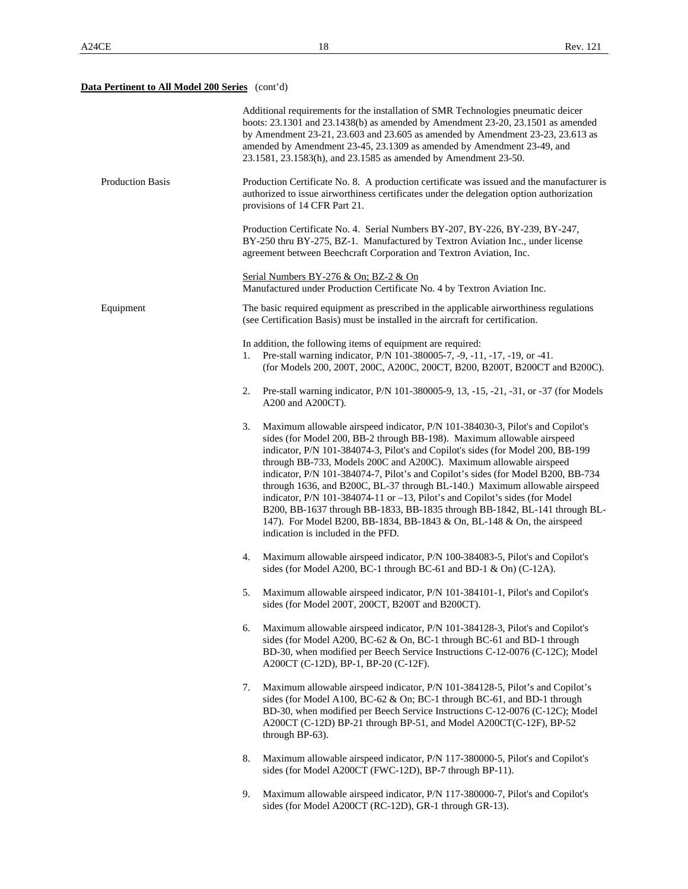# **Data Pertinent to All Model 200 Series** (cont'd)

|                  | Additional requirements for the installation of SMR Technologies pneumatic deicer<br>boots: 23.1301 and 23.1438(b) as amended by Amendment 23-20, 23.1501 as amended<br>by Amendment 23-21, 23.603 and 23.605 as amended by Amendment 23-23, 23.613 as<br>amended by Amendment 23-45, 23.1309 as amended by Amendment 23-49, and<br>23.1581, 23.1583(h), and 23.1585 as amended by Amendment 23-50.                                                                                                                                                                                                                                                                                                                                                                   |
|------------------|-----------------------------------------------------------------------------------------------------------------------------------------------------------------------------------------------------------------------------------------------------------------------------------------------------------------------------------------------------------------------------------------------------------------------------------------------------------------------------------------------------------------------------------------------------------------------------------------------------------------------------------------------------------------------------------------------------------------------------------------------------------------------|
| Production Basis | Production Certificate No. 8. A production certificate was issued and the manufacturer is<br>authorized to issue airworthiness certificates under the delegation option authorization<br>provisions of 14 CFR Part 21.                                                                                                                                                                                                                                                                                                                                                                                                                                                                                                                                                |
|                  | Production Certificate No. 4. Serial Numbers BY-207, BY-226, BY-239, BY-247,<br>BY-250 thru BY-275, BZ-1. Manufactured by Textron Aviation Inc., under license<br>agreement between Beechcraft Corporation and Textron Aviation, Inc.                                                                                                                                                                                                                                                                                                                                                                                                                                                                                                                                 |
|                  | Serial Numbers BY-276 & On; BZ-2 & On<br>Manufactured under Production Certificate No. 4 by Textron Aviation Inc.                                                                                                                                                                                                                                                                                                                                                                                                                                                                                                                                                                                                                                                     |
| Equipment        | The basic required equipment as prescribed in the applicable airworthiness regulations<br>(see Certification Basis) must be installed in the aircraft for certification.                                                                                                                                                                                                                                                                                                                                                                                                                                                                                                                                                                                              |
|                  | In addition, the following items of equipment are required:<br>Pre-stall warning indicator, P/N 101-380005-7, -9, -11, -17, -19, or -41.<br>1.<br>(for Models 200, 200T, 200C, A200C, 200CT, B200, B200T, B200CT and B200C).                                                                                                                                                                                                                                                                                                                                                                                                                                                                                                                                          |
|                  | Pre-stall warning indicator, P/N 101-380005-9, 13, -15, -21, -31, or -37 (for Models<br>2.<br>A200 and A200CT).                                                                                                                                                                                                                                                                                                                                                                                                                                                                                                                                                                                                                                                       |
|                  | Maximum allowable airspeed indicator, P/N 101-384030-3, Pilot's and Copilot's<br>3.<br>sides (for Model 200, BB-2 through BB-198). Maximum allowable airspeed<br>indicator, P/N 101-384074-3, Pilot's and Copilot's sides (for Model 200, BB-199<br>through BB-733, Models 200C and A200C). Maximum allowable airspeed<br>indicator, P/N 101-384074-7, Pilot's and Copilot's sides (for Model B200, BB-734<br>through 1636, and B200C, BL-37 through BL-140.) Maximum allowable airspeed<br>indicator, P/N 101-384074-11 or -13, Pilot's and Copilot's sides (for Model<br>B200, BB-1637 through BB-1833, BB-1835 through BB-1842, BL-141 through BL-<br>147). For Model B200, BB-1834, BB-1843 & On, BL-148 & On, the airspeed<br>indication is included in the PFD. |
|                  | Maximum allowable airspeed indicator, P/N 100-384083-5, Pilot's and Copilot's<br>4.<br>sides (for Model A200, BC-1 through BC-61 and BD-1 & On) (C-12A).                                                                                                                                                                                                                                                                                                                                                                                                                                                                                                                                                                                                              |
|                  | Maximum allowable airspeed indicator, P/N 101-384101-1, Pilot's and Copilot's<br>5.<br>sides (for Model 200T, 200CT, B200T and B200CT).                                                                                                                                                                                                                                                                                                                                                                                                                                                                                                                                                                                                                               |
|                  | Maximum allowable airspeed indicator, P/N 101-384128-3, Pilot's and Copilot's<br>6.<br>sides (for Model A200, BC-62 & On, BC-1 through BC-61 and BD-1 through<br>BD-30, when modified per Beech Service Instructions C-12-0076 (C-12C); Model<br>A200CT (C-12D), BP-1, BP-20 (C-12F).                                                                                                                                                                                                                                                                                                                                                                                                                                                                                 |
|                  | Maximum allowable airspeed indicator, P/N 101-384128-5, Pilot's and Copilot's<br>7.<br>sides (for Model A100, BC-62 & On; BC-1 through BC-61, and BD-1 through<br>BD-30, when modified per Beech Service Instructions C-12-0076 (C-12C); Model<br>A200CT (C-12D) BP-21 through BP-51, and Model A200CT(C-12F), BP-52<br>through BP-63).                                                                                                                                                                                                                                                                                                                                                                                                                               |
|                  | 8.<br>Maximum allowable airspeed indicator, P/N 117-380000-5, Pilot's and Copilot's<br>sides (for Model A200CT (FWC-12D), BP-7 through BP-11).                                                                                                                                                                                                                                                                                                                                                                                                                                                                                                                                                                                                                        |
|                  | 9.<br>Maximum allowable airspeed indicator, P/N 117-380000-7, Pilot's and Copilot's<br>sides (for Model A200CT (RC-12D), GR-1 through GR-13).                                                                                                                                                                                                                                                                                                                                                                                                                                                                                                                                                                                                                         |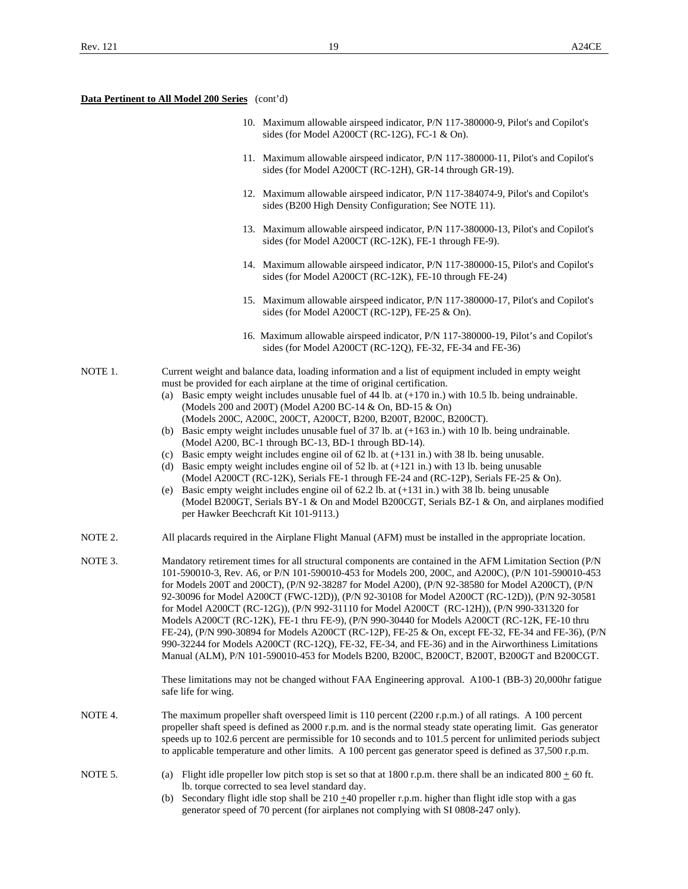- 10. Maximum allowable airspeed indicator, P/N 117-380000-9, Pilot's and Copilot's sides (for Model A200CT (RC-12G), FC-1 & On).
- 11. Maximum allowable airspeed indicator, P/N 117-380000-11, Pilot's and Copilot's sides (for Model A200CT (RC-12H), GR-14 through GR-19).
- 12. Maximum allowable airspeed indicator, P/N 117-384074-9, Pilot's and Copilot's sides (B200 High Density Configuration; See NOTE 11).
- 13. Maximum allowable airspeed indicator, P/N 117-380000-13, Pilot's and Copilot's sides (for Model A200CT (RC-12K), FE-1 through FE-9).
- 14. Maximum allowable airspeed indicator, P/N 117-380000-15, Pilot's and Copilot's sides (for Model A200CT (RC-12K), FE-10 through FE-24)
- 15. Maximum allowable airspeed indicator, P/N 117-380000-17, Pilot's and Copilot's sides (for Model A200CT (RC-12P), FE-25 & On).
- 16. Maximum allowable airspeed indicator, P/N 117-380000-19, Pilot's and Copilot's sides (for Model A200CT (RC-12Q), FE-32, FE-34 and FE-36)
- NOTE 1. Current weight and balance data, loading information and a list of equipment included in empty weight must be provided for each airplane at the time of original certification.
	- (a) Basic empty weight includes unusable fuel of 44 lb. at (+170 in.) with 10.5 lb. being undrainable. (Models 200 and 200T) (Model A200 BC-14 & On, BD-15 & On) (Models 200C, A200C, 200CT, A200CT, B200, B200T, B200C, B200CT).
	- (b) Basic empty weight includes unusable fuel of 37 lb. at (+163 in.) with 10 lb. being undrainable. (Model A200, BC-1 through BC-13, BD-1 through BD-14).
	- (c) Basic empty weight includes engine oil of 62 lb. at (+131 in.) with 38 lb. being unusable.
	- (d) Basic empty weight includes engine oil of 52 lb. at (+121 in.) with 13 lb. being unusable (Model A200CT (RC-12K), Serials FE-1 through FE-24 and (RC-12P), Serials FE-25 & On).
	- (e) Basic empty weight includes engine oil of 62.2 lb. at (+131 in.) with 38 lb. being unusable (Model B200GT, Serials BY-1 & On and Model B200CGT, Serials BZ-1 & On, and airplanes modified per Hawker Beechcraft Kit 101-9113.)
- NOTE 2. All placards required in the Airplane Flight Manual (AFM) must be installed in the appropriate location.
- NOTE 3. Mandatory retirement times for all structural components are contained in the AFM Limitation Section (P/N 101-590010-3, Rev. A6, or P/N 101-590010-453 for Models 200, 200C, and A200C), (P/N 101-590010-453 for Models 200T and 200CT), (P/N 92-38287 for Model A200), (P/N 92-38580 for Model A200CT), (P/N 92-30096 for Model A200CT (FWC-12D)), (P/N 92-30108 for Model A200CT (RC-12D)), (P/N 92-30581 for Model A200CT (RC-12G)), (P/N 992-31110 for Model A200CT (RC-12H)), (P/N 990-331320 for Models A200CT (RC-12K), FE-1 thru FE-9), (P/N 990-30440 for Models A200CT (RC-12K, FE-10 thru FE-24), (P/N 990-30894 for Models A200CT (RC-12P), FE-25 & On, except FE-32, FE-34 and FE-36), (P/N 990-32244 for Models A200CT (RC-12Q), FE-32, FE-34, and FE-36) and in the Airworthiness Limitations Manual (ALM), P/N 101-590010-453 for Models B200, B200C, B200CT, B200T, B200GT and B200CGT.

 These limitations may not be changed without FAA Engineering approval. A100-1 (BB-3) 20,000hr fatigue safe life for wing.

- NOTE 4. The maximum propeller shaft overspeed limit is 110 percent (2200 r.p.m.) of all ratings. A 100 percent propeller shaft speed is defined as 2000 r.p.m. and is the normal steady state operating limit. Gas generator speeds up to 102.6 percent are permissible for 10 seconds and to 101.5 percent for unlimited periods subject to applicable temperature and other limits. A 100 percent gas generator speed is defined as 37,500 r.p.m.
- NOTE 5. (a) Flight idle propeller low pitch stop is set so that at 1800 r.p.m. there shall be an indicated 800  $\pm$  60 ft. lb. torque corrected to sea level standard day.
	- (b) Secondary flight idle stop shall be  $210 \pm 40$  propeller r.p.m. higher than flight idle stop with a gas generator speed of 70 percent (for airplanes not complying with SI 0808-247 only).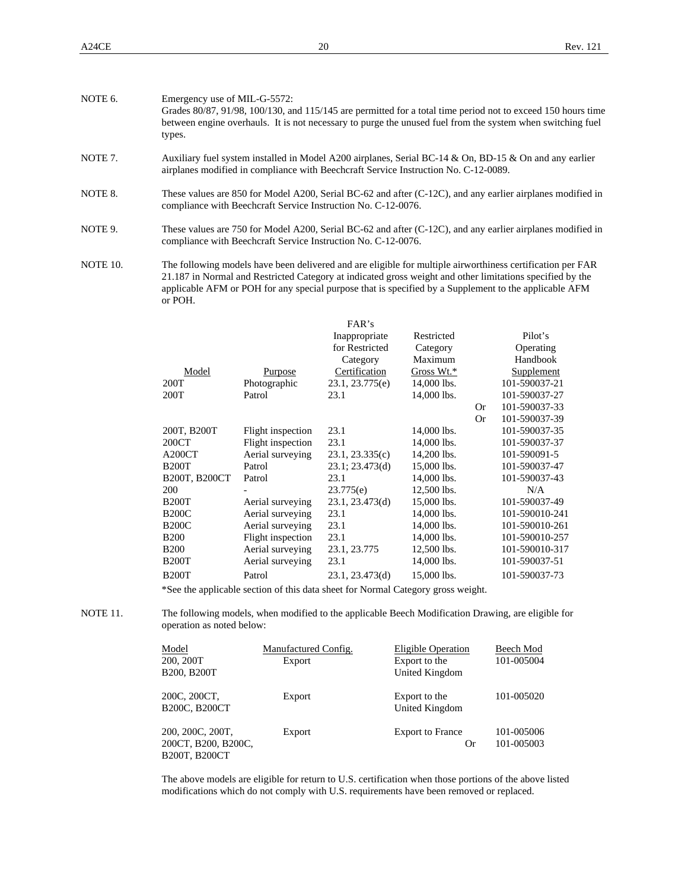| NOTE 6. | Emergency use of MIL-G-5572:<br>Grades 80/87, 91/98, 100/130, and 115/145 are permitted for a total time period not to exceed 150 hours time<br>between engine overhauls. It is not necessary to purge the unused fuel from the system when switching fuel<br>types. |
|---------|----------------------------------------------------------------------------------------------------------------------------------------------------------------------------------------------------------------------------------------------------------------------|
| NOTE 7. | Auxiliary fuel system installed in Model A200 airplanes, Serial BC-14 & On, BD-15 & On and any earlier<br>airplanes modified in compliance with Beechcraft Service Instruction No. C-12-0089.                                                                        |
| NOTE 8. | These values are 850 for Model A200, Serial BC-62 and after (C-12C), and any earlier airplanes modified in<br>compliance with Beechcraft Service Instruction No. C-12-0076.                                                                                          |

- NOTE 9. These values are 750 for Model A200, Serial BC-62 and after (C-12C), and any earlier airplanes modified in compliance with Beechcraft Service Instruction No. C-12-0076.
- NOTE 10. The following models have been delivered and are eligible for multiple airworthiness certification per FAR 21.187 in Normal and Restricted Category at indicated gross weight and other limitations specified by the applicable AFM or POH for any special purpose that is specified by a Supplement to the applicable AFM or POH.

|               |                   | FAR's           |             |           |                |
|---------------|-------------------|-----------------|-------------|-----------|----------------|
|               |                   | Inappropriate   | Restricted  |           | Pilot's        |
|               |                   | for Restricted  | Category    |           | Operating      |
|               |                   | Category        | Maximum     |           | Handbook       |
| Model         | Purpose           | Certification   | Gross Wt.*  |           | Supplement     |
| 200T          | Photographic      | 23.1, 23.775(e) | 14,000 lbs. |           | 101-590037-21  |
| 200T          | Patrol            | 23.1            | 14,000 lbs. |           | 101-590037-27  |
|               |                   |                 |             | Or        | 101-590037-33  |
|               |                   |                 |             | <b>Or</b> | 101-590037-39  |
| 200T, B200T   | Flight inspection | 23.1            | 14,000 lbs. |           | 101-590037-35  |
| 200CT         | Flight inspection | 23.1            | 14,000 lbs. |           | 101-590037-37  |
| A200CT        | Aerial surveying  | 23.1, 23.335(c) | 14,200 lbs. |           | 101-590091-5   |
| <b>B200T</b>  | Patrol            | 23.1; 23.473(d) | 15,000 lbs. |           | 101-590037-47  |
| B200T, B200CT | Patrol            | 23.1            | 14,000 lbs. |           | 101-590037-43  |
| 200           |                   | 23.775(e)       | 12,500 lbs. |           | N/A            |
| <b>B200T</b>  | Aerial surveying  | 23.1, 23.473(d) | 15,000 lbs. |           | 101-590037-49  |
| <b>B200C</b>  | Aerial surveying  | 23.1            | 14,000 lbs. |           | 101-590010-241 |
| <b>B200C</b>  | Aerial surveying  | 23.1            | 14,000 lbs. |           | 101-590010-261 |
| <b>B200</b>   | Flight inspection | 23.1            | 14,000 lbs. |           | 101-590010-257 |
| <b>B200</b>   | Aerial surveying  | 23.1, 23.775    | 12,500 lbs. |           | 101-590010-317 |
| <b>B200T</b>  | Aerial surveying  | 23.1            | 14,000 lbs. |           | 101-590037-51  |
| <b>B200T</b>  | Patrol            | 23.1, 23.473(d) | 15,000 lbs. |           | 101-590037-73  |
|               |                   |                 |             |           |                |

\*See the applicable section of this data sheet for Normal Category gross weight.

NOTE 11. The following models, when modified to the applicable Beech Modification Drawing, are eligible for operation as noted below:

| Model<br>200, 200T | B200, B200T                                              | Manufactured Config.<br>Export | Eligible Operation<br>Export to the<br>United Kingdom | Beech Mod<br>101-005004  |
|--------------------|----------------------------------------------------------|--------------------------------|-------------------------------------------------------|--------------------------|
|                    | 200C, 200CT,<br>B <sub>200</sub> C, B <sub>200</sub> CT  | Export                         | Export to the<br>United Kingdom                       | 101-005020               |
|                    | 200, 200C, 200T,<br>200CT, B200, B200C,<br>B200T, B200CT | Export                         | <b>Export to France</b><br>Or                         | 101-005006<br>101-005003 |

 The above models are eligible for return to U.S. certification when those portions of the above listed modifications which do not comply with U.S. requirements have been removed or replaced.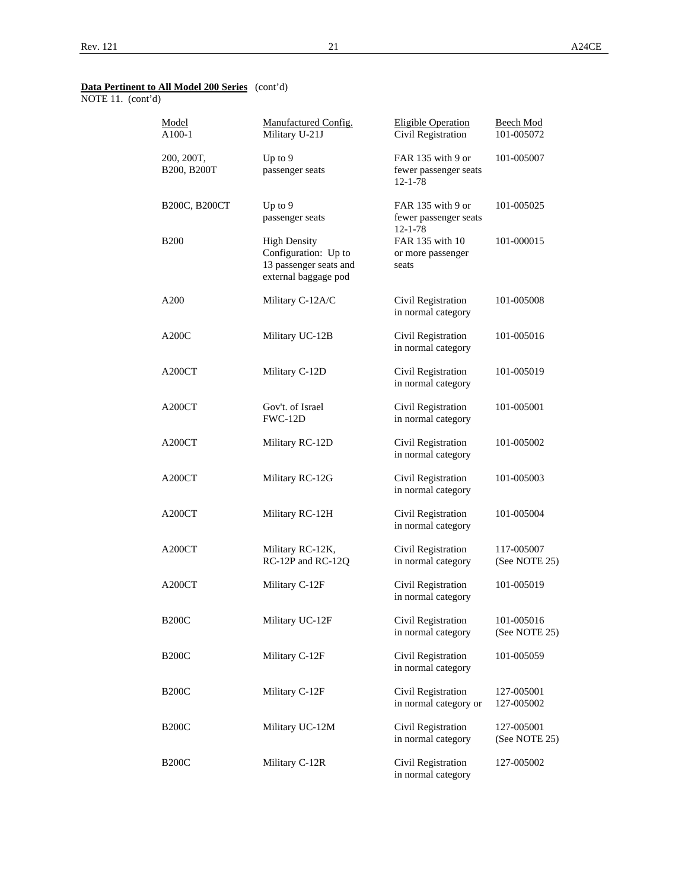NOTE 11. (cont'd)

| Model<br>A100-1           | Manufactured Config.<br>Military U-21J                                                        | <b>Eligible Operation</b><br>Civil Registration             | <b>Beech Mod</b><br>101-005072 |
|---------------------------|-----------------------------------------------------------------------------------------------|-------------------------------------------------------------|--------------------------------|
| 200, 200T,<br>B200, B200T | Up to 9<br>passenger seats                                                                    | FAR 135 with 9 or<br>fewer passenger seats<br>$12 - 1 - 78$ | 101-005007                     |
| B200C, B200CT             | Up to $9$<br>passenger seats                                                                  | FAR 135 with 9 or<br>fewer passenger seats<br>$12 - 1 - 78$ | 101-005025                     |
| <b>B200</b>               | <b>High Density</b><br>Configuration: Up to<br>13 passenger seats and<br>external baggage pod | FAR 135 with 10<br>or more passenger<br>seats               | 101-000015                     |
| A200                      | Military C-12A/C                                                                              | Civil Registration<br>in normal category                    | 101-005008                     |
| A200C                     | Military UC-12B                                                                               | Civil Registration<br>in normal category                    | 101-005016                     |
| A200CT                    | Military C-12D                                                                                | Civil Registration<br>in normal category                    | 101-005019                     |
| A200CT                    | Gov't. of Israel<br>FWC-12D                                                                   | Civil Registration<br>in normal category                    | 101-005001                     |
| A200CT                    | Military RC-12D                                                                               | Civil Registration<br>in normal category                    | 101-005002                     |
| A200CT                    | Military RC-12G                                                                               | Civil Registration<br>in normal category                    | 101-005003                     |
| A200CT                    | Military RC-12H                                                                               | Civil Registration<br>in normal category                    | 101-005004                     |
| A200CT                    | Military RC-12K,<br>RC-12P and RC-12Q                                                         | Civil Registration<br>in normal category                    | 117-005007<br>(See NOTE 25)    |
| A200CT                    | Military C-12F                                                                                | Civil Registration<br>in normal category                    | 101-005019                     |
| <b>B200C</b>              | Military UC-12F                                                                               | Civil Registration<br>in normal category                    | 101-005016<br>(See NOTE 25)    |
| <b>B200C</b>              | Military C-12F                                                                                | Civil Registration<br>in normal category                    | 101-005059                     |
| <b>B200C</b>              | Military C-12F                                                                                | Civil Registration<br>in normal category or                 | 127-005001<br>127-005002       |
| <b>B200C</b>              | Military UC-12M                                                                               | Civil Registration<br>in normal category                    | 127-005001<br>(See NOTE 25)    |
| <b>B200C</b>              | Military C-12R                                                                                | Civil Registration<br>in normal category                    | 127-005002                     |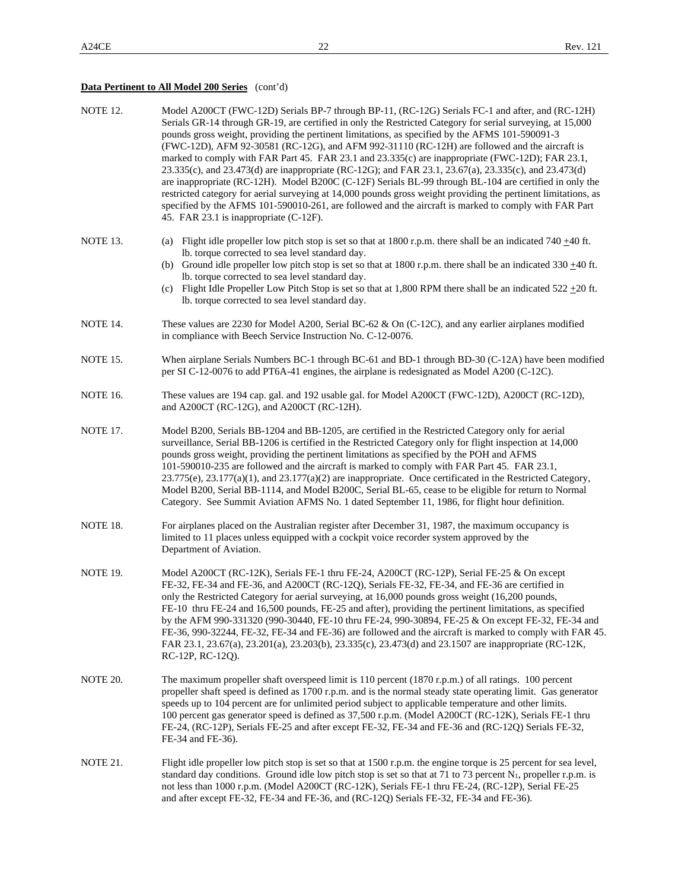# **Data Pertinent to All Model 200 Series** (cont'd)

| NOTE 12.        | Model A200CT (FWC-12D) Serials BP-7 through BP-11, (RC-12G) Serials FC-1 and after, and (RC-12H)<br>Serials GR-14 through GR-19, are certified in only the Restricted Category for serial surveying, at 15,000<br>pounds gross weight, providing the pertinent limitations, as specified by the AFMS 101-590091-3<br>(FWC-12D), AFM 92-30581 (RC-12G), and AFM 992-31110 (RC-12H) are followed and the aircraft is<br>marked to comply with FAR Part 45. FAR 23.1 and 23.335(c) are inappropriate (FWC-12D); FAR 23.1,<br>23.335(c), and 23.473(d) are inappropriate (RC-12G); and FAR 23.1, 23.67(a), 23.335(c), and 23.473(d)<br>are inappropriate (RC-12H). Model B200C (C-12F) Serials BL-99 through BL-104 are certified in only the<br>restricted category for aerial surveying at 14,000 pounds gross weight providing the pertinent limitations, as<br>specified by the AFMS 101-590010-261, are followed and the aircraft is marked to comply with FAR Part<br>45. FAR 23.1 is inappropriate (C-12F). |
|-----------------|----------------------------------------------------------------------------------------------------------------------------------------------------------------------------------------------------------------------------------------------------------------------------------------------------------------------------------------------------------------------------------------------------------------------------------------------------------------------------------------------------------------------------------------------------------------------------------------------------------------------------------------------------------------------------------------------------------------------------------------------------------------------------------------------------------------------------------------------------------------------------------------------------------------------------------------------------------------------------------------------------------------|
| NOTE 13.        | (a) Flight idle propeller low pitch stop is set so that at 1800 r.p.m. there shall be an indicated 740 $\pm$ 40 ft.<br>lb. torque corrected to sea level standard day.<br>(b) Ground idle propeller low pitch stop is set so that at 1800 r.p.m. there shall be an indicated 330 $\pm$ 40 ft.<br>lb. torque corrected to sea level standard day.<br>(c) Flight Idle Propeller Low Pitch Stop is set so that at 1,800 RPM there shall be an indicated $522 \pm 20$ ft.<br>lb. torque corrected to sea level standard day.                                                                                                                                                                                                                                                                                                                                                                                                                                                                                       |
| NOTE 14.        | These values are 2230 for Model A200, Serial BC-62 & On (C-12C), and any earlier airplanes modified<br>in compliance with Beech Service Instruction No. C-12-0076.                                                                                                                                                                                                                                                                                                                                                                                                                                                                                                                                                                                                                                                                                                                                                                                                                                             |
| NOTE 15.        | When airplane Serials Numbers BC-1 through BC-61 and BD-1 through BD-30 (C-12A) have been modified<br>per SI C-12-0076 to add PT6A-41 engines, the airplane is redesignated as Model A200 (C-12C).                                                                                                                                                                                                                                                                                                                                                                                                                                                                                                                                                                                                                                                                                                                                                                                                             |
| <b>NOTE 16.</b> | These values are 194 cap. gal. and 192 usable gal. for Model A200CT (FWC-12D), A200CT (RC-12D),<br>and A200CT (RC-12G), and A200CT (RC-12H).                                                                                                                                                                                                                                                                                                                                                                                                                                                                                                                                                                                                                                                                                                                                                                                                                                                                   |
| <b>NOTE 17.</b> | Model B200, Serials BB-1204 and BB-1205, are certified in the Restricted Category only for aerial<br>surveillance, Serial BB-1206 is certified in the Restricted Category only for flight inspection at 14,000<br>pounds gross weight, providing the pertinent limitations as specified by the POH and AFMS<br>101-590010-235 are followed and the aircraft is marked to comply with FAR Part 45. FAR 23.1,<br>23.775(e), 23.177(a)(1), and 23.177(a)(2) are inappropriate. Once certificated in the Restricted Category,<br>Model B200, Serial BB-1114, and Model B200C, Serial BL-65, cease to be eligible for return to Normal<br>Category. See Summit Aviation AFMS No. 1 dated September 11, 1986, for flight hour definition.                                                                                                                                                                                                                                                                            |
| NOTE 18.        | For airplanes placed on the Australian register after December 31, 1987, the maximum occupancy is<br>limited to 11 places unless equipped with a cockpit voice recorder system approved by the<br>Department of Aviation.                                                                                                                                                                                                                                                                                                                                                                                                                                                                                                                                                                                                                                                                                                                                                                                      |
| NOTE 19.        | Model A200CT (RC-12K), Serials FE-1 thru FE-24, A200CT (RC-12P), Serial FE-25 & On except<br>FE-32, FE-34 and FE-36, and A200CT (RC-12Q), Serials FE-32, FE-34, and FE-36 are certified in<br>only the Restricted Category for aerial surveying, at 16,000 pounds gross weight (16,200 pounds,<br>FE-10 thru FE-24 and 16,500 pounds, FE-25 and after), providing the pertinent limitations, as specified<br>by the AFM 990-331320 (990-30440, FE-10 thru FE-24, 990-30894, FE-25 & On except FE-32, FE-34 and<br>FE-36, 990-32244, FE-32, FE-34 and FE-36) are followed and the aircraft is marked to comply with FAR 45.<br>FAR 23.1, 23.67(a), 23.201(a), 23.203(b), 23.335(c), 23.473(d) and 23.1507 are inappropriate (RC-12K,<br>RC-12P, RC-12Q).                                                                                                                                                                                                                                                        |
| NOTE 20.        | The maximum propeller shaft overspeed limit is 110 percent (1870 r.p.m.) of all ratings. 100 percent<br>propeller shaft speed is defined as 1700 r.p.m. and is the normal steady state operating limit. Gas generator<br>speeds up to 104 percent are for unlimited period subject to applicable temperature and other limits.<br>100 percent gas generator speed is defined as 37,500 r.p.m. (Model A200CT (RC-12K), Serials FE-1 thru<br>FE-24, (RC-12P), Serials FE-25 and after except FE-32, FE-34 and FE-36 and (RC-12Q) Serials FE-32,<br>FE-34 and FE-36).                                                                                                                                                                                                                                                                                                                                                                                                                                             |
| NOTE 21.        | Flight idle propeller low pitch stop is set so that at 1500 r.p.m. the engine torque is 25 percent for sea level,<br>standard day conditions. Ground idle low pitch stop is set so that at 71 to 73 percent $N_1$ , propeller r.p.m. is<br>not less than 1000 r.p.m. (Model A200CT (RC-12K), Serials FE-1 thru FE-24, (RC-12P), Serial FE-25<br>and after except FE-32, FE-34 and FE-36, and (RC-12Q) Serials FE-32, FE-34 and FE-36).                                                                                                                                                                                                                                                                                                                                                                                                                                                                                                                                                                         |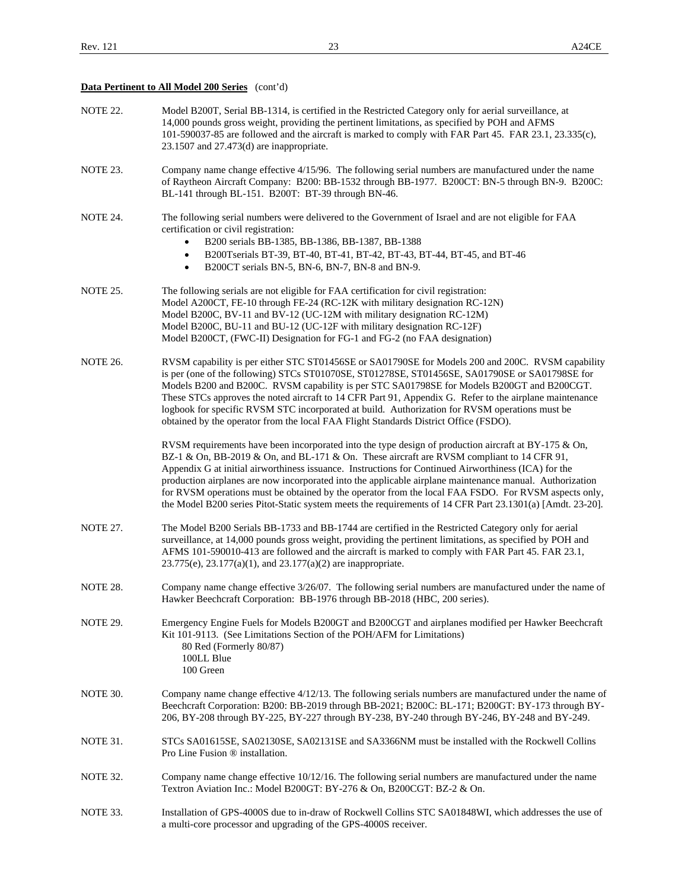# **Data Pertinent to All Model 200 Series** (cont'd)

| <b>NOTE 22.</b> | Model B200T, Serial BB-1314, is certified in the Restricted Category only for aerial surveillance, at<br>14,000 pounds gross weight, providing the pertinent limitations, as specified by POH and AFMS<br>101-590037-85 are followed and the aircraft is marked to comply with FAR Part 45. FAR 23.1, 23.335(c),<br>23.1507 and 27.473(d) are inappropriate.                                                                                                                                                                                                                                                                               |
|-----------------|--------------------------------------------------------------------------------------------------------------------------------------------------------------------------------------------------------------------------------------------------------------------------------------------------------------------------------------------------------------------------------------------------------------------------------------------------------------------------------------------------------------------------------------------------------------------------------------------------------------------------------------------|
| NOTE 23.        | Company name change effective 4/15/96. The following serial numbers are manufactured under the name<br>of Raytheon Aircraft Company: B200: BB-1532 through BB-1977. B200CT: BN-5 through BN-9. B200C:<br>BL-141 through BL-151. B200T: BT-39 through BN-46.                                                                                                                                                                                                                                                                                                                                                                                |
| NOTE 24.        | The following serial numbers were delivered to the Government of Israel and are not eligible for FAA<br>certification or civil registration:<br>B200 serials BB-1385, BB-1386, BB-1387, BB-1388<br>B200Tserials BT-39, BT-40, BT-41, BT-42, BT-43, BT-44, BT-45, and BT-46<br>$\bullet$<br>B200CT serials BN-5, BN-6, BN-7, BN-8 and BN-9.<br>$\bullet$                                                                                                                                                                                                                                                                                    |
| NOTE 25.        | The following serials are not eligible for FAA certification for civil registration:<br>Model A200CT, FE-10 through FE-24 (RC-12K with military designation RC-12N)<br>Model B200C, BV-11 and BV-12 (UC-12M with military designation RC-12M)<br>Model B200C, BU-11 and BU-12 (UC-12F with military designation RC-12F)<br>Model B200CT, (FWC-II) Designation for FG-1 and FG-2 (no FAA designation)                                                                                                                                                                                                                                       |
| NOTE 26.        | RVSM capability is per either STC ST01456SE or SA01790SE for Models 200 and 200C. RVSM capability<br>is per (one of the following) STCs ST01070SE, ST01278SE, ST01456SE, SA01790SE or SA01798SE for<br>Models B200 and B200C. RVSM capability is per STC SA01798SE for Models B200GT and B200CGT.<br>These STCs approves the noted aircraft to 14 CFR Part 91, Appendix G. Refer to the airplane maintenance<br>logbook for specific RVSM STC incorporated at build. Authorization for RVSM operations must be<br>obtained by the operator from the local FAA Flight Standards District Office (FSDO).                                     |
|                 | RVSM requirements have been incorporated into the type design of production aircraft at BY-175 & On,<br>BZ-1 & On, BB-2019 & On, and BL-171 & On. These aircraft are RVSM compliant to 14 CFR 91,<br>Appendix G at initial airworthiness issuance. Instructions for Continued Airworthiness (ICA) for the<br>production airplanes are now incorporated into the applicable airplane maintenance manual. Authorization<br>for RVSM operations must be obtained by the operator from the local FAA FSDO. For RVSM aspects only,<br>the Model B200 series Pitot-Static system meets the requirements of 14 CFR Part 23.1301(a) [Amdt. 23-20]. |
| <b>NOTE 27.</b> | The Model B200 Serials BB-1733 and BB-1744 are certified in the Restricted Category only for aerial<br>surveillance, at 14,000 pounds gross weight, providing the pertinent limitations, as specified by POH and<br>AFMS 101-590010-413 are followed and the aircraft is marked to comply with FAR Part 45. FAR 23.1,<br>23.775(e), 23.177(a)(1), and 23.177(a)(2) are inappropriate.                                                                                                                                                                                                                                                      |
| NOTE 28.        | Company name change effective 3/26/07. The following serial numbers are manufactured under the name of<br>Hawker Beechcraft Corporation: BB-1976 through BB-2018 (HBC, 200 series).                                                                                                                                                                                                                                                                                                                                                                                                                                                        |
| NOTE 29.        | Emergency Engine Fuels for Models B200GT and B200CGT and airplanes modified per Hawker Beechcraft<br>Kit 101-9113. (See Limitations Section of the POH/AFM for Limitations)<br>80 Red (Formerly 80/87)<br>100LL Blue<br>100 Green                                                                                                                                                                                                                                                                                                                                                                                                          |
| NOTE 30.        | Company name change effective 4/12/13. The following serials numbers are manufactured under the name of<br>Beechcraft Corporation: B200: BB-2019 through BB-2021; B200C: BL-171; B200GT: BY-173 through BY-<br>206, BY-208 through BY-225, BY-227 through BY-238, BY-240 through BY-246, BY-248 and BY-249.                                                                                                                                                                                                                                                                                                                                |
| NOTE 31.        | STCs SA01615SE, SA02130SE, SA02131SE and SA3366NM must be installed with the Rockwell Collins<br>Pro Line Fusion <sup>®</sup> installation.                                                                                                                                                                                                                                                                                                                                                                                                                                                                                                |
| <b>NOTE 32.</b> | Company name change effective 10/12/16. The following serial numbers are manufactured under the name<br>Textron Aviation Inc.: Model B200GT: BY-276 & On, B200CGT: BZ-2 & On.                                                                                                                                                                                                                                                                                                                                                                                                                                                              |
| NOTE 33.        | Installation of GPS-4000S due to in-draw of Rockwell Collins STC SA01848WI, which addresses the use of<br>a multi-core processor and upgrading of the GPS-4000S receiver.                                                                                                                                                                                                                                                                                                                                                                                                                                                                  |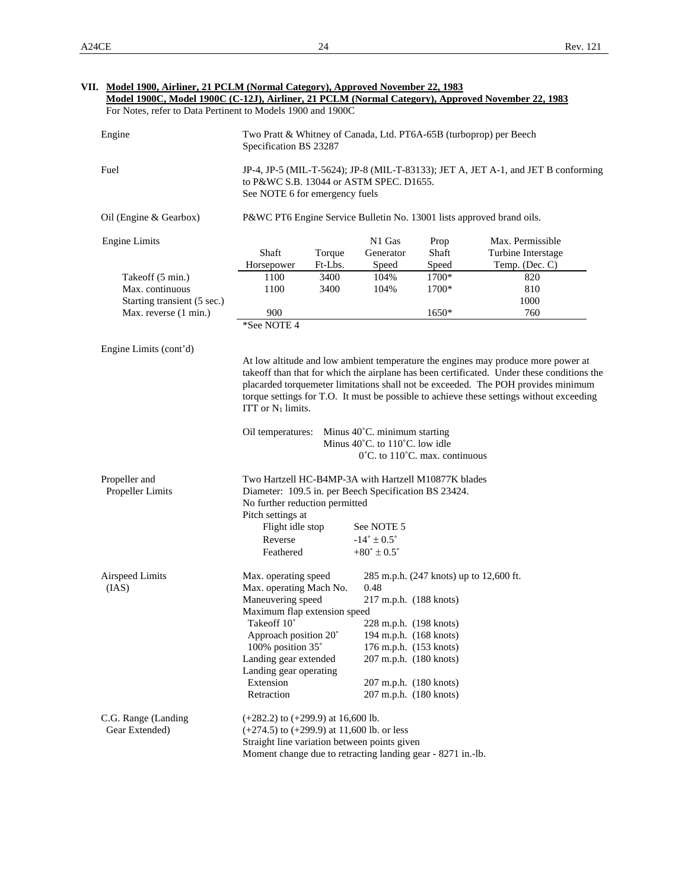|                                                                    | For Notes, refer to Data Pertinent to Models 1900 and 1900C                                                                                     |      | Model 1900C, Model 1900C (C-12J), Airliner, 21 PCLM (Normal Category), Approved November 22, 1983 |                                         |                                                                                                                                                                                                                                                                                                                                                                  |
|--------------------------------------------------------------------|-------------------------------------------------------------------------------------------------------------------------------------------------|------|---------------------------------------------------------------------------------------------------|-----------------------------------------|------------------------------------------------------------------------------------------------------------------------------------------------------------------------------------------------------------------------------------------------------------------------------------------------------------------------------------------------------------------|
| Engine                                                             | Two Pratt & Whitney of Canada, Ltd. PT6A-65B (turboprop) per Beech<br>Specification BS 23287                                                    |      |                                                                                                   |                                         |                                                                                                                                                                                                                                                                                                                                                                  |
| Fuel                                                               | to P&WC S.B. 13044 or ASTM SPEC. D1655.<br>See NOTE 6 for emergency fuels                                                                       |      |                                                                                                   |                                         | JP-4, JP-5 (MIL-T-5624); JP-8 (MIL-T-83133); JET A, JET A-1, and JET B conforming                                                                                                                                                                                                                                                                                |
| Oil (Engine & Gearbox)                                             | P&WC PT6 Engine Service Bulletin No. 13001 lists approved brand oils.                                                                           |      |                                                                                                   |                                         |                                                                                                                                                                                                                                                                                                                                                                  |
| <b>Engine Limits</b>                                               | Shaft<br>Torque<br>Ft-Lbs.<br>Horsepower                                                                                                        |      | N1 Gas<br>Generator<br>Speed                                                                      | Prop<br>Shaft<br>Speed                  | Max. Permissible<br>Turbine Interstage<br>Temp. (Dec. C)                                                                                                                                                                                                                                                                                                         |
| Takeoff (5 min.)<br>Max. continuous<br>Starting transient (5 sec.) | 1100<br>1100<br>3400                                                                                                                            | 3400 | 104%<br>104%                                                                                      | 1700*<br>1700*                          | 820<br>810<br>1000                                                                                                                                                                                                                                                                                                                                               |
| Max. reverse (1 min.)                                              | 900<br>*See NOTE 4                                                                                                                              |      |                                                                                                   | $1650*$                                 | 760                                                                                                                                                                                                                                                                                                                                                              |
|                                                                    | ITT or $N_1$ limits.                                                                                                                            |      |                                                                                                   |                                         | At low altitude and low ambient temperature the engines may produce more power at<br>takeoff than that for which the airplane has been certificated. Under these conditions the<br>placarded torquemeter limitations shall not be exceeded. The POH provides minimum<br>torque settings for T.O. It must be possible to achieve these settings without exceeding |
|                                                                    | Oil temperatures:                                                                                                                               |      | Minus 40°C. minimum starting<br>Minus 40°C. to 110°C. low idle                                    |                                         |                                                                                                                                                                                                                                                                                                                                                                  |
|                                                                    |                                                                                                                                                 |      | 0°C. to 110°C. max. continuous                                                                    |                                         |                                                                                                                                                                                                                                                                                                                                                                  |
| Propeller and<br>Propeller Limits                                  | Two Hartzell HC-B4MP-3A with Hartzell M10877K blades<br>Diameter: 109.5 in. per Beech Specification BS 23424.<br>No further reduction permitted |      |                                                                                                   |                                         |                                                                                                                                                                                                                                                                                                                                                                  |
|                                                                    | Pitch settings at<br>Flight idle stop<br>Reverse<br>Feathered                                                                                   |      | See NOTE 5<br>$-14^{\circ} \pm 0.5^{\circ}$<br>$+80^{\circ} \pm 0.5^{\circ}$                      |                                         |                                                                                                                                                                                                                                                                                                                                                                  |
| Airspeed Limits<br>(IAS)                                           | Max. operating speed<br>Max. operating Mach No.<br>Maneuvering speed                                                                            |      | 0.48<br>217 m.p.h. (188 knots)                                                                    | 285 m.p.h. (247 knots) up to 12,600 ft. |                                                                                                                                                                                                                                                                                                                                                                  |
|                                                                    | Maximum flap extension speed<br>Takeoff 10°<br>Approach position 20°<br>100% position 35°                                                       |      | 228 m.p.h. (198 knots)<br>194 m.p.h. (168 knots)<br>176 m.p.h. (153 knots)                        |                                         |                                                                                                                                                                                                                                                                                                                                                                  |
|                                                                    | Landing gear extended<br>Landing gear operating<br>Extension<br>Retraction                                                                      |      | 207 m.p.h. (180 knots)<br>207 m.p.h. (180 knots)<br>207 m.p.h. (180 knots)                        |                                         |                                                                                                                                                                                                                                                                                                                                                                  |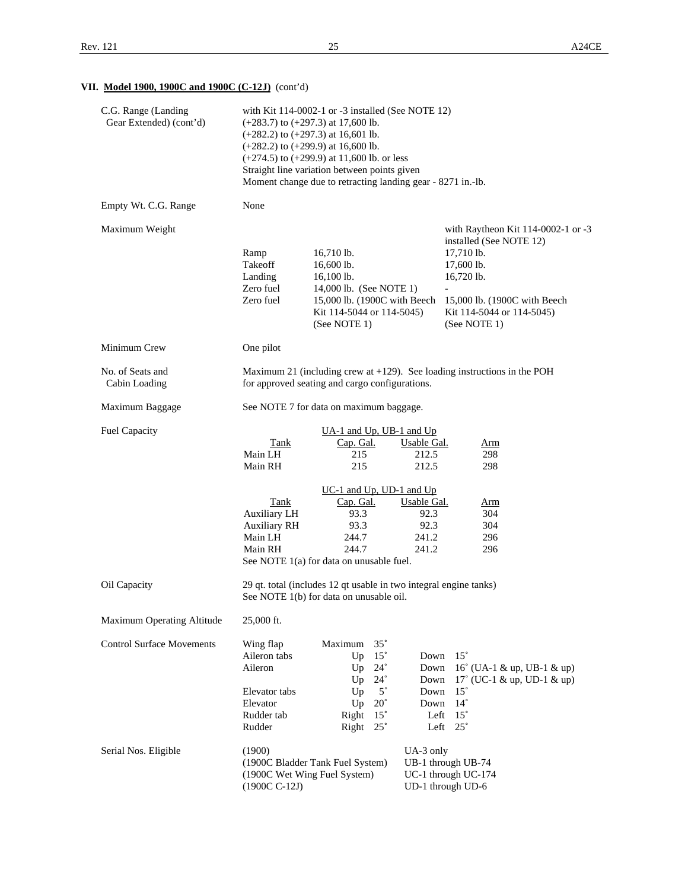# **VII. Model 1900, 1900C and 1900C (C-12J)** (cont'd)

| C.G. Range (Landing<br>Gear Extended) (cont'd) |                                                                                                        | with Kit $114-0002-1$ or $-3$ installed (See NOTE 12)<br>$(+283.7)$ to $(+297.3)$ at 17,600 lb.<br>$(+282.2)$ to $(+297.3)$ at 16,601 lb.<br>$(+282.2)$ to $(+299.9)$ at 16,600 lb.<br>$(+274.5)$ to $(+299.9)$ at 11,600 lb. or less<br>Straight line variation between points given<br>Moment change due to retracting landing gear - 8271 in.-lb. |                                                                                                                         |                                                                                              |                                                                                                                            |                                                                    |
|------------------------------------------------|--------------------------------------------------------------------------------------------------------|------------------------------------------------------------------------------------------------------------------------------------------------------------------------------------------------------------------------------------------------------------------------------------------------------------------------------------------------------|-------------------------------------------------------------------------------------------------------------------------|----------------------------------------------------------------------------------------------|----------------------------------------------------------------------------------------------------------------------------|--------------------------------------------------------------------|
| Empty Wt. C.G. Range                           | None                                                                                                   |                                                                                                                                                                                                                                                                                                                                                      |                                                                                                                         |                                                                                              |                                                                                                                            |                                                                    |
| Maximum Weight                                 | Ramp<br>Takeoff<br>Landing<br>Zero fuel<br>Zero fuel                                                   | 16,710 lb.<br>16,600 lb.<br>16,100 lb.<br>14,000 lb. (See NOTE 1)<br>15,000 lb. (1900C with Beech<br>Kit 114-5044 or 114-5045)<br>(See NOTE 1)                                                                                                                                                                                                       |                                                                                                                         |                                                                                              | installed (See NOTE 12)<br>17,710 lb.<br>17,600 lb.<br>16,720 lb.<br>$\equiv$<br>Kit 114-5044 or 114-5045)<br>(See NOTE 1) | with Raytheon Kit 114-0002-1 or -3<br>15,000 lb. (1900C with Beech |
| Minimum Crew                                   | One pilot                                                                                              |                                                                                                                                                                                                                                                                                                                                                      |                                                                                                                         |                                                                                              |                                                                                                                            |                                                                    |
| No. of Seats and<br>Cabin Loading              |                                                                                                        | Maximum 21 (including crew at $+129$ ). See loading instructions in the POH<br>for approved seating and cargo configurations.                                                                                                                                                                                                                        |                                                                                                                         |                                                                                              |                                                                                                                            |                                                                    |
| Maximum Baggage                                |                                                                                                        | See NOTE 7 for data on maximum baggage.                                                                                                                                                                                                                                                                                                              |                                                                                                                         |                                                                                              |                                                                                                                            |                                                                    |
| <b>Fuel Capacity</b>                           | Tank<br>Main LH<br>Main RH<br>Tank<br><b>Auxiliary LH</b><br><b>Auxiliary RH</b><br>Main LH<br>Main RH | $UA-1$ and $Up$ , UB-1 and $Up$<br>Cap. Gal.<br>215<br>215<br>$UC-1$ and $Up$ , $UD-1$ and $Up$<br>Cap. Gal.<br>93.3<br>93.3<br>244.7<br>244.7<br>See NOTE 1(a) for data on unusable fuel.                                                                                                                                                           |                                                                                                                         | <b>Usable Gal.</b><br>212.5<br>212.5<br><b>Usable Gal.</b><br>92.3<br>92.3<br>241.2<br>241.2 | <u>Arm</u><br>298<br>298<br><u>Arm</u><br>304<br>304<br>296<br>296                                                         |                                                                    |
| Oil Capacity                                   |                                                                                                        | 29 qt. total (includes 12 qt usable in two integral engine tanks)<br>See NOTE 1(b) for data on unusable oil.                                                                                                                                                                                                                                         |                                                                                                                         |                                                                                              |                                                                                                                            |                                                                    |
| Maximum Operating Altitude                     | 25,000 ft.                                                                                             |                                                                                                                                                                                                                                                                                                                                                      |                                                                                                                         |                                                                                              |                                                                                                                            |                                                                    |
| <b>Control Surface Movements</b>               | Wing flap<br>Aileron tabs<br>Aileron<br>Elevator tabs<br>Elevator<br>Rudder tab<br>Rudder              | Maximum<br>Up<br>Up<br>Up<br>Up<br>Up<br>Right<br>Right                                                                                                                                                                                                                                                                                              | $35^\circ$<br>$15^{\circ}$<br>$24^{\circ}$<br>$24^\circ$<br>$5^{\circ}$<br>$20^{\circ}$<br>$15^{\circ}$<br>$25^{\circ}$ | Down<br>Down<br>Down<br>Down<br>Down<br>Left<br>Left                                         | $15^{\circ}$<br>$15^{\circ}$<br>$14^{\circ}$<br>$15^{\circ}$<br>$25^{\circ}$                                               | 16° (UA-1 & up, UB-1 & up)<br>$17^{\circ}$ (UC-1 & up, UD-1 & up)  |
| Serial Nos. Eligible                           | (1900)<br>$(1900C C-12J)$                                                                              | (1900C Bladder Tank Fuel System)<br>(1900C Wet Wing Fuel System)                                                                                                                                                                                                                                                                                     |                                                                                                                         | UA-3 only                                                                                    | UB-1 through UB-74<br>UC-1 through UC-174<br>UD-1 through UD-6                                                             |                                                                    |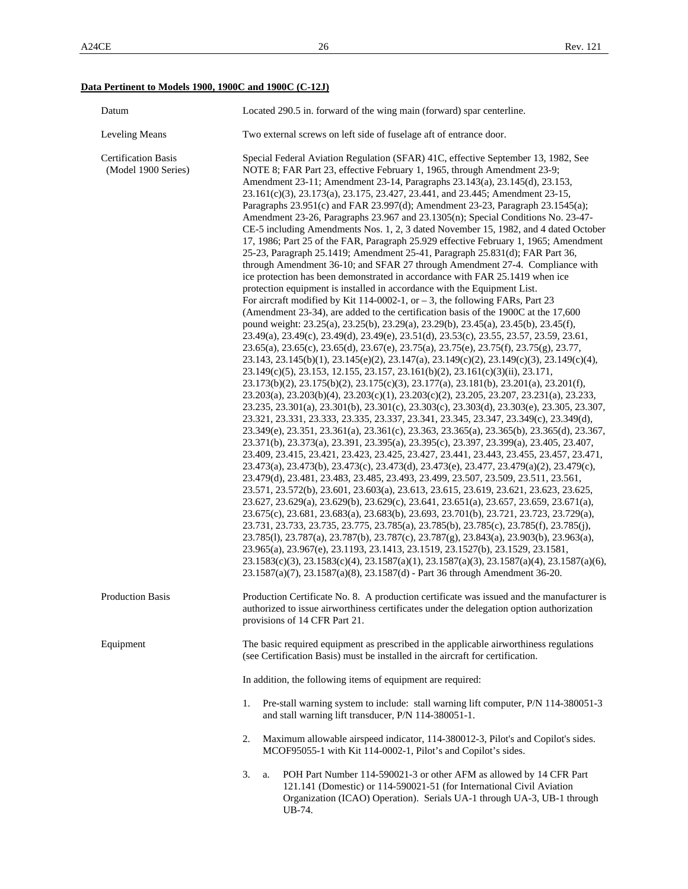# **Data Pertinent to Models 1900, 1900C and 1900C (C-12J)**

| Datum                                             | Located 290.5 in. forward of the wing main (forward) spar centerline.                                                                                                                                                                                                                                                                                                                                                                                                                                                                                                                                                                                                                                                                                                                                                                                                                                                                                                                                                                                                                                                                                                                                                                                                                                                                                                                                                                                                                                                                                                                                                                                                                                                                                                                                                                                                                                                                                                                                                                                                                                                                                                                                                                                                                                                                                                                                                                                                                                                                                                                                                                                                                                                                                                                                                                                                                                                                                                                                                                                                                                                                                                                                                                            |
|---------------------------------------------------|--------------------------------------------------------------------------------------------------------------------------------------------------------------------------------------------------------------------------------------------------------------------------------------------------------------------------------------------------------------------------------------------------------------------------------------------------------------------------------------------------------------------------------------------------------------------------------------------------------------------------------------------------------------------------------------------------------------------------------------------------------------------------------------------------------------------------------------------------------------------------------------------------------------------------------------------------------------------------------------------------------------------------------------------------------------------------------------------------------------------------------------------------------------------------------------------------------------------------------------------------------------------------------------------------------------------------------------------------------------------------------------------------------------------------------------------------------------------------------------------------------------------------------------------------------------------------------------------------------------------------------------------------------------------------------------------------------------------------------------------------------------------------------------------------------------------------------------------------------------------------------------------------------------------------------------------------------------------------------------------------------------------------------------------------------------------------------------------------------------------------------------------------------------------------------------------------------------------------------------------------------------------------------------------------------------------------------------------------------------------------------------------------------------------------------------------------------------------------------------------------------------------------------------------------------------------------------------------------------------------------------------------------------------------------------------------------------------------------------------------------------------------------------------------------------------------------------------------------------------------------------------------------------------------------------------------------------------------------------------------------------------------------------------------------------------------------------------------------------------------------------------------------------------------------------------------------------------------------------------------------|
| <b>Leveling Means</b>                             | Two external screws on left side of fuselage aft of entrance door.                                                                                                                                                                                                                                                                                                                                                                                                                                                                                                                                                                                                                                                                                                                                                                                                                                                                                                                                                                                                                                                                                                                                                                                                                                                                                                                                                                                                                                                                                                                                                                                                                                                                                                                                                                                                                                                                                                                                                                                                                                                                                                                                                                                                                                                                                                                                                                                                                                                                                                                                                                                                                                                                                                                                                                                                                                                                                                                                                                                                                                                                                                                                                                               |
| <b>Certification Basis</b><br>(Model 1900 Series) | Special Federal Aviation Regulation (SFAR) 41C, effective September 13, 1982, See<br>NOTE 8; FAR Part 23, effective February 1, 1965, through Amendment 23-9;<br>Amendment 23-11; Amendment 23-14, Paragraphs 23.143(a), 23.145(d), 23.153,<br>23.161(c)(3), 23.173(a), 23.175, 23.427, 23.441, and 23.445; Amendment 23-15,<br>Paragraphs 23.951(c) and FAR 23.997(d); Amendment 23-23, Paragraph 23.1545(a);<br>Amendment 23-26, Paragraphs 23.967 and 23.1305(n); Special Conditions No. 23-47-<br>CE-5 including Amendments Nos. 1, 2, 3 dated November 15, 1982, and 4 dated October<br>17, 1986; Part 25 of the FAR, Paragraph 25.929 effective February 1, 1965; Amendment<br>25-23, Paragraph 25.1419; Amendment 25-41, Paragraph 25.831(d); FAR Part 36,<br>through Amendment 36-10; and SFAR 27 through Amendment 27-4. Compliance with<br>ice protection has been demonstrated in accordance with FAR 25.1419 when ice<br>protection equipment is installed in accordance with the Equipment List.<br>For aircraft modified by Kit 114-0002-1, or $-3$ , the following FARs, Part 23<br>(Amendment 23-34), are added to the certification basis of the 1900C at the 17,600<br>pound weight: 23.25(a), 23.25(b), 23.29(a), 23.29(b), 23.45(a), 23.45(b), 23.45(f),<br>23.49(a), 23.49(c), 23.49(d), 23.49(e), 23.51(d), 23.53(c), 23.55, 23.57, 23.59, 23.61,<br>23.65(a), 23.65(c), 23.65(d), 23.67(e), 23.75(a), 23.75(e), 23.75(f), 23.75(g), 23.77,<br>23.143, 23.145(b)(1), 23.145(e)(2), 23.147(a), 23.149(c)(2), 23.149(c)(3), 23.149(c)(4),<br>23.149(c)(5), 23.153, 12.155, 23.157, 23.161(b)(2), 23.161(c)(3)(ii), 23.171,<br>$23.173(b)(2)$ , $23.175(b)(2)$ , $23.175(c)(3)$ , $23.177(a)$ , $23.181(b)$ , $23.201(a)$ , $23.201(f)$ ,<br>23.203(a), 23.203(b)(4), 23.203(c)(1), 23.203(c)(2), 23.205, 23.207, 23.231(a), 23.233,<br>23.235, 23.301(a), 23.301(b), 23.301(c), 23.303(c), 23.303(d), 23.303(e), 23.305, 23.307,<br>23.321, 23.331, 23.333, 23.335, 23.337, 23.341, 23.345, 23.347, 23.349(c), 23.349(d),<br>23.349(e), 23.351, 23.361(a), 23.361(c), 23.363, 23.365(a), 23.365(b), 23.365(d), 23.367,<br>23.371(b), 23.373(a), 23.391, 23.395(a), 23.395(c), 23.397, 23.399(a), 23.405, 23.407,<br>23.409, 23.415, 23.421, 23.423, 23.425, 23.427, 23.441, 23.443, 23.455, 23.457, 23.471,<br>23.473(a), 23.473(b), 23.473(c), 23.473(d), 23.473(e), 23.477, 23.479(a)(2), 23.479(c),<br>23.479(d), 23.481, 23.483, 23.485, 23.493, 23.499, 23.507, 23.509, 23.511, 23.561,<br>23.571, 23.572(b), 23.601, 23.603(a), 23.613, 23.615, 23.619, 23.621, 23.623, 23.625,<br>23.627, 23.629(a), 23.629(b), 23.629(c), 23.641, 23.651(a), 23.657, 23.659, 23.671(a),<br>23.675(c), 23.681, 23.683(a), 23.683(b), 23.693, 23.701(b), 23.721, 23.723, 23.729(a),<br>23.731, 23.733, 23.735, 23.775, 23.785(a), 23.785(b), 23.785(c), 23.785(f), 23.785(j),<br>23.785(l), 23.787(a), 23.787(b), 23.787(c), 23.787(g), 23.843(a), 23.903(b), 23.963(a),<br>23.965(a), 23.967(e), 23.1193, 23.1413, 23.1519, 23.1527(b), 23.1529, 23.1581,<br>23.1583(c)(3), 23.1583(c)(4), 23.1587(a)(1), 23.1587(a)(3), 23.1587(a)(4), 23.1587(a)(6),<br>23.1587(a)(7), 23.1587(a)(8), 23.1587(d) - Part 36 through Amendment 36-20. |
| Production Basis                                  | Production Certificate No. 8. A production certificate was issued and the manufacturer is<br>authorized to issue airworthiness certificates under the delegation option authorization<br>provisions of 14 CFR Part 21.                                                                                                                                                                                                                                                                                                                                                                                                                                                                                                                                                                                                                                                                                                                                                                                                                                                                                                                                                                                                                                                                                                                                                                                                                                                                                                                                                                                                                                                                                                                                                                                                                                                                                                                                                                                                                                                                                                                                                                                                                                                                                                                                                                                                                                                                                                                                                                                                                                                                                                                                                                                                                                                                                                                                                                                                                                                                                                                                                                                                                           |
| Equipment                                         | The basic required equipment as prescribed in the applicable airworthiness regulations<br>(see Certification Basis) must be installed in the aircraft for certification.                                                                                                                                                                                                                                                                                                                                                                                                                                                                                                                                                                                                                                                                                                                                                                                                                                                                                                                                                                                                                                                                                                                                                                                                                                                                                                                                                                                                                                                                                                                                                                                                                                                                                                                                                                                                                                                                                                                                                                                                                                                                                                                                                                                                                                                                                                                                                                                                                                                                                                                                                                                                                                                                                                                                                                                                                                                                                                                                                                                                                                                                         |
|                                                   | In addition, the following items of equipment are required:                                                                                                                                                                                                                                                                                                                                                                                                                                                                                                                                                                                                                                                                                                                                                                                                                                                                                                                                                                                                                                                                                                                                                                                                                                                                                                                                                                                                                                                                                                                                                                                                                                                                                                                                                                                                                                                                                                                                                                                                                                                                                                                                                                                                                                                                                                                                                                                                                                                                                                                                                                                                                                                                                                                                                                                                                                                                                                                                                                                                                                                                                                                                                                                      |
|                                                   | Pre-stall warning system to include: stall warning lift computer, P/N 114-380051-3<br>1.<br>and stall warning lift transducer, P/N 114-380051-1.                                                                                                                                                                                                                                                                                                                                                                                                                                                                                                                                                                                                                                                                                                                                                                                                                                                                                                                                                                                                                                                                                                                                                                                                                                                                                                                                                                                                                                                                                                                                                                                                                                                                                                                                                                                                                                                                                                                                                                                                                                                                                                                                                                                                                                                                                                                                                                                                                                                                                                                                                                                                                                                                                                                                                                                                                                                                                                                                                                                                                                                                                                 |
|                                                   | 2.<br>Maximum allowable airspeed indicator, 114-380012-3, Pilot's and Copilot's sides.<br>MCOF95055-1 with Kit 114-0002-1, Pilot's and Copilot's sides.                                                                                                                                                                                                                                                                                                                                                                                                                                                                                                                                                                                                                                                                                                                                                                                                                                                                                                                                                                                                                                                                                                                                                                                                                                                                                                                                                                                                                                                                                                                                                                                                                                                                                                                                                                                                                                                                                                                                                                                                                                                                                                                                                                                                                                                                                                                                                                                                                                                                                                                                                                                                                                                                                                                                                                                                                                                                                                                                                                                                                                                                                          |
|                                                   | 3.<br>POH Part Number 114-590021-3 or other AFM as allowed by 14 CFR Part<br>a.<br>121.141 (Domestic) or 114-590021-51 (for International Civil Aviation<br>Organization (ICAO) Operation). Serials UA-1 through UA-3, UB-1 through<br>UB-74.                                                                                                                                                                                                                                                                                                                                                                                                                                                                                                                                                                                                                                                                                                                                                                                                                                                                                                                                                                                                                                                                                                                                                                                                                                                                                                                                                                                                                                                                                                                                                                                                                                                                                                                                                                                                                                                                                                                                                                                                                                                                                                                                                                                                                                                                                                                                                                                                                                                                                                                                                                                                                                                                                                                                                                                                                                                                                                                                                                                                    |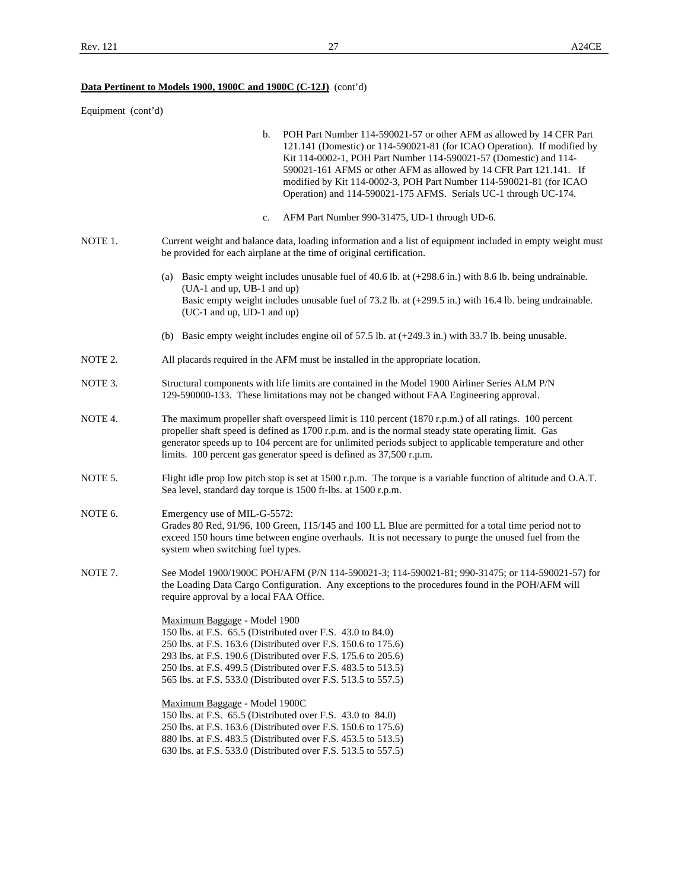# **Data Pertinent to Models 1900, 1900C and 1900C (C-12J)** (cont'd)

| Equipment (cont'd) |                                                                                                                                                                                                                                                                                                                                                                                                                                              |
|--------------------|----------------------------------------------------------------------------------------------------------------------------------------------------------------------------------------------------------------------------------------------------------------------------------------------------------------------------------------------------------------------------------------------------------------------------------------------|
|                    | POH Part Number 114-590021-57 or other AFM as allowed by 14 CFR Part<br>b.<br>121.141 (Domestic) or 114-590021-81 (for ICAO Operation). If modified by<br>Kit 114-0002-1, POH Part Number 114-590021-57 (Domestic) and 114-<br>590021-161 AFMS or other AFM as allowed by 14 CFR Part 121.141. If<br>modified by Kit 114-0002-3, POH Part Number 114-590021-81 (for ICAO<br>Operation) and 114-590021-175 AFMS. Serials UC-1 through UC-174. |
|                    | AFM Part Number 990-31475, UD-1 through UD-6.<br>c.                                                                                                                                                                                                                                                                                                                                                                                          |
| NOTE 1.            | Current weight and balance data, loading information and a list of equipment included in empty weight must<br>be provided for each airplane at the time of original certification.                                                                                                                                                                                                                                                           |
|                    | (a) Basic empty weight includes unusable fuel of 40.6 lb. at $(+298.6 \text{ in.})$ with 8.6 lb. being undrainable.<br>(UA-1 and up, UB-1 and up)<br>Basic empty weight includes unusable fuel of 73.2 lb. at (+299.5 in.) with 16.4 lb. being undrainable.<br>(UC-1 and up, UD-1 and up)                                                                                                                                                    |
|                    | (b) Basic empty weight includes engine oil of 57.5 lb. at $(+249.3 \text{ in.})$ with 33.7 lb. being unusable.                                                                                                                                                                                                                                                                                                                               |
| NOTE 2.            | All placards required in the AFM must be installed in the appropriate location.                                                                                                                                                                                                                                                                                                                                                              |
| NOTE 3.            | Structural components with life limits are contained in the Model 1900 Airliner Series ALM P/N<br>129-590000-133. These limitations may not be changed without FAA Engineering approval.                                                                                                                                                                                                                                                     |
| NOTE 4.            | The maximum propeller shaft overspeed limit is 110 percent (1870 r.p.m.) of all ratings. 100 percent<br>propeller shaft speed is defined as 1700 r.p.m. and is the normal steady state operating limit. Gas<br>generator speeds up to 104 percent are for unlimited periods subject to applicable temperature and other<br>limits. 100 percent gas generator speed is defined as 37,500 r.p.m.                                               |
| NOTE 5.            | Flight idle prop low pitch stop is set at 1500 r.p.m. The torque is a variable function of altitude and O.A.T.<br>Sea level, standard day torque is 1500 ft-lbs. at 1500 r.p.m.                                                                                                                                                                                                                                                              |
| NOTE 6.            | Emergency use of MIL-G-5572:<br>Grades 80 Red, 91/96, 100 Green, 115/145 and 100 LL Blue are permitted for a total time period not to<br>exceed 150 hours time between engine overhauls. It is not necessary to purge the unused fuel from the<br>system when switching fuel types.                                                                                                                                                          |
| NOTE 7.            | See Model 1900/1900C POH/AFM (P/N 114-590021-3; 114-590021-81; 990-31475; or 114-590021-57) for<br>the Loading Data Cargo Configuration. Any exceptions to the procedures found in the POH/AFM will<br>require approval by a local FAA Office.                                                                                                                                                                                               |
|                    | Maximum Baggage - Model 1900<br>150 lbs. at F.S. 65.5 (Distributed over F.S. 43.0 to 84.0)<br>250 lbs. at F.S. 163.6 (Distributed over F.S. 150.6 to 175.6)<br>293 lbs. at F.S. 190.6 (Distributed over F.S. 175.6 to 205.6)<br>250 lbs. at F.S. 499.5 (Distributed over F.S. 483.5 to 513.5)<br>565 lbs. at F.S. 533.0 (Distributed over F.S. 513.5 to 557.5)                                                                               |
|                    | Maximum Baggage - Model 1900C<br>150 lbs. at F.S. 65.5 (Distributed over F.S. 43.0 to 84.0)<br>250 lbs. at F.S. 163.6 (Distributed over F.S. 150.6 to 175.6)<br>880 lbs. at F.S. 483.5 (Distributed over F.S. 453.5 to 513.5)<br>630 lbs. at F.S. 533.0 (Distributed over F.S. 513.5 to 557.5)                                                                                                                                               |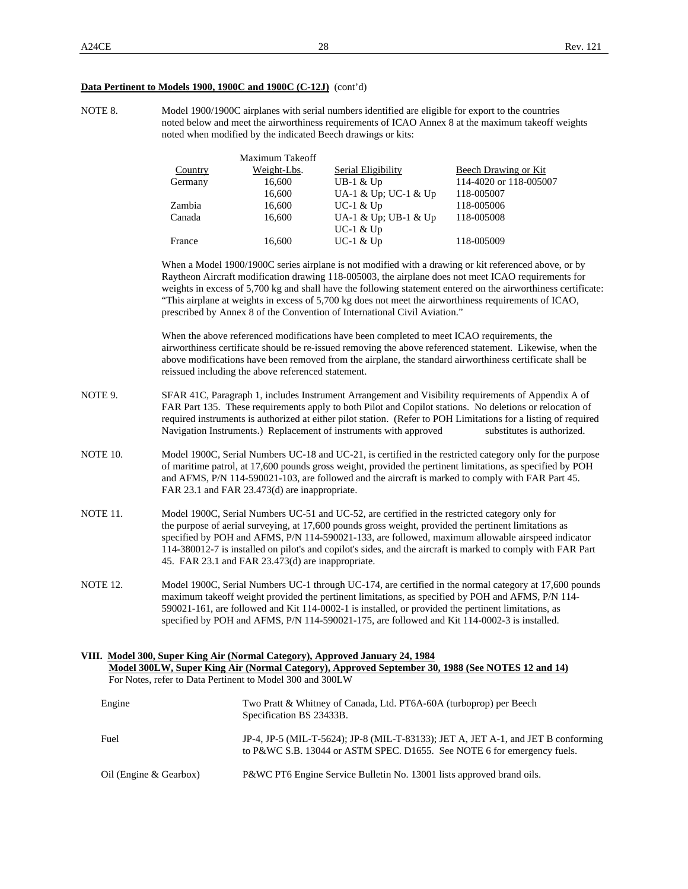#### **Data Pertinent to Models 1900, 1900C and 1900C (C-12J)** (cont'd)

NOTE 8. Model 1900/1900C airplanes with serial numbers identified are eligible for export to the countries noted below and meet the airworthiness requirements of ICAO Annex 8 at the maximum takeoff weights noted when modified by the indicated Beech drawings or kits:

|         | Maximum Takeoff |                      |                        |
|---------|-----------------|----------------------|------------------------|
| Country | Weight-Lbs.     | Serial Eligibility   | Beech Drawing or Kit   |
| Germany | 16,600          | $UB-1 & Up$          | 114-4020 or 118-005007 |
|         | 16,600          | UA-1 & Up; UC-1 & Up | 118-005007             |
| Zambia  | 16,600          | $UC-1$ & $Up$        | 118-005006             |
| Canada  | 16,600          | UA-1 & Up; UB-1 & Up | 118-005008             |
|         |                 | $UC-1$ & $Up$        |                        |
| France  | 16.600          | $UC-1$ & $Up$        | 118-005009             |

 When a Model 1900/1900C series airplane is not modified with a drawing or kit referenced above, or by Raytheon Aircraft modification drawing 118-005003, the airplane does not meet ICAO requirements for weights in excess of 5,700 kg and shall have the following statement entered on the airworthiness certificate: "This airplane at weights in excess of 5,700 kg does not meet the airworthiness requirements of ICAO, prescribed by Annex 8 of the Convention of International Civil Aviation."

When the above referenced modifications have been completed to meet ICAO requirements, the airworthiness certificate should be re-issued removing the above referenced statement. Likewise, when the above modifications have been removed from the airplane, the standard airworthiness certificate shall be reissued including the above referenced statement.

- NOTE 9. SFAR 41C, Paragraph 1, includes Instrument Arrangement and Visibility requirements of Appendix A of FAR Part 135. These requirements apply to both Pilot and Copilot stations. No deletions or relocation of required instruments is authorized at either pilot station. (Refer to POH Limitations for a listing of required Navigation Instruments.) Replacement of instruments with approved substitutes is authorized.
- NOTE 10. Model 1900C, Serial Numbers UC-18 and UC-21, is certified in the restricted category only for the purpose of maritime patrol, at 17,600 pounds gross weight, provided the pertinent limitations, as specified by POH and AFMS, P/N 114-590021-103, are followed and the aircraft is marked to comply with FAR Part 45. FAR 23.1 and FAR 23.473(d) are inappropriate.
- NOTE 11. Model 1900C, Serial Numbers UC-51 and UC-52, are certified in the restricted category only for the purpose of aerial surveying, at 17,600 pounds gross weight, provided the pertinent limitations as specified by POH and AFMS, P/N 114-590021-133, are followed, maximum allowable airspeed indicator 114-380012-7 is installed on pilot's and copilot's sides, and the aircraft is marked to comply with FAR Part 45. FAR 23.1 and FAR 23.473(d) are inappropriate.
- NOTE 12. Model 1900C, Serial Numbers UC-1 through UC-174, are certified in the normal category at 17,600 pounds maximum takeoff weight provided the pertinent limitations, as specified by POH and AFMS, P/N 114- 590021-161, are followed and Kit 114-0002-1 is installed, or provided the pertinent limitations, as specified by POH and AFMS, P/N 114-590021-175, are followed and Kit 114-0002-3 is installed.

| VIII. Model 300, Super King Air (Normal Category), Approved January 24, 1984                     |                                                                                                                                                              |  |  |  |  |  |
|--------------------------------------------------------------------------------------------------|--------------------------------------------------------------------------------------------------------------------------------------------------------------|--|--|--|--|--|
| Model 300LW, Super King Air (Normal Category), Approved September 30, 1988 (See NOTES 12 and 14) |                                                                                                                                                              |  |  |  |  |  |
| For Notes, refer to Data Pertinent to Model 300 and 300LW                                        |                                                                                                                                                              |  |  |  |  |  |
| Engine                                                                                           | Two Pratt & Whitney of Canada, Ltd. PT6A-60A (turboprop) per Beech<br>Specification BS 23433B.                                                               |  |  |  |  |  |
| Fuel                                                                                             | JP-4, JP-5 (MIL-T-5624); JP-8 (MIL-T-83133); JET A, JET A-1, and JET B conforming<br>to P&WC S.B. 13044 or ASTM SPEC. D1655. See NOTE 6 for emergency fuels. |  |  |  |  |  |
| Oil (Engine & Gearbox)                                                                           | P&WC PT6 Engine Service Bulletin No. 13001 lists approved brand oils.                                                                                        |  |  |  |  |  |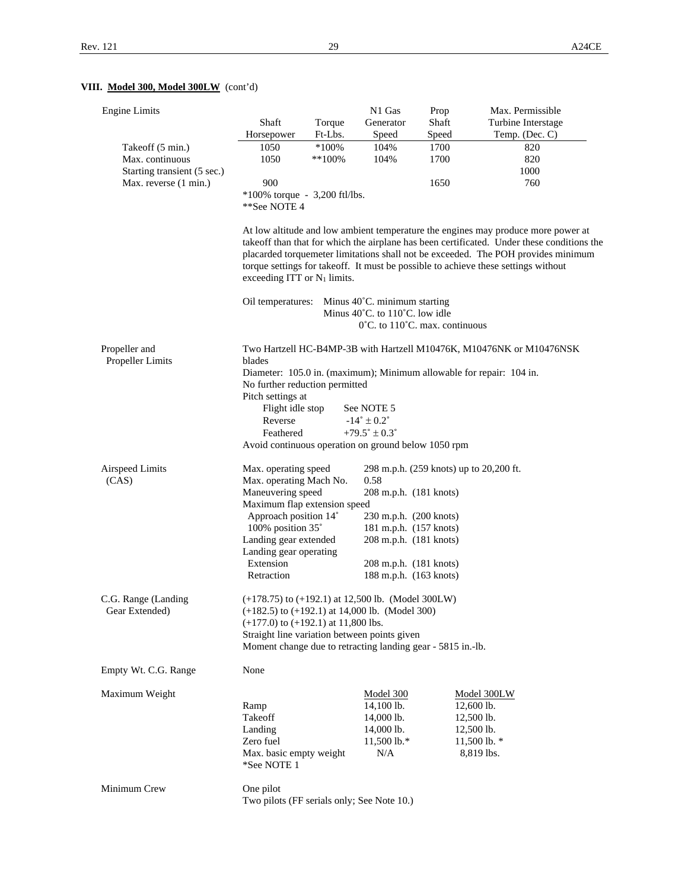# **VIII. Model 300, Model 300LW** (cont'd)

| <b>Engine Limits</b>                  | Shaft                                                                                                                                                                                                                                                                                                                                                                                                 | Torque    | N1 Gas<br>Generator                                 | Prop<br>Shaft | Max. Permissible<br>Turbine Interstage                               |  |  |
|---------------------------------------|-------------------------------------------------------------------------------------------------------------------------------------------------------------------------------------------------------------------------------------------------------------------------------------------------------------------------------------------------------------------------------------------------------|-----------|-----------------------------------------------------|---------------|----------------------------------------------------------------------|--|--|
|                                       | Horsepower                                                                                                                                                                                                                                                                                                                                                                                            | Ft-Lbs.   | Speed                                               | Speed         | Temp. (Dec. C)                                                       |  |  |
| Takeoff (5 min.)                      | 1050                                                                                                                                                                                                                                                                                                                                                                                                  | $*100\%$  | 104%                                                | 1700          | 820                                                                  |  |  |
| Max. continuous                       | 1050                                                                                                                                                                                                                                                                                                                                                                                                  | $**100\%$ | 104%                                                | 1700          | 820                                                                  |  |  |
| Starting transient (5 sec.)           |                                                                                                                                                                                                                                                                                                                                                                                                       |           |                                                     |               | 1000                                                                 |  |  |
| Max. reverse (1 min.)                 | 900                                                                                                                                                                                                                                                                                                                                                                                                   |           |                                                     | 1650          | 760                                                                  |  |  |
|                                       | $*100\%$ torque - 3,200 ftl/lbs.                                                                                                                                                                                                                                                                                                                                                                      |           |                                                     |               |                                                                      |  |  |
|                                       | **See NOTE 4                                                                                                                                                                                                                                                                                                                                                                                          |           |                                                     |               |                                                                      |  |  |
|                                       | At low altitude and low ambient temperature the engines may produce more power at<br>takeoff than that for which the airplane has been certificated. Under these conditions the<br>placarded torquemeter limitations shall not be exceeded. The POH provides minimum<br>torque settings for takeoff. It must be possible to achieve these settings without<br>exceeding ITT or N <sub>1</sub> limits. |           |                                                     |               |                                                                      |  |  |
|                                       | Oil temperatures: Minus 40°C. minimum starting                                                                                                                                                                                                                                                                                                                                                        |           |                                                     |               |                                                                      |  |  |
|                                       |                                                                                                                                                                                                                                                                                                                                                                                                       |           | Minus 40°C. to 110°C. low idle                      |               |                                                                      |  |  |
|                                       |                                                                                                                                                                                                                                                                                                                                                                                                       |           | $0^{\circ}$ C. to 110 $^{\circ}$ C. max. continuous |               |                                                                      |  |  |
| Propeller and<br>Propeller Limits     | blades                                                                                                                                                                                                                                                                                                                                                                                                |           |                                                     |               | Two Hartzell HC-B4MP-3B with Hartzell M10476K, M10476NK or M10476NSK |  |  |
|                                       | Diameter: 105.0 in. (maximum); Minimum allowable for repair: 104 in.                                                                                                                                                                                                                                                                                                                                  |           |                                                     |               |                                                                      |  |  |
|                                       | No further reduction permitted                                                                                                                                                                                                                                                                                                                                                                        |           |                                                     |               |                                                                      |  |  |
|                                       | Pitch settings at                                                                                                                                                                                                                                                                                                                                                                                     |           |                                                     |               |                                                                      |  |  |
|                                       | Flight idle stop                                                                                                                                                                                                                                                                                                                                                                                      |           | See NOTE 5                                          |               |                                                                      |  |  |
|                                       | Reverse                                                                                                                                                                                                                                                                                                                                                                                               |           | $-14^{\circ} \pm 0.2^{\circ}$                       |               |                                                                      |  |  |
|                                       | +79.5 $^{\circ}$ ± 0.3 $^{\circ}$<br>Feathered<br>Avoid continuous operation on ground below 1050 rpm                                                                                                                                                                                                                                                                                                 |           |                                                     |               |                                                                      |  |  |
|                                       |                                                                                                                                                                                                                                                                                                                                                                                                       |           |                                                     |               |                                                                      |  |  |
| Airspeed Limits                       | Max. operating speed                                                                                                                                                                                                                                                                                                                                                                                  |           | 298 m.p.h. (259 knots) up to 20,200 ft.             |               |                                                                      |  |  |
| (CAS)                                 | Max. operating Mach No.                                                                                                                                                                                                                                                                                                                                                                               |           | 0.58                                                |               |                                                                      |  |  |
|                                       | Maneuvering speed<br>208 m.p.h. (181 knots)                                                                                                                                                                                                                                                                                                                                                           |           |                                                     |               |                                                                      |  |  |
|                                       | Maximum flap extension speed                                                                                                                                                                                                                                                                                                                                                                          |           |                                                     |               |                                                                      |  |  |
|                                       | Approach position 14°                                                                                                                                                                                                                                                                                                                                                                                 |           | 230 m.p.h. (200 knots)                              |               |                                                                      |  |  |
|                                       | 100% position 35°                                                                                                                                                                                                                                                                                                                                                                                     |           | 181 m.p.h. (157 knots)                              |               |                                                                      |  |  |
|                                       | Landing gear extended                                                                                                                                                                                                                                                                                                                                                                                 |           | 208 m.p.h. (181 knots)                              |               |                                                                      |  |  |
|                                       | Landing gear operating<br>Extension                                                                                                                                                                                                                                                                                                                                                                   |           |                                                     |               |                                                                      |  |  |
|                                       | Retraction                                                                                                                                                                                                                                                                                                                                                                                            |           | 208 m.p.h. (181 knots)<br>188 m.p.h. (163 knots)    |               |                                                                      |  |  |
|                                       |                                                                                                                                                                                                                                                                                                                                                                                                       |           |                                                     |               |                                                                      |  |  |
| C.G. Range (Landing<br>Gear Extended) | $(+178.75)$ to $(+192.1)$ at 12,500 lb. (Model 300LW)<br>$(+182.5)$ to $(+192.1)$ at 14,000 lb. (Model 300)<br>$(+177.0)$ to $(+192.1)$ at 11,800 lbs.<br>Straight line variation between points given<br>Moment change due to retracting landing gear - 5815 in.-lb.                                                                                                                                 |           |                                                     |               |                                                                      |  |  |
| Empty Wt. C.G. Range                  | None                                                                                                                                                                                                                                                                                                                                                                                                  |           |                                                     |               |                                                                      |  |  |
|                                       |                                                                                                                                                                                                                                                                                                                                                                                                       |           |                                                     |               |                                                                      |  |  |
| Maximum Weight                        |                                                                                                                                                                                                                                                                                                                                                                                                       |           | <b>Model 300</b>                                    |               | Model 300LW                                                          |  |  |
|                                       | Ramp                                                                                                                                                                                                                                                                                                                                                                                                  |           | 14,100 lb.                                          |               | 12,600 lb.                                                           |  |  |
|                                       | Takeoff                                                                                                                                                                                                                                                                                                                                                                                               |           | 14,000 lb.                                          |               | 12,500 lb.                                                           |  |  |
|                                       | Landing                                                                                                                                                                                                                                                                                                                                                                                               |           | 14,000 lb.                                          |               | 12,500 lb.                                                           |  |  |
|                                       | Zero fuel                                                                                                                                                                                                                                                                                                                                                                                             |           | $11,500$ lb.*                                       |               | 11,500 lb. $*$                                                       |  |  |
|                                       | Max. basic empty weight<br>*See NOTE 1                                                                                                                                                                                                                                                                                                                                                                |           | N/A                                                 |               | 8,819 lbs.                                                           |  |  |
| Minimum Crew                          | One pilot                                                                                                                                                                                                                                                                                                                                                                                             |           |                                                     |               |                                                                      |  |  |
|                                       | Two pilots (FF serials only; See Note 10.)                                                                                                                                                                                                                                                                                                                                                            |           |                                                     |               |                                                                      |  |  |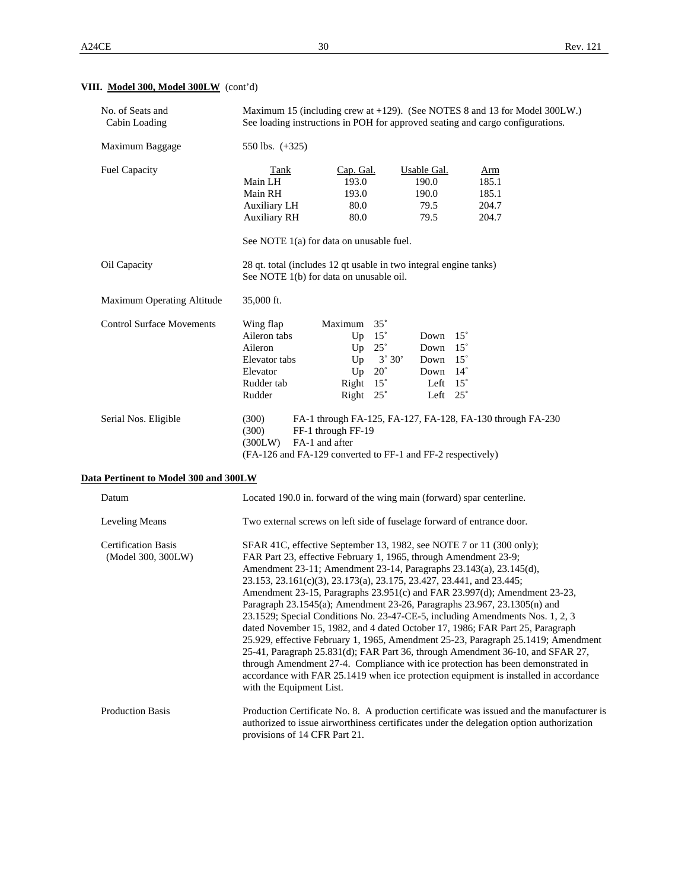# **VIII. Model 300, Model 300LW** (cont'd)

| No. of Seats and<br>Cabin Loading                | Maximum 15 (including crew at +129). (See NOTES 8 and 13 for Model 300LW.)<br>See loading instructions in POH for approved seating and cargo configurations.                                                                                                                                                       |                                                                                                                             |                                                                                                                             |                                                                                                                                                                                                                                                                                                                                                                                                                                                                                                                                                                                                                                                                           |  |
|--------------------------------------------------|--------------------------------------------------------------------------------------------------------------------------------------------------------------------------------------------------------------------------------------------------------------------------------------------------------------------|-----------------------------------------------------------------------------------------------------------------------------|-----------------------------------------------------------------------------------------------------------------------------|---------------------------------------------------------------------------------------------------------------------------------------------------------------------------------------------------------------------------------------------------------------------------------------------------------------------------------------------------------------------------------------------------------------------------------------------------------------------------------------------------------------------------------------------------------------------------------------------------------------------------------------------------------------------------|--|
| Maximum Baggage                                  | 550 lbs. $(+325)$                                                                                                                                                                                                                                                                                                  |                                                                                                                             |                                                                                                                             |                                                                                                                                                                                                                                                                                                                                                                                                                                                                                                                                                                                                                                                                           |  |
| <b>Fuel Capacity</b>                             | <b>Tank</b><br>Main LH<br>Main RH<br><b>Auxiliary LH</b><br><b>Auxiliary RH</b><br>See NOTE 1(a) for data on unusable fuel.                                                                                                                                                                                        | Cap. Gal.<br>193.0<br>193.0<br>80.0<br>80.0                                                                                 | <b>Usable Gal.</b><br>190.0<br>190.0<br>79.5<br>79.5                                                                        | Arm<br>185.1<br>185.1<br>204.7<br>204.7                                                                                                                                                                                                                                                                                                                                                                                                                                                                                                                                                                                                                                   |  |
| Oil Capacity                                     | 28 qt. total (includes 12 qt usable in two integral engine tanks)<br>See NOTE 1(b) for data on unusable oil.                                                                                                                                                                                                       |                                                                                                                             |                                                                                                                             |                                                                                                                                                                                                                                                                                                                                                                                                                                                                                                                                                                                                                                                                           |  |
| Maximum Operating Altitude                       | 35,000 ft.                                                                                                                                                                                                                                                                                                         |                                                                                                                             |                                                                                                                             |                                                                                                                                                                                                                                                                                                                                                                                                                                                                                                                                                                                                                                                                           |  |
| <b>Control Surface Movements</b>                 | Wing flap<br>Aileron tabs<br>Aileron<br>Elevator tabs<br>Elevator<br>Rudder tab<br>Rudder                                                                                                                                                                                                                          | Maximum 35°<br>Up $15^\circ$<br>Up $25^\circ$<br>Up<br>$3^\circ 30'$<br>Up<br>$20^{\circ}$<br>Right $15^\circ$<br>Right 25° | $15^{\circ}$<br>Down<br>$15^{\circ}$<br>Down<br>Down 15°<br>Down<br>$14^{\circ}$<br>$15^{\circ}$<br>Left<br>Left $25^\circ$ |                                                                                                                                                                                                                                                                                                                                                                                                                                                                                                                                                                                                                                                                           |  |
| Serial Nos. Eligible                             | (300)<br>(300)<br>(300LW)<br>(FA-126 and FA-129 converted to FF-1 and FF-2 respectively)                                                                                                                                                                                                                           | FF-1 through FF-19<br>FA-1 and after                                                                                        |                                                                                                                             | FA-1 through FA-125, FA-127, FA-128, FA-130 through FA-230                                                                                                                                                                                                                                                                                                                                                                                                                                                                                                                                                                                                                |  |
| Data Pertinent to Model 300 and 300LW            |                                                                                                                                                                                                                                                                                                                    |                                                                                                                             |                                                                                                                             |                                                                                                                                                                                                                                                                                                                                                                                                                                                                                                                                                                                                                                                                           |  |
| Datum                                            | Located 190.0 in. forward of the wing main (forward) spar centerline.                                                                                                                                                                                                                                              |                                                                                                                             |                                                                                                                             |                                                                                                                                                                                                                                                                                                                                                                                                                                                                                                                                                                                                                                                                           |  |
| Leveling Means                                   | Two external screws on left side of fuselage forward of entrance door.                                                                                                                                                                                                                                             |                                                                                                                             |                                                                                                                             |                                                                                                                                                                                                                                                                                                                                                                                                                                                                                                                                                                                                                                                                           |  |
| <b>Certification Basis</b><br>(Model 300, 300LW) | SFAR 41C, effective September 13, 1982, see NOTE 7 or 11 (300 only);<br>FAR Part 23, effective February 1, 1965, through Amendment 23-9;<br>Amendment 23-11; Amendment 23-14, Paragraphs 23.143(a), 23.145(d),<br>23.153, 23.161(c)(3), 23.173(a), 23.175, 23.427, 23.441, and 23.445;<br>with the Equipment List. |                                                                                                                             |                                                                                                                             | Amendment 23-15, Paragraphs 23.951(c) and FAR 23.997(d); Amendment 23-23,<br>Paragraph 23.1545(a); Amendment 23-26, Paragraphs 23.967, 23.1305(n) and<br>23.1529; Special Conditions No. 23-47-CE-5, including Amendments Nos. 1, 2, 3<br>dated November 15, 1982, and 4 dated October 17, 1986; FAR Part 25, Paragraph<br>25.929, effective February 1, 1965, Amendment 25-23, Paragraph 25.1419; Amendment<br>25-41, Paragraph 25.831(d); FAR Part 36, through Amendment 36-10, and SFAR 27,<br>through Amendment 27-4. Compliance with ice protection has been demonstrated in<br>accordance with FAR 25.1419 when ice protection equipment is installed in accordance |  |
| Production Basis                                 | provisions of 14 CFR Part 21.                                                                                                                                                                                                                                                                                      |                                                                                                                             |                                                                                                                             | Production Certificate No. 8. A production certificate was issued and the manufacturer is<br>authorized to issue airworthiness certificates under the delegation option authorization                                                                                                                                                                                                                                                                                                                                                                                                                                                                                     |  |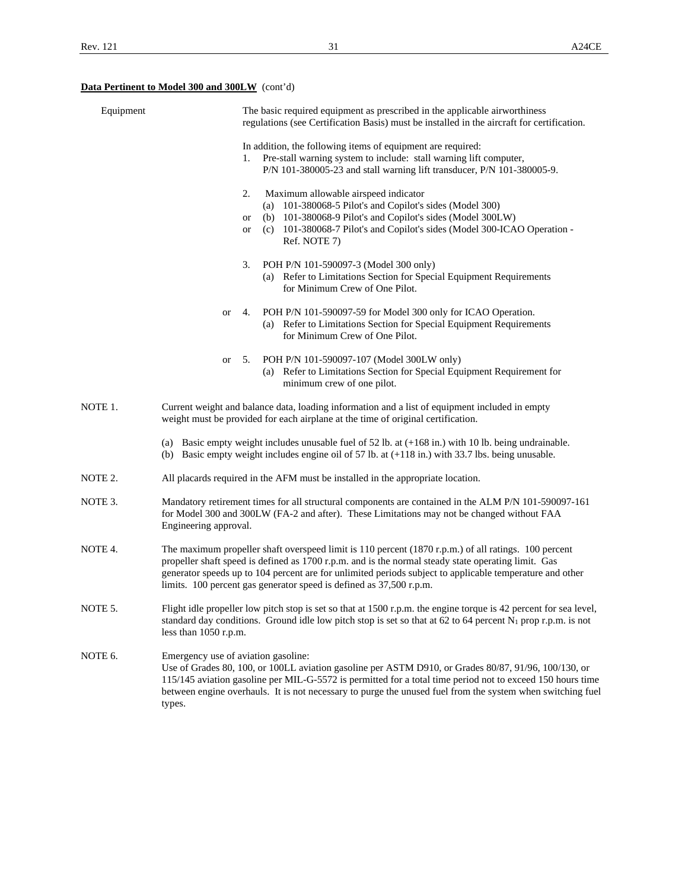# **Data Pertinent to Model 300 and 300LW** (cont'd)

| Equipment          |                                               | The basic required equipment as prescribed in the applicable airworthiness<br>regulations (see Certification Basis) must be installed in the aircraft for certification.                                                                                                                                                                                                                                   |
|--------------------|-----------------------------------------------|------------------------------------------------------------------------------------------------------------------------------------------------------------------------------------------------------------------------------------------------------------------------------------------------------------------------------------------------------------------------------------------------------------|
|                    |                                               | In addition, the following items of equipment are required:<br>1. Pre-stall warning system to include: stall warning lift computer,<br>P/N 101-380005-23 and stall warning lift transducer, P/N 101-380005-9.                                                                                                                                                                                              |
|                    |                                               | 2.<br>Maximum allowable airspeed indicator<br>(a) $101-380068-5$ Pilot's and Copilot's sides (Model 300)<br>(b) 101-380068-9 Pilot's and Copilot's sides (Model 300LW)<br>or<br>(c) 101-380068-7 Pilot's and Copilot's sides (Model 300-ICAO Operation -<br>or<br>Ref. NOTE 7)                                                                                                                             |
|                    |                                               | POH P/N 101-590097-3 (Model 300 only)<br>3.<br>(a) Refer to Limitations Section for Special Equipment Requirements<br>for Minimum Crew of One Pilot.                                                                                                                                                                                                                                                       |
|                    | or                                            | POH P/N 101-590097-59 for Model 300 only for ICAO Operation.<br>4.<br>(a) Refer to Limitations Section for Special Equipment Requirements<br>for Minimum Crew of One Pilot.                                                                                                                                                                                                                                |
|                    | or                                            | POH P/N 101-590097-107 (Model 300LW only)<br>5.<br>(a) Refer to Limitations Section for Special Equipment Requirement for<br>minimum crew of one pilot.                                                                                                                                                                                                                                                    |
| NOTE 1.            |                                               | Current weight and balance data, loading information and a list of equipment included in empty<br>weight must be provided for each airplane at the time of original certification.                                                                                                                                                                                                                         |
|                    |                                               | (a) Basic empty weight includes unusable fuel of $52$ lb. at $(+168$ in.) with 10 lb. being undrainable.<br>(b) Basic empty weight includes engine oil of 57 lb. at $(+118 \text{ in.})$ with 33.7 lbs. being unusable.                                                                                                                                                                                    |
| NOTE 2.            |                                               | All placards required in the AFM must be installed in the appropriate location.                                                                                                                                                                                                                                                                                                                            |
| NOTE 3.            | Engineering approval.                         | Mandatory retirement times for all structural components are contained in the ALM P/N 101-590097-161<br>for Model 300 and 300LW (FA-2 and after). These Limitations may not be changed without FAA                                                                                                                                                                                                         |
| NOTE <sub>4.</sub> |                                               | The maximum propeller shaft overspeed limit is $110$ percent $(1870 \text{ r.p.m.})$ of all ratings. 100 percent<br>propeller shaft speed is defined as 1700 r.p.m. and is the normal steady state operating limit. Gas<br>generator speeds up to 104 percent are for unlimited periods subject to applicable temperature and other<br>limits. 100 percent gas generator speed is defined as 37,500 r.p.m. |
| NOTE 5.            | less than $1050$ r.p.m.                       | Flight idle propeller low pitch stop is set so that at 1500 r.p.m. the engine torque is 42 percent for sea level,<br>standard day conditions. Ground idle low pitch stop is set so that at 62 to 64 percent $N_1$ prop r.p.m. is not                                                                                                                                                                       |
| NOTE 6.            | Emergency use of aviation gasoline:<br>types. | Use of Grades 80, 100, or 100LL aviation gasoline per ASTM D910, or Grades 80/87, 91/96, 100/130, or<br>115/145 aviation gasoline per MIL-G-5572 is permitted for a total time period not to exceed 150 hours time<br>between engine overhauls. It is not necessary to purge the unused fuel from the system when switching fuel                                                                           |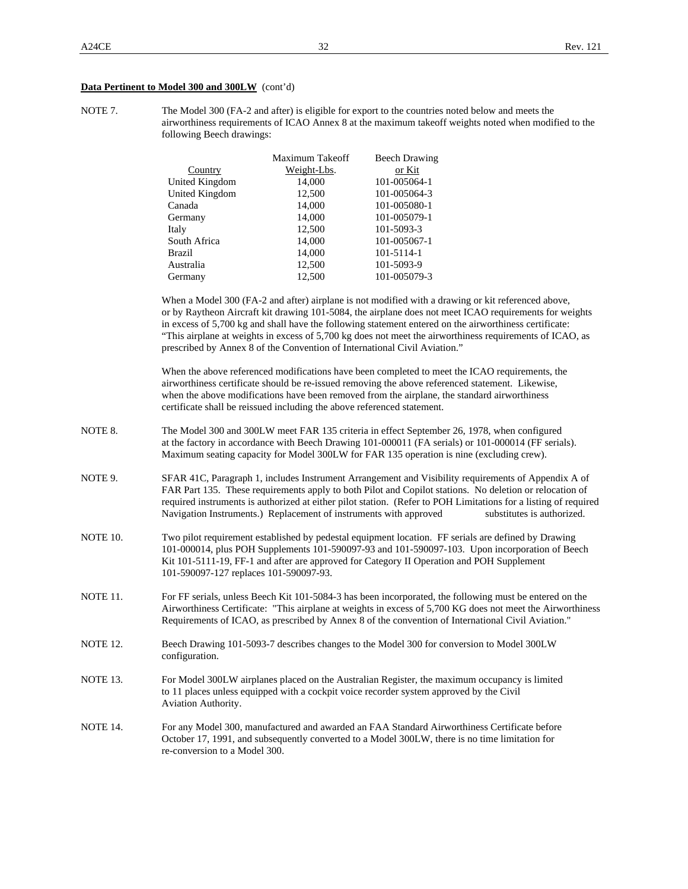#### **Data Pertinent to Model 300 and 300LW** (cont'd)

NOTE 7. The Model 300 (FA-2 and after) is eligible for export to the countries noted below and meets the airworthiness requirements of ICAO Annex 8 at the maximum takeoff weights noted when modified to the following Beech drawings:

|                | Maximum Takeoff | <b>Beech Drawing</b> |
|----------------|-----------------|----------------------|
| Country        | Weight-Lbs.     | or Kit               |
| United Kingdom | 14,000          | 101-005064-1         |
| United Kingdom | 12,500          | 101-005064-3         |
| Canada         | 14,000          | 101-005080-1         |
| Germany        | 14,000          | 101-005079-1         |
| Italy          | 12,500          | 101-5093-3           |
| South Africa   | 14,000          | 101-005067-1         |
| <b>Brazil</b>  | 14,000          | 101-5114-1           |
| Australia      | 12,500          | 101-5093-9           |
| Germany        | 12.500          | 101-005079-3         |

 When a Model 300 (FA-2 and after) airplane is not modified with a drawing or kit referenced above, or by Raytheon Aircraft kit drawing 101-5084, the airplane does not meet ICAO requirements for weights in excess of 5,700 kg and shall have the following statement entered on the airworthiness certificate: "This airplane at weights in excess of 5,700 kg does not meet the airworthiness requirements of ICAO, as prescribed by Annex 8 of the Convention of International Civil Aviation."

 When the above referenced modifications have been completed to meet the ICAO requirements, the airworthiness certificate should be re-issued removing the above referenced statement. Likewise, when the above modifications have been removed from the airplane, the standard airworthiness certificate shall be reissued including the above referenced statement.

- NOTE 8. The Model 300 and 300LW meet FAR 135 criteria in effect September 26, 1978, when configured at the factory in accordance with Beech Drawing 101-000011 (FA serials) or 101-000014 (FF serials). Maximum seating capacity for Model 300LW for FAR 135 operation is nine (excluding crew).
- NOTE 9. SFAR 41C, Paragraph 1, includes Instrument Arrangement and Visibility requirements of Appendix A of FAR Part 135. These requirements apply to both Pilot and Copilot stations. No deletion or relocation of required instruments is authorized at either pilot station. (Refer to POH Limitations for a listing of required Navigation Instruments.) Replacement of instruments with approved substitutes is authorized.
- NOTE 10. Two pilot requirement established by pedestal equipment location. FF serials are defined by Drawing 101-000014, plus POH Supplements 101-590097-93 and 101-590097-103. Upon incorporation of Beech Kit 101-5111-19, FF-1 and after are approved for Category II Operation and POH Supplement 101-590097-127 replaces 101-590097-93.
- NOTE 11. For FF serials, unless Beech Kit 101-5084-3 has been incorporated, the following must be entered on the Airworthiness Certificate: "This airplane at weights in excess of 5,700 KG does not meet the Airworthiness Requirements of ICAO, as prescribed by Annex 8 of the convention of International Civil Aviation."
- NOTE 12. Beech Drawing 101-5093-7 describes changes to the Model 300 for conversion to Model 300LW configuration.
- NOTE 13. For Model 300LW airplanes placed on the Australian Register, the maximum occupancy is limited to 11 places unless equipped with a cockpit voice recorder system approved by the Civil Aviation Authority.
- NOTE 14. For any Model 300, manufactured and awarded an FAA Standard Airworthiness Certificate before October 17, 1991, and subsequently converted to a Model 300LW, there is no time limitation for re-conversion to a Model 300.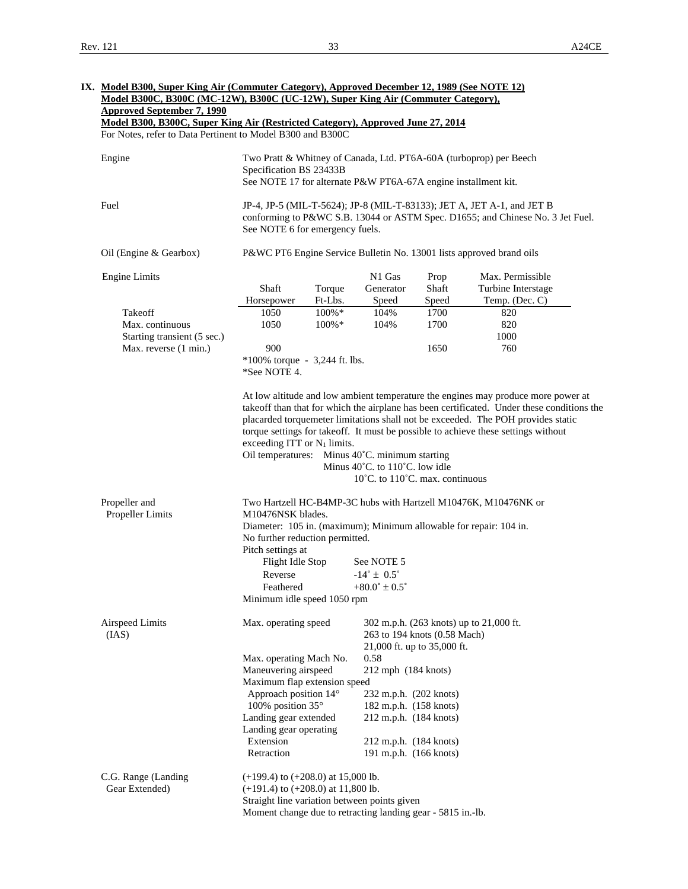| <b>Approved September 7, 1990</b>                                               |                                                                                                       |           | Model B300C, B300C (MC-12W), B300C (UC-12W), Super King Air (Commuter Category), |       |                                                                                                                                                                        |  |
|---------------------------------------------------------------------------------|-------------------------------------------------------------------------------------------------------|-----------|----------------------------------------------------------------------------------|-------|------------------------------------------------------------------------------------------------------------------------------------------------------------------------|--|
| Model B300, B300C, Super King Air (Restricted Category), Approved June 27, 2014 |                                                                                                       |           |                                                                                  |       |                                                                                                                                                                        |  |
| For Notes, refer to Data Pertinent to Model B300 and B300C                      |                                                                                                       |           |                                                                                  |       |                                                                                                                                                                        |  |
| Engine                                                                          | Two Pratt & Whitney of Canada, Ltd. PT6A-60A (turboprop) per Beech                                    |           |                                                                                  |       |                                                                                                                                                                        |  |
|                                                                                 | Specification BS 23433B                                                                               |           |                                                                                  |       |                                                                                                                                                                        |  |
|                                                                                 | See NOTE 17 for alternate P&W PT6A-67A engine installment kit.                                        |           |                                                                                  |       |                                                                                                                                                                        |  |
|                                                                                 |                                                                                                       |           |                                                                                  |       |                                                                                                                                                                        |  |
| Fuel                                                                            | See NOTE 6 for emergency fuels.                                                                       |           |                                                                                  |       | JP-4, JP-5 (MIL-T-5624); JP-8 (MIL-T-83133); JET A, JET A-1, and JET B<br>conforming to P&WC S.B. 13044 or ASTM Spec. D1655; and Chinese No. 3 Jet Fuel.               |  |
| Oil (Engine & Gearbox)                                                          | P&WC PT6 Engine Service Bulletin No. 13001 lists approved brand oils                                  |           |                                                                                  |       |                                                                                                                                                                        |  |
| <b>Engine Limits</b>                                                            |                                                                                                       |           | N1 Gas                                                                           | Prop  | Max. Permissible                                                                                                                                                       |  |
|                                                                                 | Shaft                                                                                                 | Torque    | Generator                                                                        | Shaft | Turbine Interstage                                                                                                                                                     |  |
|                                                                                 | Horsepower                                                                                            | Ft-Lbs.   | Speed                                                                            | Speed | Temp. (Dec. C)                                                                                                                                                         |  |
| Takeoff                                                                         | 1050                                                                                                  | 100%*     | 104%                                                                             | 1700  | 820                                                                                                                                                                    |  |
| Max. continuous                                                                 | 1050                                                                                                  | $100\% *$ | 104%                                                                             | 1700  | 820                                                                                                                                                                    |  |
| Starting transient (5 sec.)                                                     |                                                                                                       |           |                                                                                  |       | 1000                                                                                                                                                                   |  |
| Max. reverse (1 min.)                                                           | 900                                                                                                   |           |                                                                                  | 1650  | 760                                                                                                                                                                    |  |
|                                                                                 | $*100\%$ torque - 3,244 ft. lbs.<br>*See NOTE 4.                                                      |           |                                                                                  |       |                                                                                                                                                                        |  |
|                                                                                 | exceeding ITT or $N_1$ limits.<br>Oil temperatures: Minus 40°C. minimum starting                      |           | Minus 40°C. to 110°C. low idle                                                   |       | placarded torquemeter limitations shall not be exceeded. The POH provides static<br>torque settings for takeoff. It must be possible to achieve these settings without |  |
|                                                                                 |                                                                                                       |           | $10^{\circ}$ C. to $110^{\circ}$ C. max. continuous                              |       |                                                                                                                                                                        |  |
| Propeller and                                                                   | M10476NSK blades.                                                                                     |           |                                                                                  |       | Two Hartzell HC-B4MP-3C hubs with Hartzell M10476K, M10476NK or                                                                                                        |  |
| Propeller Limits                                                                | Diameter: 105 in. (maximum); Minimum allowable for repair: 104 in.<br>No further reduction permitted. |           |                                                                                  |       |                                                                                                                                                                        |  |
|                                                                                 | Pitch settings at                                                                                     |           |                                                                                  |       |                                                                                                                                                                        |  |
|                                                                                 | Flight Idle Stop                                                                                      |           | See NOTE 5                                                                       |       |                                                                                                                                                                        |  |
|                                                                                 | Reverse                                                                                               |           | $-14^{\circ} \pm 0.5^{\circ}$                                                    |       |                                                                                                                                                                        |  |
|                                                                                 | Feathered<br>Minimum idle speed 1050 rpm                                                              |           | $+80.0^{\circ} \pm 0.5^{\circ}$                                                  |       |                                                                                                                                                                        |  |
|                                                                                 |                                                                                                       |           |                                                                                  |       |                                                                                                                                                                        |  |
| (IAS)                                                                           | Max. operating speed                                                                                  |           | 263 to 194 knots (0.58 Mach)                                                     |       | 302 m.p.h. (263 knots) up to 21,000 ft.                                                                                                                                |  |
|                                                                                 |                                                                                                       |           | 21,000 ft. up to 35,000 ft.                                                      |       |                                                                                                                                                                        |  |
| <b>Airspeed Limits</b>                                                          | Max. operating Mach No.                                                                               |           | 0.58                                                                             |       |                                                                                                                                                                        |  |
|                                                                                 | Maneuvering airspeed                                                                                  |           | 212 mph (184 knots)                                                              |       |                                                                                                                                                                        |  |
|                                                                                 | Maximum flap extension speed                                                                          |           |                                                                                  |       |                                                                                                                                                                        |  |
|                                                                                 | Approach position 14°                                                                                 |           | 232 m.p.h. (202 knots)                                                           |       |                                                                                                                                                                        |  |
|                                                                                 | 100% position 35°                                                                                     |           | 182 m.p.h. (158 knots)                                                           |       |                                                                                                                                                                        |  |
|                                                                                 | Landing gear extended                                                                                 |           | 212 m.p.h. (184 knots)                                                           |       |                                                                                                                                                                        |  |
|                                                                                 | Landing gear operating                                                                                |           |                                                                                  |       |                                                                                                                                                                        |  |
|                                                                                 | Extension<br>Retraction                                                                               |           | 212 m.p.h. (184 knots)<br>191 m.p.h. (166 knots)                                 |       |                                                                                                                                                                        |  |
|                                                                                 |                                                                                                       |           |                                                                                  |       |                                                                                                                                                                        |  |
|                                                                                 | $(+199.4)$ to $(+208.0)$ at 15,000 lb.                                                                |           |                                                                                  |       |                                                                                                                                                                        |  |
| C.G. Range (Landing<br>Gear Extended)                                           | $(+191.4)$ to $(+208.0)$ at 11,800 lb.<br>Straight line variation between points given                |           |                                                                                  |       |                                                                                                                                                                        |  |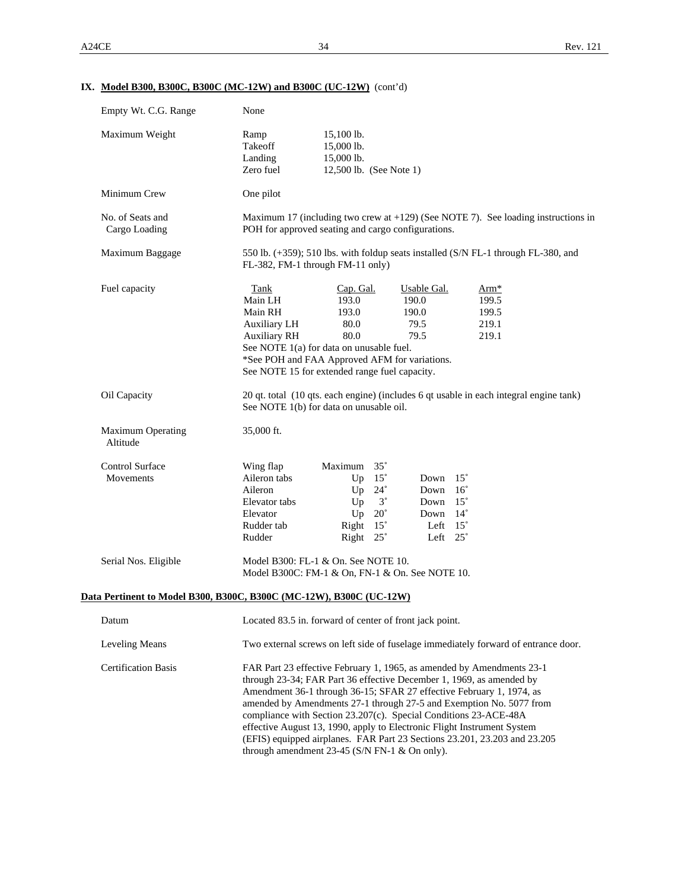# **IX. Model B300, B300C, B300C (MC-12W) and B300C (UC-12W)** (cont'd)

| Empty Wt. C.G. Range                 | None                                                                                                                                                                                                                                                                                                                                                                                                                                                                                                                                                                      |  |  |  |  |
|--------------------------------------|---------------------------------------------------------------------------------------------------------------------------------------------------------------------------------------------------------------------------------------------------------------------------------------------------------------------------------------------------------------------------------------------------------------------------------------------------------------------------------------------------------------------------------------------------------------------------|--|--|--|--|
| Maximum Weight                       | Ramp<br>15,100 lb.<br>Takeoff<br>15,000 lb.<br>Landing<br>15,000 lb.<br>Zero fuel<br>12,500 lb. (See Note 1)                                                                                                                                                                                                                                                                                                                                                                                                                                                              |  |  |  |  |
| Minimum Crew                         | One pilot                                                                                                                                                                                                                                                                                                                                                                                                                                                                                                                                                                 |  |  |  |  |
| No. of Seats and<br>Cargo Loading    | Maximum 17 (including two crew at $+129$ ) (See NOTE 7). See loading instructions in<br>POH for approved seating and cargo configurations.                                                                                                                                                                                                                                                                                                                                                                                                                                |  |  |  |  |
| Maximum Baggage                      | 550 lb. (+359); 510 lbs. with foldup seats installed (S/N FL-1 through FL-380, and<br>FL-382, FM-1 through FM-11 only)                                                                                                                                                                                                                                                                                                                                                                                                                                                    |  |  |  |  |
| Fuel capacity                        | Cap. Gal.<br>Usable Gal.<br>Tank<br>Arm <sup>*</sup><br>193.0<br>190.0<br>199.5<br>Main LH<br>190.0<br>Main RH<br>193.0<br>199.5<br>80.0<br>79.5<br>219.1<br>Auxiliary LH<br><b>Auxiliary RH</b><br>80.0<br>79.5<br>219.1<br>See NOTE 1(a) for data on unusable fuel.<br>*See POH and FAA Approved AFM for variations.<br>See NOTE 15 for extended range fuel capacity.                                                                                                                                                                                                   |  |  |  |  |
| Oil Capacity                         | 20 qt. total (10 qts. each engine) (includes 6 qt usable in each integral engine tank)<br>See NOTE 1(b) for data on unusable oil.                                                                                                                                                                                                                                                                                                                                                                                                                                         |  |  |  |  |
| <b>Maximum Operating</b><br>Altitude | 35,000 ft.                                                                                                                                                                                                                                                                                                                                                                                                                                                                                                                                                                |  |  |  |  |
| <b>Control Surface</b><br>Movements  | Maximum<br>$35^{\circ}$<br>Wing flap<br>Aileron tabs<br>$15^{\circ}$<br>$15^{\circ}$<br>Up<br>Down<br>Aileron<br>Up<br>$24^{\circ}$<br>Down<br>$16^{\circ}$<br>$3^{\circ}$<br>Elevator tabs<br>$15^{\circ}$<br>Up<br>Down<br>Elevator<br>Up<br>$20^{\circ}$<br>$14^{\circ}$<br>Down<br>Rudder tab<br>Right<br>$15^{\circ}$<br>Left $15^\circ$<br>Rudder<br>Right 25°<br>Left $25^\circ$                                                                                                                                                                                   |  |  |  |  |
| Serial Nos. Eligible                 | Model B300: FL-1 & On. See NOTE 10.<br>Model B300C: FM-1 & On, FN-1 & On. See NOTE 10.                                                                                                                                                                                                                                                                                                                                                                                                                                                                                    |  |  |  |  |
|                                      | Data Pertinent to Model B300, B300C, B300C (MC-12W), B300C (UC-12W)                                                                                                                                                                                                                                                                                                                                                                                                                                                                                                       |  |  |  |  |
| Datum                                | Located 83.5 in. forward of center of front jack point.                                                                                                                                                                                                                                                                                                                                                                                                                                                                                                                   |  |  |  |  |
| Leveling Means                       | Two external screws on left side of fuselage immediately forward of entrance door.                                                                                                                                                                                                                                                                                                                                                                                                                                                                                        |  |  |  |  |
| <b>Certification Basis</b>           | FAR Part 23 effective February 1, 1965, as amended by Amendments 23-1<br>through 23-34; FAR Part 36 effective December 1, 1969, as amended by<br>Amendment 36-1 through 36-15; SFAR 27 effective February 1, 1974, as<br>amended by Amendments 27-1 through 27-5 and Exemption No. 5077 from<br>compliance with Section 23.207(c). Special Conditions 23-ACE-48A<br>effective August 13, 1990, apply to Electronic Flight Instrument System<br>(EFIS) equipped airplanes. FAR Part 23 Sections 23.201, 23.203 and 23.205<br>through amendment 23-45 (S/N FN-1 & On only). |  |  |  |  |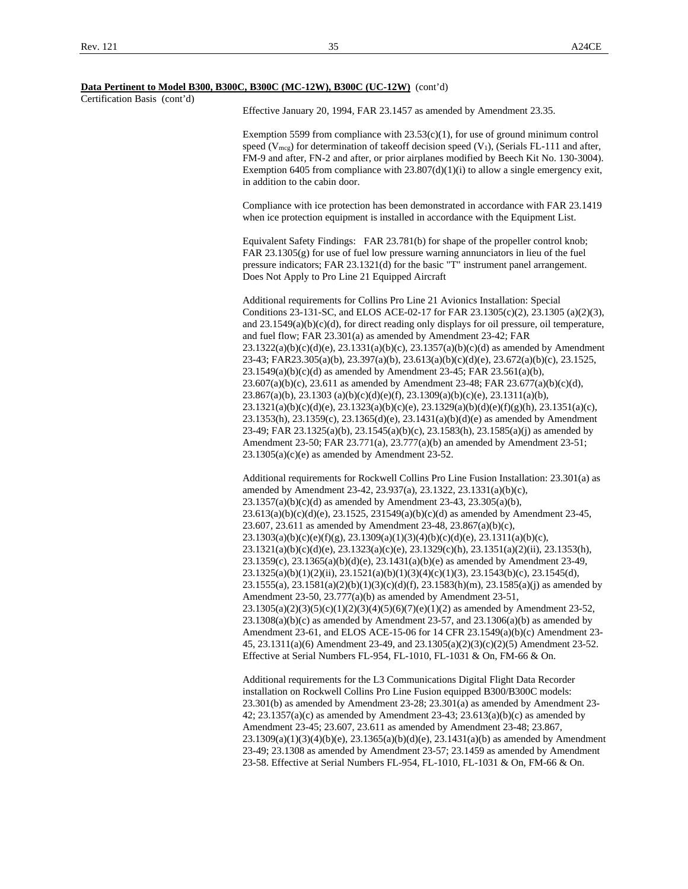|                              | Data Pertinent to Model B300, B300C, B300C (MC-12W), B300C (UC-12W) (cont'd)                                                                                                                                                                                                                                                                                                                                                                                                                                                                                                                                                                                                                                                                                                                                                                                                                                                                                                                                                                                                                                                                                                                                                                                                                                                                                                 |
|------------------------------|------------------------------------------------------------------------------------------------------------------------------------------------------------------------------------------------------------------------------------------------------------------------------------------------------------------------------------------------------------------------------------------------------------------------------------------------------------------------------------------------------------------------------------------------------------------------------------------------------------------------------------------------------------------------------------------------------------------------------------------------------------------------------------------------------------------------------------------------------------------------------------------------------------------------------------------------------------------------------------------------------------------------------------------------------------------------------------------------------------------------------------------------------------------------------------------------------------------------------------------------------------------------------------------------------------------------------------------------------------------------------|
| Certification Basis (cont'd) | Effective January 20, 1994, FAR 23.1457 as amended by Amendment 23.35.                                                                                                                                                                                                                                                                                                                                                                                                                                                                                                                                                                                                                                                                                                                                                                                                                                                                                                                                                                                                                                                                                                                                                                                                                                                                                                       |
|                              | Exemption 5599 from compliance with $23.53(c)(1)$ , for use of ground minimum control<br>speed ( $V_{\text{mcg}}$ ) for determination of takeoff decision speed ( $V_1$ ), (Serials FL-111 and after,<br>FM-9 and after, FN-2 and after, or prior airplanes modified by Beech Kit No. 130-3004).<br>Exemption 6405 from compliance with $23.807(d)(1)(i)$ to allow a single emergency exit,<br>in addition to the cabin door.                                                                                                                                                                                                                                                                                                                                                                                                                                                                                                                                                                                                                                                                                                                                                                                                                                                                                                                                                |
|                              | Compliance with ice protection has been demonstrated in accordance with FAR 23.1419<br>when ice protection equipment is installed in accordance with the Equipment List.                                                                                                                                                                                                                                                                                                                                                                                                                                                                                                                                                                                                                                                                                                                                                                                                                                                                                                                                                                                                                                                                                                                                                                                                     |
|                              | Equivalent Safety Findings: FAR 23.781(b) for shape of the propeller control knob;<br>FAR $23.1305(g)$ for use of fuel low pressure warning annunciators in lieu of the fuel<br>pressure indicators; FAR 23.1321(d) for the basic "T" instrument panel arrangement.<br>Does Not Apply to Pro Line 21 Equipped Aircraft                                                                                                                                                                                                                                                                                                                                                                                                                                                                                                                                                                                                                                                                                                                                                                                                                                                                                                                                                                                                                                                       |
|                              | Additional requirements for Collins Pro Line 21 Avionics Installation: Special<br>Conditions 23-131-SC, and ELOS ACE-02-17 for FAR 23.1305(c)(2), 23.1305 (a)(2)(3),<br>and $23.1549(a)(b)(c)(d)$ , for direct reading only displays for oil pressure, oil temperature,<br>and fuel flow; FAR 23.301(a) as amended by Amendment 23-42; FAR<br>$23.1322(a)(b)(c)(d)(e), 23.1331(a)(b)(c), 23.1357(a)(b)(c)(d)$ as amended by Amendment<br>23-43; FAR23.305(a)(b), 23.397(a)(b), 23.613(a)(b)(c)(d)(e), 23.672(a)(b)(c), 23.1525,<br>$23.1549(a)(b)(c)(d)$ as amended by Amendment 23-45; FAR 23.561(a)(b),<br>23.607(a)(b)(c), 23.611 as amended by Amendment 23-48; FAR 23.677(a)(b)(c)(d),<br>$23.867(a)(b)$ , $23.1303(a)(b)(c)(d)(e)(f)$ , $23.1309(a)(b)(c)(e)$ , $23.1311(a)(b)$ ,<br>$23.1321(a)(b)(c)(d)(e), 23.1323(a)(b)(c)(e), 23.1329(a)(b)(d)(e)(f)(g)(h), 23.1351(a)(c),$<br>$23.1353(h)$ , $23.1359(c)$ , $23.1365(d)(e)$ , $23.1431(a)(b)(d)(e)$ as amended by Amendment<br>23-49; FAR 23.1325(a)(b), 23.1545(a)(b)(c), 23.1583(h), 23.1585(a)(j) as amended by<br>Amendment 23-50; FAR 23.771(a), 23.777(a)(b) an amended by Amendment 23-51;<br>$23.1305(a)(c)(e)$ as amended by Amendment 23-52.                                                                                                                                                           |
|                              | Additional requirements for Rockwell Collins Pro Line Fusion Installation: 23.301(a) as<br>amended by Amendment 23-42, 23.937(a), 23.1322, 23.1331(a)(b)(c),<br>$23.1357(a)(b)(c)(d)$ as amended by Amendment 23-43, 23.305(a)(b),<br>$23.613(a)(b)(c)(d)(e)$ , $23.1525$ , $231549(a)(b)(c)(d)$ as amended by Amendment 23-45,<br>23.607, 23.611 as amended by Amendment 23-48, 23.867(a)(b)(c),<br>$23.1303(a)(b)(c)(e)(f)(g), 23.1309(a)(1)(3)(4)(b)(c)(d)(e), 23.1311(a)(b)(c),$<br>$23.1321(a)(b)(c)(d)(e), 23.1323(a)(c)(e), 23.1329(c)(h), 23.1351(a)(2)(ii), 23.1353(h),$<br>$23.1359(c)$ , $23.1365(a)(b)(d)(e)$ , $23.1431(a)(b)(e)$ as amended by Amendment 23-49,<br>$23.1325(a)(b)(1)(2)(ii)$ , $23.1521(a)(b)(1)(3)(4)(c)(1)(3)$ , $23.1543(b)(c)$ , $23.1545(d)$ ,<br>23.1555(a), 23.1581(a)(2)(b)(1)(3)(c)(d)(f), 23.1583(h)(m), 23.1585(a)(j) as amended by<br>Amendment 23-50, 23.777(a)(b) as amended by Amendment 23-51,<br>$23.1305(a)(2)(3)(5)(c)(1)(2)(3)(4)(5)(6)(7)(e)(1)(2)$ as amended by Amendment 23-52,<br>$23.1308(a)(b)(c)$ as amended by Amendment 23-57, and $23.1306(a)(b)$ as amended by<br>Amendment 23-61, and ELOS ACE-15-06 for 14 CFR 23.1549(a)(b)(c) Amendment 23-<br>45, 23.1311(a)(6) Amendment 23-49, and 23.1305(a)(2)(3)(c)(2)(5) Amendment 23-52.<br>Effective at Serial Numbers FL-954, FL-1010, FL-1031 & On, FM-66 & On. |
|                              | Additional requirements for the L3 Communications Digital Flight Data Recorder<br>installation on Rockwell Collins Pro Line Fusion equipped B300/B300C models:<br>23.301(b) as amended by Amendment 23-28; 23.301(a) as amended by Amendment 23-<br>42; 23.1357(a)(c) as amended by Amendment 23-43; 23.613(a)(b)(c) as amended by<br>Amendment 23-45; 23.607, 23.611 as amended by Amendment 23-48; 23.867,                                                                                                                                                                                                                                                                                                                                                                                                                                                                                                                                                                                                                                                                                                                                                                                                                                                                                                                                                                 |

23.1309(a)(1)(3)(4)(b)(e), 23.1365(a)(b)(d)(e), 23.1431(a)(b) as amended by Amendment 23-49; 23.1308 as amended by Amendment 23-57; 23.1459 as amended by Amendment 23-58. Effective at Serial Numbers FL-954, FL-1010, FL-1031 & On, FM-66 & On.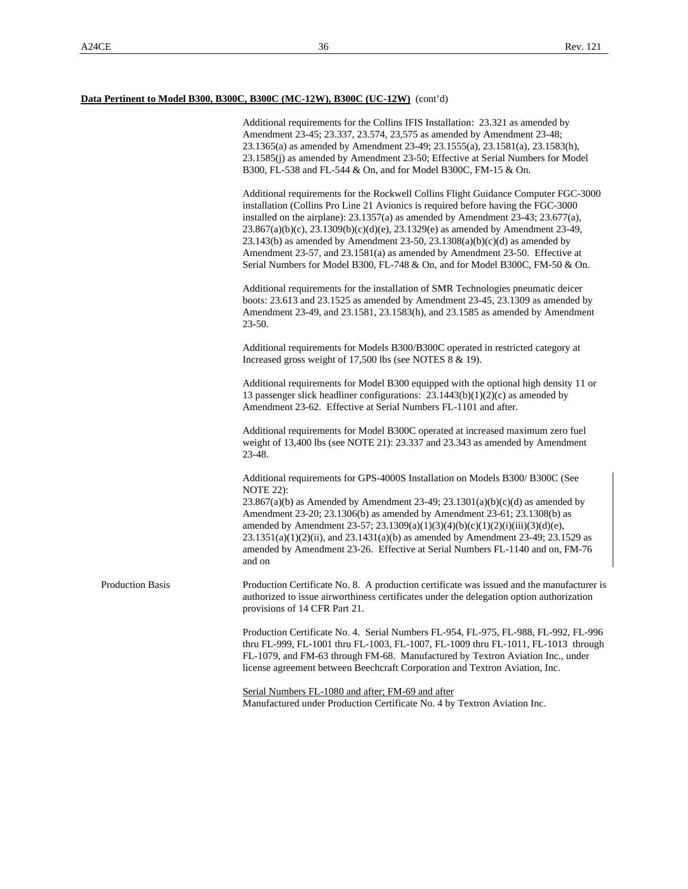Additional requirements for the Collins IFIS Installation: 23.321 as amended by Amendment 23-45; 23.337, 23.574, 23,575 as amended by Amendment 23-48; 23.1365(a) as amended by Amendment 23-49; 23.1555(a), 23.1581(a), 23.1583(h), 23.1585(j) as amended by Amendment 23-50; Effective at Serial Numbers for Model B300, FL-538 and FL-544 & On, and for Model B300C, FM-15 & On. Additional requirements for the Rockwell Collins Flight Guidance Computer FGC-3000 installation (Collins Pro Line 21 Avionics is required before having the FGC-3000 installed on the airplane): 23.1357(a) as amended by Amendment 23-43; 23.677(a), 23.867(a)(b)(c), 23.1309(b)(c)(d)(e), 23.1329(e) as amended by Amendment 23-49, 23.143(b) as amended by Amendment 23-50, 23.1308(a)(b)(c)(d) as amended by Amendment 23-57, and 23.1581(a) as amended by Amendment 23-50. Effective at Serial Numbers for Model B300, FL-748 & On, and for Model B300C, FM-50 & On. Additional requirements for the installation of SMR Technologies pneumatic deicer boots: 23.613 and 23.1525 as amended by Amendment 23-45, 23.1309 as amended by Amendment 23-49, and 23.1581, 23.1583(h), and 23.1585 as amended by Amendment 23-50. Additional requirements for Models B300/B300C operated in restricted category at Increased gross weight of 17,500 lbs (see NOTES 8 & 19). Additional requirements for Model B300 equipped with the optional high density 11 or 13 passenger slick headliner configurations: 23.1443(b)(1)(2)(c) as amended by Amendment 23-62. Effective at Serial Numbers FL-1101 and after. Additional requirements for Model B300C operated at increased maximum zero fuel weight of 13,400 lbs (see NOTE 21): 23.337 and 23.343 as amended by Amendment 23-48. Additional requirements for GPS-4000S Installation on Models B300/ B300C (See NOTE 22): 23.867(a)(b) as Amended by Amendment 23-49; 23.1301(a)(b)(c)(d) as amended by Amendment 23-20; 23.1306(b) as amended by Amendment 23-61; 23.1308(b) as amended by Amendment 23-57; 23.1309(a)(1)(3)(4)(b)(c)(1)(2)(i)(iii)(3)(d)(e), 23.1351(a)(1)(2)(ii), and 23.1431(a)(b) as amended by Amendment 23-49; 23.1529 as amended by Amendment 23-26. Effective at Serial Numbers FL-1140 and on, FM-76 and on Production Basis Production Certificate No. 8. A production certificate was issued and the manufacturer is authorized to issue airworthiness certificates under the delegation option authorization provisions of 14 CFR Part 21. Production Certificate No. 4. Serial Numbers FL-954, FL-975, FL-988, FL-992, FL-996 thru FL-999, FL-1001 thru FL-1003, FL-1007, FL-1009 thru FL-1011, FL-1013 through FL-1079, and FM-63 through FM-68. Manufactured by Textron Aviation Inc., under license agreement between Beechcraft Corporation and Textron Aviation, Inc.

> Serial Numbers FL-1080 and after; FM-69 and after Manufactured under Production Certificate No. 4 by Textron Aviation Inc.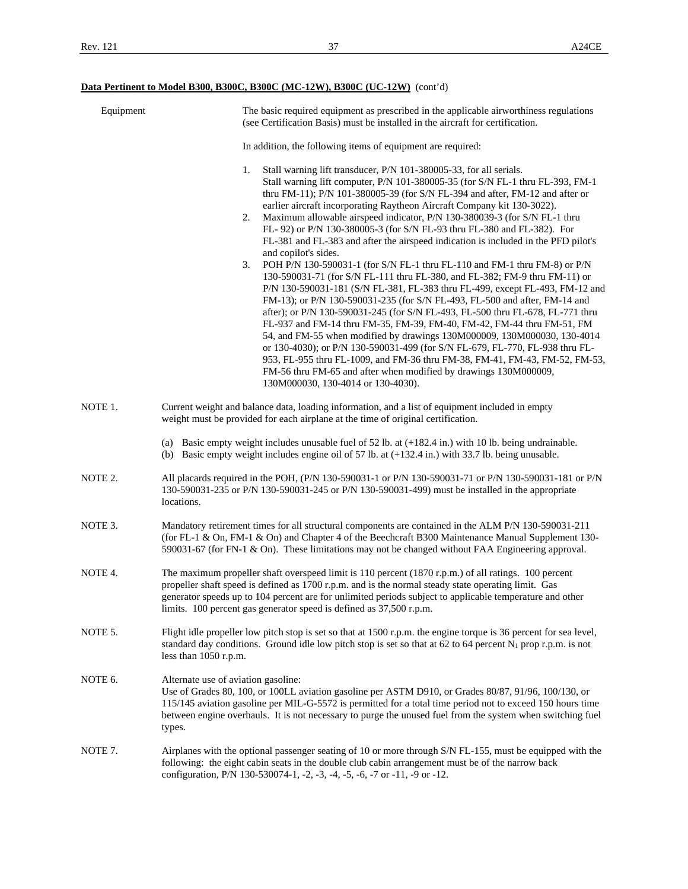| Equipment | The basic required equipment as prescribed in the applicable airworthiness regulations<br>(see Certification Basis) must be installed in the aircraft for certification.                                                                                                                                                                                                                                                                                                                                                                                                                                                                                                                                                                                                                                                                                                                                                                                                                                                                                                                                                                                                                                                                                                                                                                                                                                                                         |
|-----------|--------------------------------------------------------------------------------------------------------------------------------------------------------------------------------------------------------------------------------------------------------------------------------------------------------------------------------------------------------------------------------------------------------------------------------------------------------------------------------------------------------------------------------------------------------------------------------------------------------------------------------------------------------------------------------------------------------------------------------------------------------------------------------------------------------------------------------------------------------------------------------------------------------------------------------------------------------------------------------------------------------------------------------------------------------------------------------------------------------------------------------------------------------------------------------------------------------------------------------------------------------------------------------------------------------------------------------------------------------------------------------------------------------------------------------------------------|
|           | In addition, the following items of equipment are required:                                                                                                                                                                                                                                                                                                                                                                                                                                                                                                                                                                                                                                                                                                                                                                                                                                                                                                                                                                                                                                                                                                                                                                                                                                                                                                                                                                                      |
|           | Stall warning lift transducer, P/N 101-380005-33, for all serials.<br>1.<br>Stall warning lift computer, P/N 101-380005-35 (for S/N FL-1 thru FL-393, FM-1<br>thru FM-11); P/N 101-380005-39 (for S/N FL-394 and after, FM-12 and after or<br>earlier aircraft incorporating Raytheon Aircraft Company kit 130-3022).<br>2.<br>Maximum allowable airspeed indicator, P/N 130-380039-3 (for S/N FL-1 thru<br>FL-92) or P/N 130-380005-3 (for S/N FL-93 thru FL-380 and FL-382). For<br>FL-381 and FL-383 and after the airspeed indication is included in the PFD pilot's<br>and copilot's sides.<br>3.<br>POH P/N 130-590031-1 (for S/N FL-1 thru FL-110 and FM-1 thru FM-8) or P/N<br>130-590031-71 (for S/N FL-111 thru FL-380, and FL-382; FM-9 thru FM-11) or<br>P/N 130-590031-181 (S/N FL-381, FL-383 thru FL-499, except FL-493, FM-12 and<br>FM-13); or P/N 130-590031-235 (for S/N FL-493, FL-500 and after, FM-14 and<br>after); or P/N 130-590031-245 (for S/N FL-493, FL-500 thru FL-678, FL-771 thru<br>FL-937 and FM-14 thru FM-35, FM-39, FM-40, FM-42, FM-44 thru FM-51, FM<br>54, and FM-55 when modified by drawings 130M000009, 130M000030, 130-4014<br>or 130-4030); or P/N 130-590031-499 (for S/N FL-679, FL-770, FL-938 thru FL-<br>953, FL-955 thru FL-1009, and FM-36 thru FM-38, FM-41, FM-43, FM-52, FM-53,<br>FM-56 thru FM-65 and after when modified by drawings 130M000009,<br>130M000030, 130-4014 or 130-4030). |
| NOTE 1.   | Current weight and balance data, loading information, and a list of equipment included in empty<br>weight must be provided for each airplane at the time of original certification.                                                                                                                                                                                                                                                                                                                                                                                                                                                                                                                                                                                                                                                                                                                                                                                                                                                                                                                                                                                                                                                                                                                                                                                                                                                              |
|           | (a) Basic empty weight includes unusable fuel of $52$ lb. at $(+182.4)$ in.) with 10 lb. being undrainable.<br>(b) Basic empty weight includes engine oil of 57 lb. at $(+132.4 \text{ in.})$ with 33.7 lb. being unusable.                                                                                                                                                                                                                                                                                                                                                                                                                                                                                                                                                                                                                                                                                                                                                                                                                                                                                                                                                                                                                                                                                                                                                                                                                      |
| NOTE 2.   | All placards required in the POH, (P/N 130-590031-1 or P/N 130-590031-71 or P/N 130-590031-181 or P/N<br>130-590031-235 or P/N 130-590031-245 or P/N 130-590031-499) must be installed in the appropriate<br>locations.                                                                                                                                                                                                                                                                                                                                                                                                                                                                                                                                                                                                                                                                                                                                                                                                                                                                                                                                                                                                                                                                                                                                                                                                                          |
| NOTE 3.   | Mandatory retirement times for all structural components are contained in the ALM P/N 130-590031-211<br>(for FL-1 & On, FM-1 & On) and Chapter 4 of the Beechcraft B300 Maintenance Manual Supplement 130-<br>590031-67 (for FN-1 & On). These limitations may not be changed without FAA Engineering approval.                                                                                                                                                                                                                                                                                                                                                                                                                                                                                                                                                                                                                                                                                                                                                                                                                                                                                                                                                                                                                                                                                                                                  |
| NOTE 4.   | The maximum propeller shaft overspeed limit is 110 percent (1870 r.p.m.) of all ratings. 100 percent<br>propeller shaft speed is defined as 1700 r.p.m. and is the normal steady state operating limit. Gas<br>generator speeds up to 104 percent are for unlimited periods subject to applicable temperature and other<br>limits. 100 percent gas generator speed is defined as 37,500 r.p.m.                                                                                                                                                                                                                                                                                                                                                                                                                                                                                                                                                                                                                                                                                                                                                                                                                                                                                                                                                                                                                                                   |
| NOTE 5.   | Flight idle propeller low pitch stop is set so that at 1500 r.p.m. the engine torque is 36 percent for sea level,<br>standard day conditions. Ground idle low pitch stop is set so that at 62 to 64 percent $N_1$ prop r.p.m. is not<br>less than $1050$ r.p.m.                                                                                                                                                                                                                                                                                                                                                                                                                                                                                                                                                                                                                                                                                                                                                                                                                                                                                                                                                                                                                                                                                                                                                                                  |
| NOTE 6.   | Alternate use of aviation gasoline:<br>Use of Grades 80, 100, or 100LL aviation gasoline per ASTM D910, or Grades 80/87, 91/96, 100/130, or<br>115/145 aviation gasoline per MIL-G-5572 is permitted for a total time period not to exceed 150 hours time<br>between engine overhauls. It is not necessary to purge the unused fuel from the system when switching fuel<br>types.                                                                                                                                                                                                                                                                                                                                                                                                                                                                                                                                                                                                                                                                                                                                                                                                                                                                                                                                                                                                                                                                |
| NOTE 7.   | Airplanes with the optional passenger seating of 10 or more through S/N FL-155, must be equipped with the<br>following: the eight cabin seats in the double club cabin arrangement must be of the narrow back<br>configuration, P/N 130-530074-1, -2, -3, -4, -5, -6, -7 or -11, -9 or -12.                                                                                                                                                                                                                                                                                                                                                                                                                                                                                                                                                                                                                                                                                                                                                                                                                                                                                                                                                                                                                                                                                                                                                      |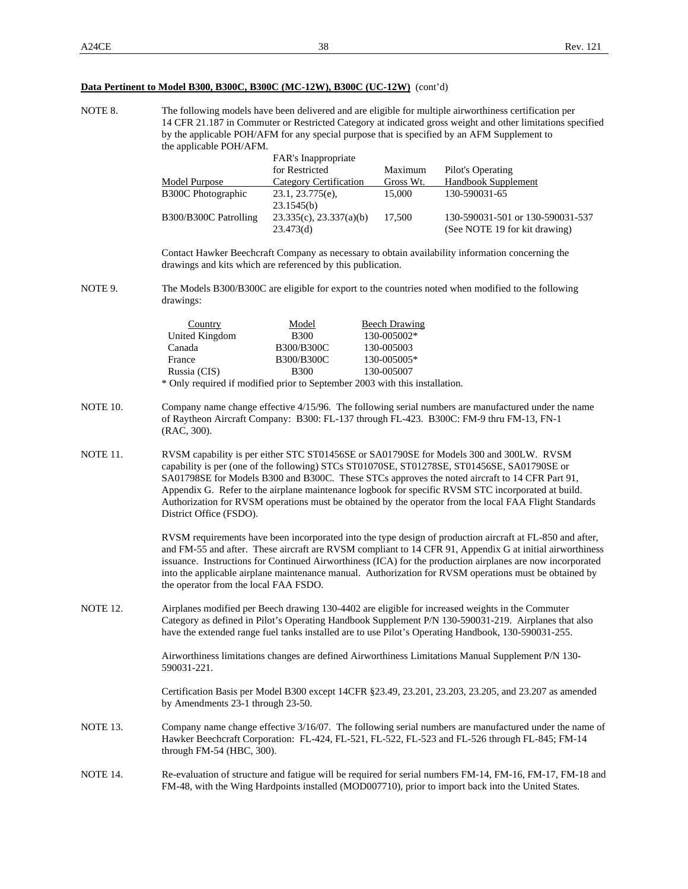| NOTE 8.  | The following models have been delivered and are eligible for multiple airworthiness certification per<br>14 CFR 21.187 in Commuter or Restricted Category at indicated gross weight and other limitations specified<br>by the applicable POH/AFM for any special purpose that is specified by an AFM Supplement to<br>the applicable POH/AFM.                                                                                                                                                           |                                |                      |                                                                                                                                                                                                                                                                                                                                                                                                                                               |  |  |  |
|----------|----------------------------------------------------------------------------------------------------------------------------------------------------------------------------------------------------------------------------------------------------------------------------------------------------------------------------------------------------------------------------------------------------------------------------------------------------------------------------------------------------------|--------------------------------|----------------------|-----------------------------------------------------------------------------------------------------------------------------------------------------------------------------------------------------------------------------------------------------------------------------------------------------------------------------------------------------------------------------------------------------------------------------------------------|--|--|--|
|          | FAR's Inappropriate                                                                                                                                                                                                                                                                                                                                                                                                                                                                                      |                                |                      |                                                                                                                                                                                                                                                                                                                                                                                                                                               |  |  |  |
|          |                                                                                                                                                                                                                                                                                                                                                                                                                                                                                                          | for Restricted                 | Maximum              | Pilot's Operating                                                                                                                                                                                                                                                                                                                                                                                                                             |  |  |  |
|          | <b>Model Purpose</b>                                                                                                                                                                                                                                                                                                                                                                                                                                                                                     | <b>Category Certification</b>  | Gross Wt.            | Handbook Supplement                                                                                                                                                                                                                                                                                                                                                                                                                           |  |  |  |
|          | <b>B300C</b> Photographic                                                                                                                                                                                                                                                                                                                                                                                                                                                                                | 23.1, 23.775(e),<br>23.1545(b) | 15,000               | 130-590031-65                                                                                                                                                                                                                                                                                                                                                                                                                                 |  |  |  |
|          | B300/B300C Patrolling                                                                                                                                                                                                                                                                                                                                                                                                                                                                                    | 23.335(c), 23.337(a)(b)        | 17,500               | 130-590031-501 or 130-590031-537                                                                                                                                                                                                                                                                                                                                                                                                              |  |  |  |
|          |                                                                                                                                                                                                                                                                                                                                                                                                                                                                                                          | 23.473(d)                      |                      | (See NOTE 19 for kit drawing)                                                                                                                                                                                                                                                                                                                                                                                                                 |  |  |  |
|          | drawings and kits which are referenced by this publication.                                                                                                                                                                                                                                                                                                                                                                                                                                              |                                |                      | Contact Hawker Beechcraft Company as necessary to obtain availability information concerning the                                                                                                                                                                                                                                                                                                                                              |  |  |  |
| NOTE 9.  | drawings:                                                                                                                                                                                                                                                                                                                                                                                                                                                                                                |                                |                      | The Models B300/B300C are eligible for export to the countries noted when modified to the following                                                                                                                                                                                                                                                                                                                                           |  |  |  |
|          | Country                                                                                                                                                                                                                                                                                                                                                                                                                                                                                                  | Model                          | <b>Beech Drawing</b> |                                                                                                                                                                                                                                                                                                                                                                                                                                               |  |  |  |
|          | United Kingdom                                                                                                                                                                                                                                                                                                                                                                                                                                                                                           | <b>B300</b>                    | 130-005002*          |                                                                                                                                                                                                                                                                                                                                                                                                                                               |  |  |  |
|          | Canada                                                                                                                                                                                                                                                                                                                                                                                                                                                                                                   | B300/B300C                     | 130-005003           |                                                                                                                                                                                                                                                                                                                                                                                                                                               |  |  |  |
|          | France                                                                                                                                                                                                                                                                                                                                                                                                                                                                                                   | B300/B300C                     | 130-005005*          |                                                                                                                                                                                                                                                                                                                                                                                                                                               |  |  |  |
|          | Russia (CIS)                                                                                                                                                                                                                                                                                                                                                                                                                                                                                             | <b>B300</b>                    | 130-005007           |                                                                                                                                                                                                                                                                                                                                                                                                                                               |  |  |  |
|          | * Only required if modified prior to September 2003 with this installation.                                                                                                                                                                                                                                                                                                                                                                                                                              |                                |                      |                                                                                                                                                                                                                                                                                                                                                                                                                                               |  |  |  |
| NOTE 10. | (RAC, 300).                                                                                                                                                                                                                                                                                                                                                                                                                                                                                              |                                |                      | Company name change effective 4/15/96. The following serial numbers are manufactured under the name<br>of Raytheon Aircraft Company: B300: FL-137 through FL-423. B300C: FM-9 thru FM-13, FN-1                                                                                                                                                                                                                                                |  |  |  |
| NOTE 11. | RVSM capability is per either STC ST01456SE or SA01790SE for Models 300 and 300LW. RVSM<br>capability is per (one of the following) STCs ST01070SE, ST01278SE, ST01456SE, SA01790SE or<br>SA01798SE for Models B300 and B300C. These STCs approves the noted aircraft to 14 CFR Part 91,<br>Appendix G. Refer to the airplane maintenance logbook for specific RVSM STC incorporated at build.<br>Authorization for RVSM operations must be obtained by the operator from the local FAA Flight Standards |                                |                      |                                                                                                                                                                                                                                                                                                                                                                                                                                               |  |  |  |
|          | the operator from the local FAA FSDO.                                                                                                                                                                                                                                                                                                                                                                                                                                                                    |                                |                      | RVSM requirements have been incorporated into the type design of production aircraft at FL-850 and after,<br>and FM-55 and after. These aircraft are RVSM compliant to 14 CFR 91, Appendix G at initial airworthiness<br>issuance. Instructions for Continued Airworthiness (ICA) for the production airplanes are now incorporated<br>into the applicable airplane maintenance manual. Authorization for RVSM operations must be obtained by |  |  |  |
| NOTE 12. | Airplanes modified per Beech drawing 130-4402 are eligible for increased weights in the Commuter<br>Category as defined in Pilot's Operating Handbook Supplement P/N 130-590031-219. Airplanes that also<br>have the extended range fuel tanks installed are to use Pilot's Operating Handbook, 130-590031-255.                                                                                                                                                                                          |                                |                      |                                                                                                                                                                                                                                                                                                                                                                                                                                               |  |  |  |
|          | Airworthiness limitations changes are defined Airworthiness Limitations Manual Supplement P/N 130-<br>590031-221.                                                                                                                                                                                                                                                                                                                                                                                        |                                |                      |                                                                                                                                                                                                                                                                                                                                                                                                                                               |  |  |  |
|          | Certification Basis per Model B300 except 14CFR §23.49, 23.201, 23.203, 23.205, and 23.207 as amended<br>by Amendments 23-1 through 23-50.                                                                                                                                                                                                                                                                                                                                                               |                                |                      |                                                                                                                                                                                                                                                                                                                                                                                                                                               |  |  |  |
| NOTE 13. | through FM-54 (HBC, 300).                                                                                                                                                                                                                                                                                                                                                                                                                                                                                |                                |                      | Company name change effective 3/16/07. The following serial numbers are manufactured under the name of<br>Hawker Beechcraft Corporation: FL-424, FL-521, FL-522, FL-523 and FL-526 through FL-845; FM-14                                                                                                                                                                                                                                      |  |  |  |
| NOTE 14. |                                                                                                                                                                                                                                                                                                                                                                                                                                                                                                          |                                |                      | Re-evaluation of structure and fatigue will be required for serial numbers FM-14, FM-16, FM-17, FM-18 and<br>FM-48, with the Wing Hardpoints installed (MOD007710), prior to import back into the United States.                                                                                                                                                                                                                              |  |  |  |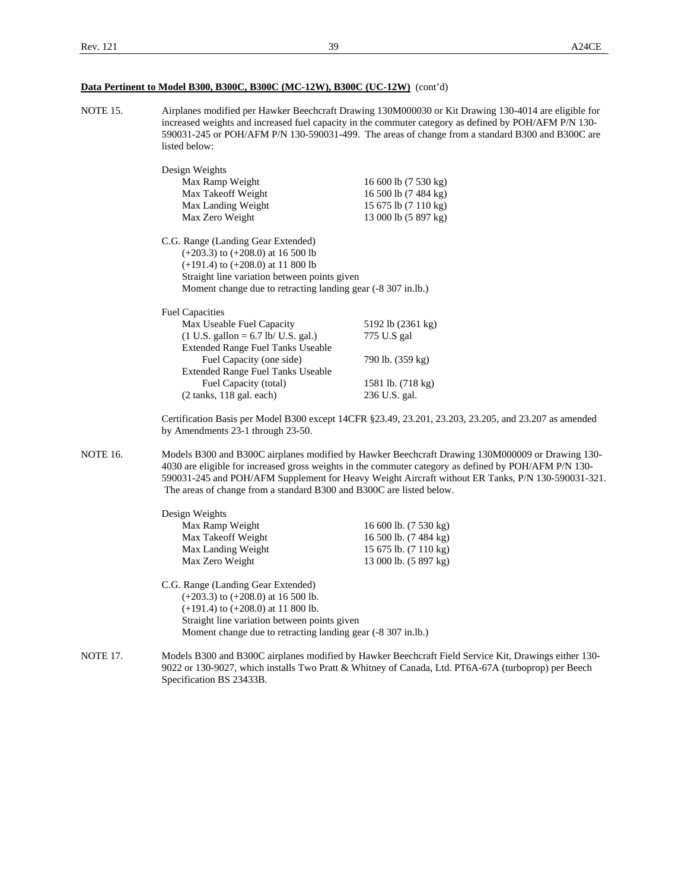NOTE 15. Airplanes modified per Hawker Beechcraft Drawing 130M000030 or Kit Drawing 130-4014 are eligible for increased weights and increased fuel capacity in the commuter category as defined by POH/AFM P/N 130- 590031-245 or POH/AFM P/N 130-590031-499. The areas of change from a standard B300 and B300C are listed below:

|                 | Design Weights<br>Max Ramp Weight<br>Max Takeoff Weight<br>Max Landing Weight<br>Max Zero Weight                                                                                                                                     | 16 600 lb (7 530 kg)<br>16 500 lb (7 484 kg)<br>15 675 lb (7 110 kg)<br>13 000 lb (5 897 kg)                                                                                                                                                                                                                   |
|-----------------|--------------------------------------------------------------------------------------------------------------------------------------------------------------------------------------------------------------------------------------|----------------------------------------------------------------------------------------------------------------------------------------------------------------------------------------------------------------------------------------------------------------------------------------------------------------|
|                 | C.G. Range (Landing Gear Extended)<br>$(+203.3)$ to $(+208.0)$ at 16 500 lb<br>$(+191.4)$ to $(+208.0)$ at 11 800 lb<br>Straight line variation between points given<br>Moment change due to retracting landing gear (-8 307 in.lb.) |                                                                                                                                                                                                                                                                                                                |
|                 | <b>Fuel Capacities</b>                                                                                                                                                                                                               |                                                                                                                                                                                                                                                                                                                |
|                 | Max Useable Fuel Capacity                                                                                                                                                                                                            | 5192 lb (2361 kg)                                                                                                                                                                                                                                                                                              |
|                 | $(1 U.S. gallon = 6.7 lb/ U.S. gal.)$<br><b>Extended Range Fuel Tanks Useable</b>                                                                                                                                                    | 775 U.S gal                                                                                                                                                                                                                                                                                                    |
|                 | Fuel Capacity (one side)<br><b>Extended Range Fuel Tanks Useable</b>                                                                                                                                                                 | 790 lb. (359 kg)                                                                                                                                                                                                                                                                                               |
|                 | Fuel Capacity (total)                                                                                                                                                                                                                | 1581 lb. (718 kg)                                                                                                                                                                                                                                                                                              |
|                 | $(2 \text{ tanks}, 118 \text{ gal}, \text{each})$                                                                                                                                                                                    | 236 U.S. gal.                                                                                                                                                                                                                                                                                                  |
|                 | by Amendments 23-1 through 23-50.                                                                                                                                                                                                    | Certification Basis per Model B300 except 14CFR §23.49, 23.201, 23.203, 23.205, and 23.207 as amended                                                                                                                                                                                                          |
| <b>NOTE 16.</b> | The areas of change from a standard B300 and B300C are listed below.                                                                                                                                                                 | Models B300 and B300C airplanes modified by Hawker Beechcraft Drawing 130M000009 or Drawing 130-<br>4030 are eligible for increased gross weights in the commuter category as defined by POH/AFM P/N 130-<br>590031-245 and POH/AFM Supplement for Heavy Weight Aircraft without ER Tanks, P/N 130-590031-321. |
|                 | Design Weights                                                                                                                                                                                                                       |                                                                                                                                                                                                                                                                                                                |
|                 | Max Ramp Weight                                                                                                                                                                                                                      | 16 600 lb. (7 530 kg)                                                                                                                                                                                                                                                                                          |
|                 | Max Takeoff Weight                                                                                                                                                                                                                   | 16 500 lb. (7 484 kg)                                                                                                                                                                                                                                                                                          |
|                 | Max Landing Weight                                                                                                                                                                                                                   | 15 675 lb. (7 110 kg)                                                                                                                                                                                                                                                                                          |

 C.G. Range (Landing Gear Extended) (+203.3) to (+208.0) at 16 500 lb. (+191.4) to (+208.0) at 11 800 lb. Straight line variation between points given Moment change due to retracting landing gear (-8 307 in.lb.)

Max Zero Weight 13 000 lb. (5 897 kg)

#### NOTE 17. Models B300 and B300C airplanes modified by Hawker Beechcraft Field Service Kit, Drawings either 130- 9022 or 130-9027, which installs Two Pratt & Whitney of Canada, Ltd. PT6A-67A (turboprop) per Beech Specification BS 23433B.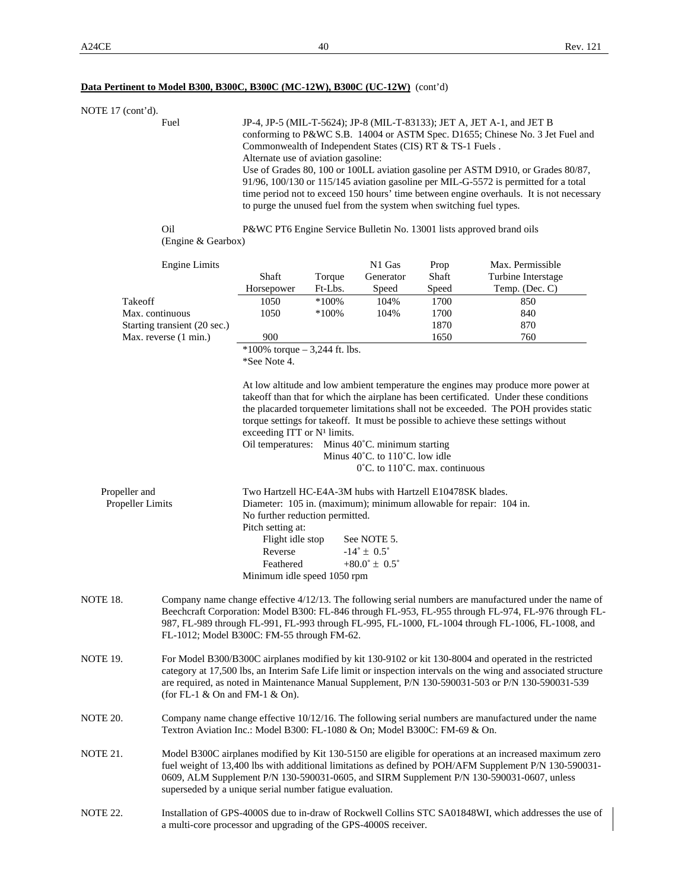#### NOTE 17 (cont'd).

 Fuel JP-4, JP-5 (MIL-T-5624); JP-8 (MIL-T-83133); JET A, JET A-1, and JET B conforming to P&WC S.B. 14004 or ASTM Spec. D1655; Chinese No. 3 Jet Fuel and Commonwealth of Independent States (CIS) RT & TS-1 Fuels . Alternate use of aviation gasoline: Use of Grades 80, 100 or 100LL aviation gasoline per ASTM D910, or Grades 80/87, 91/96, 100/130 or 115/145 aviation gasoline per MIL-G-5572 is permitted for a total time period not to exceed 150 hours' time between engine overhauls. It is not necessary to purge the unused fuel from the system when switching fuel types.

 Oil P&WC PT6 Engine Service Bulletin No. 13001 lists approved brand oils (Engine & Gearbox)

|                                                                                     | <b>Engine Limits</b>                                            |                                                                                                                                                                                                                                                                                                                                                                                                                                                                                                                                                             |          | N1 Gas                          | Prop  | Max. Permissible                                                                                                                                                                                                                                                                                                               |  |
|-------------------------------------------------------------------------------------|-----------------------------------------------------------------|-------------------------------------------------------------------------------------------------------------------------------------------------------------------------------------------------------------------------------------------------------------------------------------------------------------------------------------------------------------------------------------------------------------------------------------------------------------------------------------------------------------------------------------------------------------|----------|---------------------------------|-------|--------------------------------------------------------------------------------------------------------------------------------------------------------------------------------------------------------------------------------------------------------------------------------------------------------------------------------|--|
|                                                                                     |                                                                 | Shaft                                                                                                                                                                                                                                                                                                                                                                                                                                                                                                                                                       | Torque   | Generator                       | Shaft | Turbine Interstage                                                                                                                                                                                                                                                                                                             |  |
|                                                                                     |                                                                 | Horsepower                                                                                                                                                                                                                                                                                                                                                                                                                                                                                                                                                  | Ft-Lbs.  | Speed                           | Speed | Temp. (Dec. C)                                                                                                                                                                                                                                                                                                                 |  |
| Takeoff<br>Max. continuous<br>Starting transient (20 sec.)<br>Max. reverse (1 min.) |                                                                 | 1050                                                                                                                                                                                                                                                                                                                                                                                                                                                                                                                                                        | $*100%$  | 104%                            | 1700  | 850                                                                                                                                                                                                                                                                                                                            |  |
|                                                                                     |                                                                 | 1050                                                                                                                                                                                                                                                                                                                                                                                                                                                                                                                                                        | $*100\%$ | 104%                            | 1700  | 840                                                                                                                                                                                                                                                                                                                            |  |
|                                                                                     |                                                                 |                                                                                                                                                                                                                                                                                                                                                                                                                                                                                                                                                             |          |                                 | 1870  | 870                                                                                                                                                                                                                                                                                                                            |  |
|                                                                                     |                                                                 | 900                                                                                                                                                                                                                                                                                                                                                                                                                                                                                                                                                         |          |                                 | 1650  | 760                                                                                                                                                                                                                                                                                                                            |  |
|                                                                                     |                                                                 | *100% torque $-3,244$ ft. lbs.<br>*See Note 4.                                                                                                                                                                                                                                                                                                                                                                                                                                                                                                              |          |                                 |       |                                                                                                                                                                                                                                                                                                                                |  |
| Propeller and                                                                       |                                                                 | At low altitude and low ambient temperature the engines may produce more power at<br>take off than that for which the airplane has been certificated. Under these conditions<br>the placarded torquemeter limitations shall not be exceeded. The POH provides static<br>torque settings for take off. It must be possible to achieve these settings without<br>exceeding ITT or $N1$ limits.<br>Oil temperatures: Minus 40°C. minimum starting<br>Minus $40^{\circ}$ C. to $110^{\circ}$ C. low idle<br>$0^{\circ}$ C. to 110 $^{\circ}$ C. max. continuous |          |                                 |       |                                                                                                                                                                                                                                                                                                                                |  |
| Propeller Limits                                                                    |                                                                 | Two Hartzell HC-E4A-3M hubs with Hartzell E10478SK blades.<br>Diameter: 105 in. (maximum); minimum allowable for repair: 104 in.<br>No further reduction permitted.<br>Pitch setting at:<br>Flight idle stop<br>See NOTE 5.<br>Reverse<br>$-14^{\circ} \pm 0.5^{\circ}$                                                                                                                                                                                                                                                                                     |          |                                 |       |                                                                                                                                                                                                                                                                                                                                |  |
|                                                                                     |                                                                 | Feathered<br>Minimum idle speed 1050 rpm                                                                                                                                                                                                                                                                                                                                                                                                                                                                                                                    |          | $+80.0^{\circ} \pm 0.5^{\circ}$ |       |                                                                                                                                                                                                                                                                                                                                |  |
| NOTE 18.                                                                            | FL-1012; Model B300C: FM-55 through FM-62.                      |                                                                                                                                                                                                                                                                                                                                                                                                                                                                                                                                                             |          |                                 |       | Company name change effective 4/12/13. The following serial numbers are manufactured under the name of<br>Beechcraft Corporation: Model B300: FL-846 through FL-953, FL-955 through FL-974, FL-976 through FL-<br>987, FL-989 through FL-991, FL-993 through FL-995, FL-1000, FL-1004 through FL-1006, FL-1008, and            |  |
| NOTE 19.<br>(for FL-1 $\&$ On and FM-1 $\&$ On).                                    |                                                                 |                                                                                                                                                                                                                                                                                                                                                                                                                                                                                                                                                             |          |                                 |       | For Model B300/B300C airplanes modified by kit 130-9102 or kit 130-8004 and operated in the restricted<br>category at 17,500 lbs, an Interim Safe Life limit or inspection intervals on the wing and associated structure<br>are required, as noted in Maintenance Manual Supplement, P/N 130-590031-503 or P/N 130-590031-539 |  |
| NOTE 20.                                                                            |                                                                 | Company name change effective 10/12/16. The following serial numbers are manufactured under the name<br>Textron Aviation Inc.: Model B300: FL-1080 & On; Model B300C: FM-69 & On.                                                                                                                                                                                                                                                                                                                                                                           |          |                                 |       |                                                                                                                                                                                                                                                                                                                                |  |
| NOTE 21.                                                                            | superseded by a unique serial number fatigue evaluation.        |                                                                                                                                                                                                                                                                                                                                                                                                                                                                                                                                                             |          |                                 |       | Model B300C airplanes modified by Kit 130-5150 are eligible for operations at an increased maximum zero<br>fuel weight of 13,400 lbs with additional limitations as defined by POH/AFM Supplement P/N 130-590031-<br>0609, ALM Supplement P/N 130-590031-0605, and SIRM Supplement P/N 130-590031-0607, unless                 |  |
| NOTE 22.                                                                            | a multi-core processor and upgrading of the GPS-4000S receiver. |                                                                                                                                                                                                                                                                                                                                                                                                                                                                                                                                                             |          |                                 |       | Installation of GPS-4000S due to in-draw of Rockwell Collins STC SA01848WI, which addresses the use of                                                                                                                                                                                                                         |  |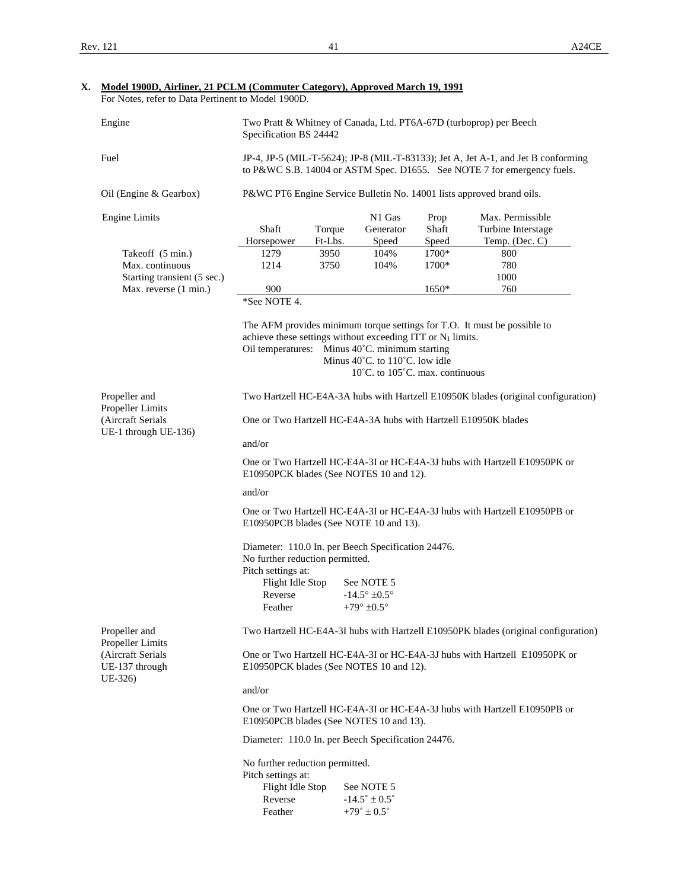| Engine                                         | Two Pratt & Whitney of Canada, Ltd. PT6A-67D (turboprop) per Beech<br>Specification BS 24442                                                     |         |                                                               |       |                    |  |
|------------------------------------------------|--------------------------------------------------------------------------------------------------------------------------------------------------|---------|---------------------------------------------------------------|-------|--------------------|--|
| Fuel                                           | JP-4, JP-5 (MIL-T-5624); JP-8 (MIL-T-83133); Jet A, Jet A-1, and Jet B conforming                                                                |         |                                                               |       |                    |  |
|                                                | to P&WC S.B. 14004 or ASTM Spec. D1655. See NOTE 7 for emergency fuels.<br>P&WC PT6 Engine Service Bulletin No. 14001 lists approved brand oils. |         |                                                               |       |                    |  |
| Oil (Engine & Gearbox)                         |                                                                                                                                                  |         |                                                               |       |                    |  |
| <b>Engine Limits</b>                           |                                                                                                                                                  |         | N1 Gas                                                        | Prop  | Max. Permissible   |  |
|                                                | Shaft                                                                                                                                            | Torque  | Generator                                                     | Shaft | Turbine Interstage |  |
|                                                | Horsepower                                                                                                                                       | Ft-Lbs. | Speed                                                         | Speed | Temp. (Dec. C)     |  |
| Takeoff (5 min.)                               | 1279                                                                                                                                             | 3950    | 104%                                                          | 1700* | 800                |  |
| Max. continuous                                | 1214                                                                                                                                             | 3750    | 104%                                                          | 1700* | 780                |  |
| Starting transient (5 sec.)                    |                                                                                                                                                  |         |                                                               |       | 1000               |  |
| Max. reverse (1 min.)                          | 900                                                                                                                                              |         |                                                               | 1650* | 760                |  |
|                                                | *See NOTE 4.                                                                                                                                     |         |                                                               |       |                    |  |
|                                                | The AFM provides minimum torque settings for T.O. It must be possible to                                                                         |         |                                                               |       |                    |  |
|                                                |                                                                                                                                                  |         | achieve these settings without exceeding ITT or $N_1$ limits. |       |                    |  |
|                                                | Oil temperatures: Minus 40°C. minimum starting                                                                                                   |         |                                                               |       |                    |  |
|                                                |                                                                                                                                                  |         | Minus 40°C. to 110°C. low idle                                |       |                    |  |
|                                                | $10^{\circ}$ C. to $105^{\circ}$ C. max. continuous                                                                                              |         |                                                               |       |                    |  |
| Propeller and<br>Propeller Limits              | Two Hartzell HC-E4A-3A hubs with Hartzell E10950K blades (original configuration)                                                                |         |                                                               |       |                    |  |
| (Aircraft Serials<br>UE-1 through UE-136)      | One or Two Hartzell HC-E4A-3A hubs with Hartzell E10950K blades                                                                                  |         |                                                               |       |                    |  |
|                                                | and/or                                                                                                                                           |         |                                                               |       |                    |  |
|                                                | One or Two Hartzell HC-E4A-3I or HC-E4A-3J hubs with Hartzell E10950PK or<br>E10950PCK blades (See NOTES 10 and 12).                             |         |                                                               |       |                    |  |
|                                                | and/or                                                                                                                                           |         |                                                               |       |                    |  |
|                                                | One or Two Hartzell HC-E4A-3I or HC-E4A-3J hubs with Hartzell E10950PB or<br>E10950PCB blades (See NOTE 10 and 13).                              |         |                                                               |       |                    |  |
|                                                | Diameter: 110.0 In. per Beech Specification 24476.<br>No further reduction permitted.                                                            |         |                                                               |       |                    |  |
|                                                | Pitch settings at:                                                                                                                               |         |                                                               |       |                    |  |
|                                                | Flight Idle Stop                                                                                                                                 |         | See NOTE 5                                                    |       |                    |  |
|                                                | Reverse                                                                                                                                          |         | $-14.5^{\circ} \pm 0.5^{\circ}$                               |       |                    |  |
|                                                | Feather                                                                                                                                          |         | +79 $\degree$ ±0.5 $\degree$                                  |       |                    |  |
| Propeller and<br>Propeller Limits              | Two Hartzell HC-E4A-3I hubs with Hartzell E10950PK blades (original configuration)                                                               |         |                                                               |       |                    |  |
| (Aircraft Serials<br>UE-137 through<br>UE-326) | One or Two Hartzell HC-E4A-3I or HC-E4A-3J hubs with Hartzell E10950PK or<br>E10950PCK blades (See NOTES 10 and 12).                             |         |                                                               |       |                    |  |
|                                                | and/or                                                                                                                                           |         |                                                               |       |                    |  |
|                                                | One or Two Hartzell HC-E4A-3I or HC-E4A-3J hubs with Hartzell E10950PB or<br>E10950PCB blades (See NOTES 10 and 13).                             |         |                                                               |       |                    |  |
|                                                | Diameter: 110.0 In. per Beech Specification 24476.                                                                                               |         |                                                               |       |                    |  |
|                                                | No further reduction permitted.                                                                                                                  |         |                                                               |       |                    |  |
|                                                | Pitch settings at:                                                                                                                               |         |                                                               |       |                    |  |
|                                                | Flight Idle Stop                                                                                                                                 |         | See NOTE 5                                                    |       |                    |  |
|                                                | Reverse                                                                                                                                          |         | $-14.5^{\circ} \pm 0.5^{\circ}$                               |       |                    |  |
|                                                | Feather                                                                                                                                          |         | $+79^{\circ} \pm 0.5^{\circ}$                                 |       |                    |  |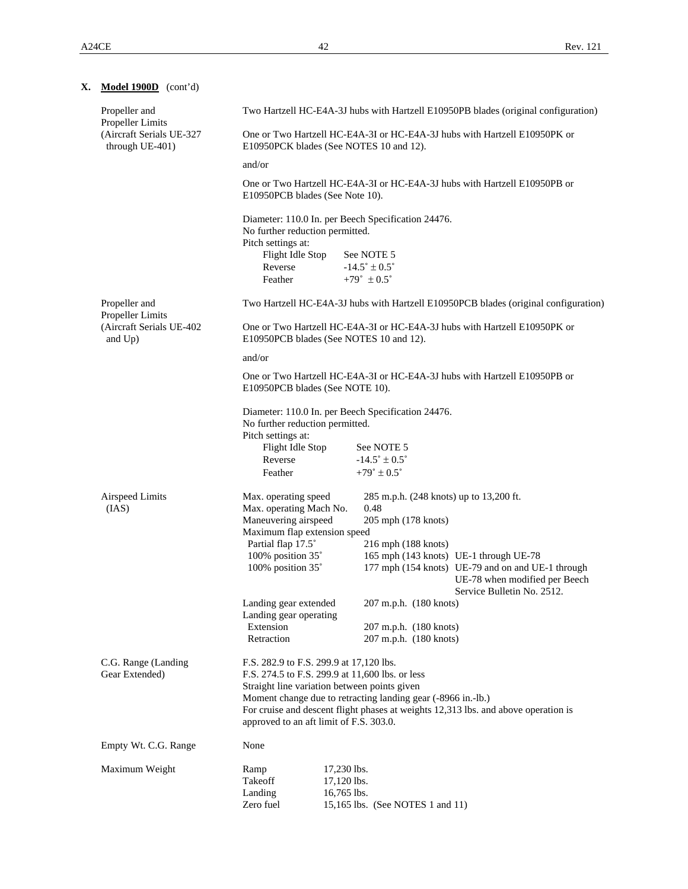| X. | Model 1900D (cont'd)                        |                                                                                                                      |                                                                                                                                                                                               |                                                  |                                                                                                                  |  |  |
|----|---------------------------------------------|----------------------------------------------------------------------------------------------------------------------|-----------------------------------------------------------------------------------------------------------------------------------------------------------------------------------------------|--------------------------------------------------|------------------------------------------------------------------------------------------------------------------|--|--|
|    | Propeller and<br>Propeller Limits           | Two Hartzell HC-E4A-3J hubs with Hartzell E10950PB blades (original configuration)                                   |                                                                                                                                                                                               |                                                  |                                                                                                                  |  |  |
|    | (Aircraft Serials UE-327<br>through UE-401) | One or Two Hartzell HC-E4A-3I or HC-E4A-3J hubs with Hartzell E10950PK or<br>E10950PCK blades (See NOTES 10 and 12). |                                                                                                                                                                                               |                                                  |                                                                                                                  |  |  |
|    |                                             | and/or                                                                                                               |                                                                                                                                                                                               |                                                  |                                                                                                                  |  |  |
|    |                                             | One or Two Hartzell HC-E4A-3I or HC-E4A-3J hubs with Hartzell E10950PB or<br>E10950PCB blades (See Note 10).         |                                                                                                                                                                                               |                                                  |                                                                                                                  |  |  |
|    |                                             | Diameter: 110.0 In. per Beech Specification 24476.<br>No further reduction permitted.                                |                                                                                                                                                                                               |                                                  |                                                                                                                  |  |  |
|    |                                             | Pitch settings at:<br>Flight Idle Stop                                                                               |                                                                                                                                                                                               | See NOTE 5                                       |                                                                                                                  |  |  |
|    |                                             | Reverse                                                                                                              |                                                                                                                                                                                               | $-14.5^{\circ} \pm 0.5^{\circ}$                  |                                                                                                                  |  |  |
|    |                                             | Feather                                                                                                              |                                                                                                                                                                                               | $+79^{\circ} \pm 0.5^{\circ}$                    |                                                                                                                  |  |  |
|    | Propeller and<br>Propeller Limits           | Two Hartzell HC-E4A-3J hubs with Hartzell E10950PCB blades (original configuration)                                  |                                                                                                                                                                                               |                                                  |                                                                                                                  |  |  |
|    | (Aircraft Serials UE-402<br>and Up)         | One or Two Hartzell HC-E4A-3I or HC-E4A-3J hubs with Hartzell E10950PK or<br>E10950PCB blades (See NOTES 10 and 12). |                                                                                                                                                                                               |                                                  |                                                                                                                  |  |  |
|    |                                             | and/or                                                                                                               |                                                                                                                                                                                               |                                                  |                                                                                                                  |  |  |
|    |                                             | One or Two Hartzell HC-E4A-3I or HC-E4A-3J hubs with Hartzell E10950PB or<br>E10950PCB blades (See NOTE 10).         |                                                                                                                                                                                               |                                                  |                                                                                                                  |  |  |
|    |                                             | Diameter: 110.0 In. per Beech Specification 24476.<br>No further reduction permitted.                                |                                                                                                                                                                                               |                                                  |                                                                                                                  |  |  |
|    |                                             | Pitch settings at:<br>Flight Idle Stop                                                                               |                                                                                                                                                                                               | See NOTE 5                                       |                                                                                                                  |  |  |
|    |                                             | Reverse                                                                                                              |                                                                                                                                                                                               | $-14.5^{\circ} \pm 0.5^{\circ}$                  |                                                                                                                  |  |  |
|    |                                             | Feather                                                                                                              |                                                                                                                                                                                               | $+79^{\circ} \pm 0.5^{\circ}$                    |                                                                                                                  |  |  |
|    | Airspeed Limits<br>(IAS)                    | Max. operating speed<br>Max. operating Mach No.                                                                      |                                                                                                                                                                                               | 285 m.p.h. (248 knots) up to 13,200 ft.<br>0.48  |                                                                                                                  |  |  |
|    |                                             | Maneuvering airspeed                                                                                                 |                                                                                                                                                                                               | 205 mph (178 knots)                              |                                                                                                                  |  |  |
|    |                                             | Maximum flap extension speed<br>Partial flap 17.5°                                                                   |                                                                                                                                                                                               | 216 mph (188 knots)                              |                                                                                                                  |  |  |
|    |                                             | 100% position 35°                                                                                                    |                                                                                                                                                                                               |                                                  | 165 mph (143 knots) UE-1 through UE-78                                                                           |  |  |
|    |                                             | 100% position 35°                                                                                                    |                                                                                                                                                                                               |                                                  | 177 mph (154 knots) UE-79 and on and UE-1 through<br>UE-78 when modified per Beech<br>Service Bulletin No. 2512. |  |  |
|    |                                             | Landing gear extended                                                                                                |                                                                                                                                                                                               | 207 m.p.h. (180 knots)                           |                                                                                                                  |  |  |
|    |                                             | Landing gear operating                                                                                               |                                                                                                                                                                                               |                                                  |                                                                                                                  |  |  |
|    |                                             | Extension<br>Retraction                                                                                              |                                                                                                                                                                                               | 207 m.p.h. (180 knots)<br>207 m.p.h. (180 knots) |                                                                                                                  |  |  |
|    |                                             |                                                                                                                      |                                                                                                                                                                                               |                                                  |                                                                                                                  |  |  |
|    | C.G. Range (Landing<br>Gear Extended)       | F.S. 282.9 to F.S. 299.9 at 17,120 lbs.<br>F.S. 274.5 to F.S. 299.9 at 11,600 lbs. or less                           |                                                                                                                                                                                               |                                                  |                                                                                                                  |  |  |
|    |                                             | Straight line variation between points given                                                                         |                                                                                                                                                                                               |                                                  |                                                                                                                  |  |  |
|    |                                             |                                                                                                                      | Moment change due to retracting landing gear (-8966 in.-lb.)<br>For cruise and descent flight phases at weights 12,313 lbs. and above operation is<br>approved to an aft limit of F.S. 303.0. |                                                  |                                                                                                                  |  |  |
|    | Empty Wt. C.G. Range                        | None                                                                                                                 |                                                                                                                                                                                               |                                                  |                                                                                                                  |  |  |
|    | Maximum Weight                              | Ramp                                                                                                                 | 17,230 lbs.                                                                                                                                                                                   |                                                  |                                                                                                                  |  |  |
|    |                                             | Takeoff                                                                                                              | 17,120 lbs.                                                                                                                                                                                   |                                                  |                                                                                                                  |  |  |
|    |                                             | Landing<br>Zero fuel                                                                                                 | 16,765 lbs.<br>15,165 lbs. (See NOTES 1 and 11)                                                                                                                                               |                                                  |                                                                                                                  |  |  |
|    |                                             |                                                                                                                      |                                                                                                                                                                                               |                                                  |                                                                                                                  |  |  |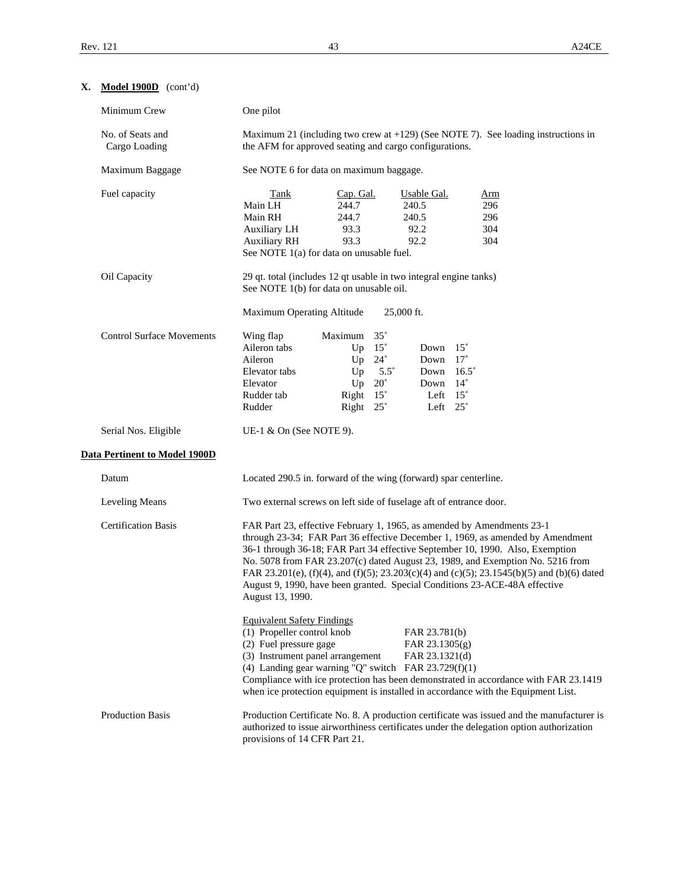**X. Model 1900D** (cont'd)

| Minimum Crew                      | One pilot                                                                                                                                                                                                                                                                                                                                                                                                                                                                                                                   |  |  |  |  |
|-----------------------------------|-----------------------------------------------------------------------------------------------------------------------------------------------------------------------------------------------------------------------------------------------------------------------------------------------------------------------------------------------------------------------------------------------------------------------------------------------------------------------------------------------------------------------------|--|--|--|--|
| No. of Seats and<br>Cargo Loading | Maximum 21 (including two crew at $+129$ ) (See NOTE 7). See loading instructions in<br>the AFM for approved seating and cargo configurations.                                                                                                                                                                                                                                                                                                                                                                              |  |  |  |  |
| Maximum Baggage                   | See NOTE 6 for data on maximum baggage.                                                                                                                                                                                                                                                                                                                                                                                                                                                                                     |  |  |  |  |
| Fuel capacity                     | Tank<br>Cap. Gal.<br>Usable Gal.<br><u>Arm</u><br>244.7<br>Main LH<br>240.5<br>296<br>Main RH<br>244.7<br>240.5<br>296<br>93.3<br>92.2<br>304<br><b>Auxiliary LH</b><br><b>Auxiliary RH</b><br>93.3<br>92.2<br>304<br>See NOTE 1(a) for data on unusable fuel.                                                                                                                                                                                                                                                              |  |  |  |  |
| Oil Capacity                      | 29 qt. total (includes 12 qt usable in two integral engine tanks)<br>See NOTE 1(b) for data on unusable oil.                                                                                                                                                                                                                                                                                                                                                                                                                |  |  |  |  |
|                                   | Maximum Operating Altitude<br>25,000 ft.                                                                                                                                                                                                                                                                                                                                                                                                                                                                                    |  |  |  |  |
| <b>Control Surface Movements</b>  | Maximum 35°<br>Wing flap<br>Aileron tabs<br>Up $15^\circ$<br>Down $15^\circ$<br>Up $24^\circ$<br>Down 17°<br>Aileron<br>Elevator tabs<br>Up<br>$5.5^{\circ}$<br>Down $16.5^\circ$<br>Elevator<br>Up<br>$20^{\circ}$<br>$14^{\circ}$<br>Down<br>Right 15°<br>Left $15^\circ$<br>Rudder tab<br>Right 25°<br>Left $25^\circ$<br>Rudder                                                                                                                                                                                         |  |  |  |  |
| Serial Nos. Eligible              | UE-1 $\&$ On (See NOTE 9).                                                                                                                                                                                                                                                                                                                                                                                                                                                                                                  |  |  |  |  |
| Data Pertinent to Model 1900D     |                                                                                                                                                                                                                                                                                                                                                                                                                                                                                                                             |  |  |  |  |
| Datum                             | Located 290.5 in. forward of the wing (forward) spar centerline.                                                                                                                                                                                                                                                                                                                                                                                                                                                            |  |  |  |  |
| Leveling Means                    | Two external screws on left side of fuselage aft of entrance door.                                                                                                                                                                                                                                                                                                                                                                                                                                                          |  |  |  |  |
| <b>Certification Basis</b>        | FAR Part 23, effective February 1, 1965, as amended by Amendments 23-1<br>through 23-34; FAR Part 36 effective December 1, 1969, as amended by Amendment<br>36-1 through 36-18; FAR Part 34 effective September 10, 1990. Also, Exemption<br>No. 5078 from FAR 23.207(c) dated August 23, 1989, and Exemption No. 5216 from<br>FAR 23.201(e), (f)(4), and (f)(5); 23.203(c)(4) and (c)(5); 23.1545(b)(5) and (b)(6) dated<br>August 9, 1990, have been granted. Special Conditions 23-ACE-48A effective<br>August 13, 1990. |  |  |  |  |
|                                   | <b>Equivalent Safety Findings</b><br>(1) Propeller control knob<br>FAR 23.781(b)<br>(2) Fuel pressure gage<br>FAR 23.1305(g)<br>(3) Instrument panel arrangement<br>FAR 23.1321(d)<br>(4) Landing gear warning "Q" switch FAR $23.729(f)(1)$<br>Compliance with ice protection has been demonstrated in accordance with FAR 23.1419<br>when ice protection equipment is installed in accordance with the Equipment List.                                                                                                    |  |  |  |  |
| <b>Production Basis</b>           | Production Certificate No. 8. A production certificate was issued and the manufacturer is<br>authorized to issue airworthiness certificates under the delegation option authorization<br>provisions of 14 CFR Part 21.                                                                                                                                                                                                                                                                                                      |  |  |  |  |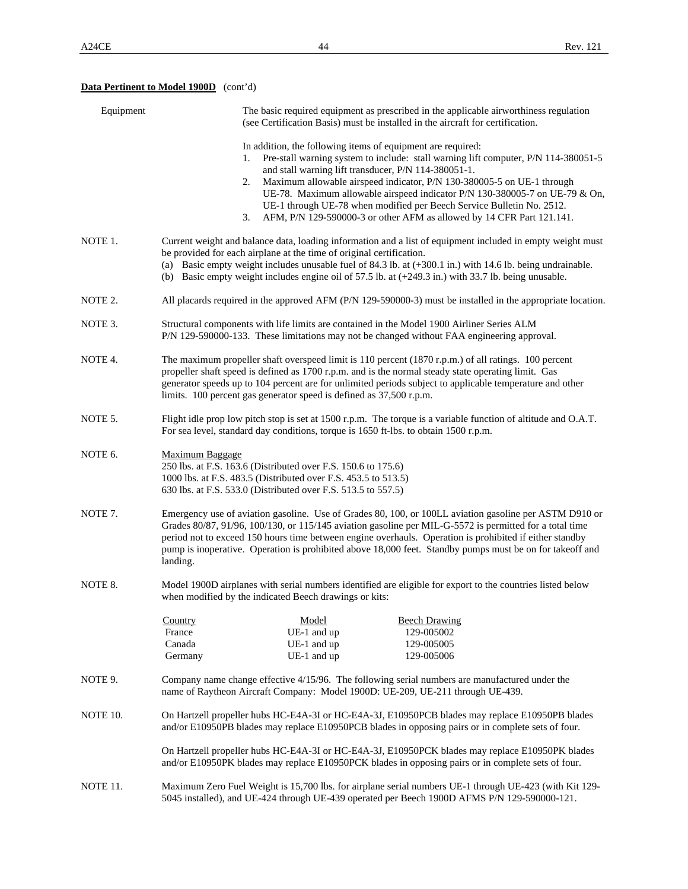# **Data Pertinent to Model 1900D** (cont'd)

| Equipment | The basic required equipment as prescribed in the applicable airworthiness regulation<br>(see Certification Basis) must be installed in the aircraft for certification.                                                                                                                                                                                                                                                                              |                                                                                                                                                                                                       |                                                                                                                                                                                                                                                                                                                                                                                               |  |  |  |
|-----------|------------------------------------------------------------------------------------------------------------------------------------------------------------------------------------------------------------------------------------------------------------------------------------------------------------------------------------------------------------------------------------------------------------------------------------------------------|-------------------------------------------------------------------------------------------------------------------------------------------------------------------------------------------------------|-----------------------------------------------------------------------------------------------------------------------------------------------------------------------------------------------------------------------------------------------------------------------------------------------------------------------------------------------------------------------------------------------|--|--|--|
|           | 1.<br>2.<br>3.                                                                                                                                                                                                                                                                                                                                                                                                                                       | In addition, the following items of equipment are required:<br>and stall warning lift transducer, P/N 114-380051-1.                                                                                   | Pre-stall warning system to include: stall warning lift computer, P/N 114-380051-5<br>Maximum allowable airspeed indicator, P/N 130-380005-5 on UE-1 through<br>UE-78. Maximum allowable airspeed indicator P/N 130-380005-7 on UE-79 & On,<br>UE-1 through UE-78 when modified per Beech Service Bulletin No. 2512.<br>AFM, P/N 129-590000-3 or other AFM as allowed by 14 CFR Part 121.141. |  |  |  |
| NOTE 1.   | Current weight and balance data, loading information and a list of equipment included in empty weight must<br>be provided for each airplane at the time of original certification.<br>(a) Basic empty weight includes unusable fuel of 84.3 lb. at $(+300.1 \text{ in.})$ with 14.6 lb. being undrainable.<br>(b) Basic empty weight includes engine oil of 57.5 lb. at $(+249.3 \text{ in.})$ with 33.7 lb. being unusable.                         |                                                                                                                                                                                                       |                                                                                                                                                                                                                                                                                                                                                                                               |  |  |  |
| NOTE 2.   | All placards required in the approved AFM (P/N 129-590000-3) must be installed in the appropriate location.                                                                                                                                                                                                                                                                                                                                          |                                                                                                                                                                                                       |                                                                                                                                                                                                                                                                                                                                                                                               |  |  |  |
| NOTE 3.   | Structural components with life limits are contained in the Model 1900 Airliner Series ALM<br>P/N 129-590000-133. These limitations may not be changed without FAA engineering approval.                                                                                                                                                                                                                                                             |                                                                                                                                                                                                       |                                                                                                                                                                                                                                                                                                                                                                                               |  |  |  |
| NOTE 4.   | The maximum propeller shaft overspeed limit is 110 percent (1870 r.p.m.) of all ratings. 100 percent<br>propeller shaft speed is defined as 1700 r.p.m. and is the normal steady state operating limit. Gas<br>generator speeds up to 104 percent are for unlimited periods subject to applicable temperature and other<br>limits. 100 percent gas generator speed is defined as 37,500 r.p.m.                                                       |                                                                                                                                                                                                       |                                                                                                                                                                                                                                                                                                                                                                                               |  |  |  |
| NOTE 5.   | Flight idle prop low pitch stop is set at 1500 r.p.m. The torque is a variable function of altitude and O.A.T.<br>For sea level, standard day conditions, torque is 1650 ft-lbs. to obtain 1500 r.p.m.                                                                                                                                                                                                                                               |                                                                                                                                                                                                       |                                                                                                                                                                                                                                                                                                                                                                                               |  |  |  |
| NOTE 6.   | <b>Maximum Baggage</b><br>250 lbs. at F.S. 163.6 (Distributed over F.S. 150.6 to 175.6)<br>1000 lbs. at F.S. 483.5 (Distributed over F.S. 453.5 to 513.5)<br>630 lbs. at F.S. 533.0 (Distributed over F.S. 513.5 to 557.5)                                                                                                                                                                                                                           |                                                                                                                                                                                                       |                                                                                                                                                                                                                                                                                                                                                                                               |  |  |  |
| NOTE 7.   | Emergency use of aviation gasoline. Use of Grades 80, 100, or 100LL aviation gasoline per ASTM D910 or<br>Grades 80/87, 91/96, 100/130, or 115/145 aviation gasoline per MIL-G-5572 is permitted for a total time<br>period not to exceed 150 hours time between engine overhauls. Operation is prohibited if either standby<br>pump is inoperative. Operation is prohibited above 18,000 feet. Standby pumps must be on for takeoff and<br>landing. |                                                                                                                                                                                                       |                                                                                                                                                                                                                                                                                                                                                                                               |  |  |  |
| NOTE 8.   | Model 1900D airplanes with serial numbers identified are eligible for export to the countries listed below<br>when modified by the indicated Beech drawings or kits:                                                                                                                                                                                                                                                                                 |                                                                                                                                                                                                       |                                                                                                                                                                                                                                                                                                                                                                                               |  |  |  |
|           | <b>Country</b><br>France<br>Canada<br>Germany                                                                                                                                                                                                                                                                                                                                                                                                        | Model<br>UE-1 and up<br>UE-1 and up<br>UE-1 and up                                                                                                                                                    | <b>Beech Drawing</b><br>129-005002<br>129-005005<br>129-005006                                                                                                                                                                                                                                                                                                                                |  |  |  |
| NOTE 9.   |                                                                                                                                                                                                                                                                                                                                                                                                                                                      |                                                                                                                                                                                                       | Company name change effective 4/15/96. The following serial numbers are manufactured under the<br>name of Raytheon Aircraft Company: Model 1900D: UE-209, UE-211 through UE-439.                                                                                                                                                                                                              |  |  |  |
| NOTE 10.  |                                                                                                                                                                                                                                                                                                                                                                                                                                                      | On Hartzell propeller hubs HC-E4A-3I or HC-E4A-3J, E10950PCB blades may replace E10950PB blades<br>and/or E10950PB blades may replace E10950PCB blades in opposing pairs or in complete sets of four. |                                                                                                                                                                                                                                                                                                                                                                                               |  |  |  |
|           |                                                                                                                                                                                                                                                                                                                                                                                                                                                      |                                                                                                                                                                                                       | On Hartzell propeller hubs HC-E4A-3I or HC-E4A-3J, E10950PCK blades may replace E10950PK blades<br>and/or E10950PK blades may replace E10950PCK blades in opposing pairs or in complete sets of four.                                                                                                                                                                                         |  |  |  |
| NOTE 11.  |                                                                                                                                                                                                                                                                                                                                                                                                                                                      |                                                                                                                                                                                                       | Maximum Zero Fuel Weight is 15,700 lbs. for airplane serial numbers UE-1 through UE-423 (with Kit 129-<br>5045 installed), and UE-424 through UE-439 operated per Beech 1900D AFMS P/N 129-590000-121.                                                                                                                                                                                        |  |  |  |